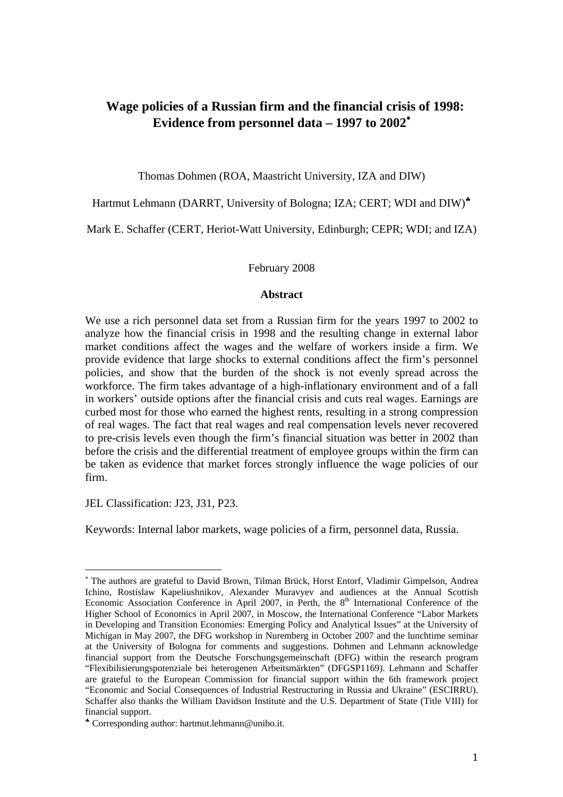## **Wage policies of a Russian firm and the financial crisis of 1998: Evidence from personnel data – 1997 to 2002**[∗](#page-0-0)

Thomas Dohmen (ROA, Maastricht University, IZA and DIW)

Hartmut Lehmann (DARRT, University of Bologna; IZA; CERT; WDI and DIW)<sup>\*</sup>

Mark E. Schaffer (CERT, Heriot-Watt University, Edinburgh; CEPR; WDI; and IZA)

February 2008

#### **Abstract**

We use a rich personnel data set from a Russian firm for the years 1997 to 2002 to analyze how the financial crisis in 1998 and the resulting change in external labor market conditions affect the wages and the welfare of workers inside a firm. We provide evidence that large shocks to external conditions affect the firm's personnel policies, and show that the burden of the shock is not evenly spread across the workforce. The firm takes advantage of a high-inflationary environment and of a fall in workers' outside options after the financial crisis and cuts real wages. Earnings are curbed most for those who earned the highest rents, resulting in a strong compression of real wages. The fact that real wages and real compensation levels never recovered to pre-crisis levels even though the firm's financial situation was better in 2002 than before the crisis and the differential treatment of employee groups within the firm can be taken as evidence that market forces strongly influence the wage policies of our firm.

JEL Classification: J23, J31, P23.

 $\overline{a}$ 

Keywords: Internal labor markets, wage policies of a firm, personnel data, Russia.

<span id="page-0-0"></span><sup>∗</sup> The authors are grateful to David Brown, Tilman Brück, Horst Entorf, Vladimir Gimpelson, Andrea Ichino, Rostislaw Kapeliushnikov, Alexander Muravyev and audiences at the Annual Scottish Economic Association Conference in April 2007, in Perth, the  $8<sup>th</sup>$  International Conference of the Higher School of Economics in April 2007, in Moscow, the International Conference "Labor Markets in Developing and Transition Economies: Emerging Policy and Analytical Issues" at the University of Michigan in May 2007, the DFG workshop in Nuremberg in October 2007 and the lunchtime seminar at the University of Bologna for comments and suggestions. Dohmen and Lehmann acknowledge financial support from the Deutsche Forschungsgemeinschaft (DFG) within the research program "Flexibilisierungspotenziale bei heterogenen Arbeitsmärkten" (DFGSP1169). Lehmann and Schaffer are grateful to the European Commission for financial support within the 6th framework project "Economic and Social Consequences of Industrial Restructuring in Russia and Ukraine" (ESCIRRU). Schaffer also thanks the William Davidson Institute and the U.S. Department of State (Title VIII) for financial support.

<span id="page-0-1"></span><sup>♣</sup> Corresponding author: hartmut.lehmann@unibo.it.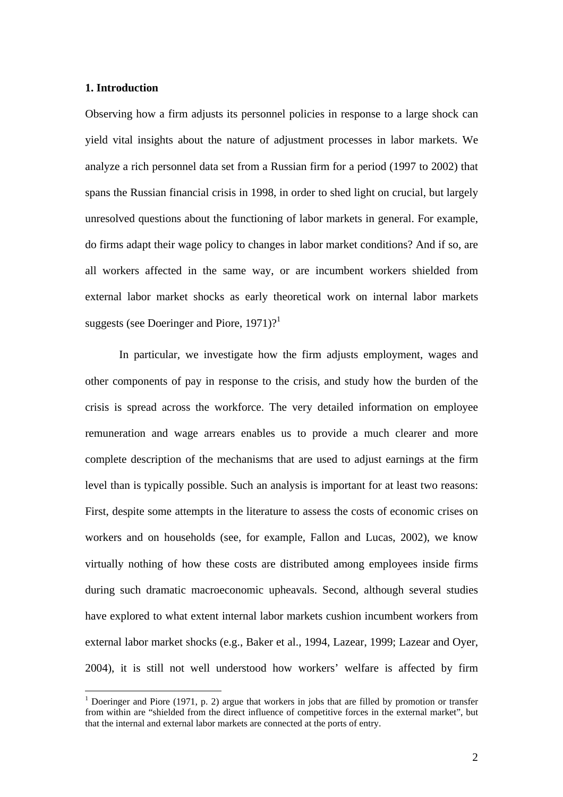### **1. Introduction**

 $\overline{a}$ 

Observing how a firm adjusts its personnel policies in response to a large shock can yield vital insights about the nature of adjustment processes in labor markets. We analyze a rich personnel data set from a Russian firm for a period (1997 to 2002) that spans the Russian financial crisis in 1998, in order to shed light on crucial, but largely unresolved questions about the functioning of labor markets in general. For example, do firms adapt their wage policy to changes in labor market conditions? And if so, are all workers affected in the same way, or are incumbent workers shielded from external labor market shocks as early theoretical work on internal labor markets suggests (see Doeringer and Piore,  $1971$  $1971$ )?<sup>1</sup>

In particular, we investigate how the firm adjusts employment, wages and other components of pay in response to the crisis, and study how the burden of the crisis is spread across the workforce. The very detailed information on employee remuneration and wage arrears enables us to provide a much clearer and more complete description of the mechanisms that are used to adjust earnings at the firm level than is typically possible. Such an analysis is important for at least two reasons: First, despite some attempts in the literature to assess the costs of economic crises on workers and on households (see, for example, Fallon and Lucas, 2002), we know virtually nothing of how these costs are distributed among employees inside firms during such dramatic macroeconomic upheavals. Second, although several studies have explored to what extent internal labor markets cushion incumbent workers from external labor market shocks (e.g., Baker et al., 1994, Lazear, 1999; Lazear and Oyer, 2004), it is still not well understood how workers' welfare is affected by firm

<span id="page-1-0"></span><sup>&</sup>lt;sup>1</sup> Doeringer and Piore (1971, p. 2) argue that workers in jobs that are filled by promotion or transfer from within are "shielded from the direct influence of competitive forces in the external market", but that the internal and external labor markets are connected at the ports of entry.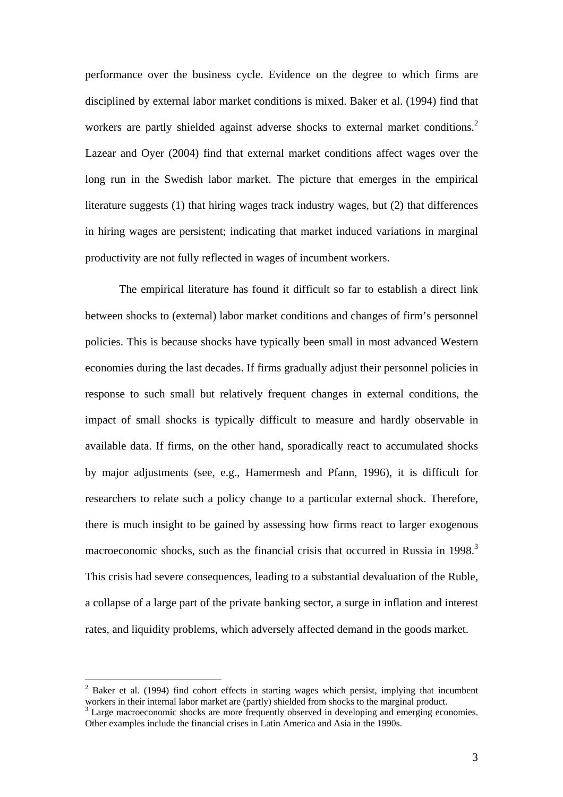performance over the business cycle. Evidence on the degree to which firms are disciplined by external labor market conditions is mixed. Baker et al. (1994) find that workers are partly shielded against adverse shocks to external market conditions.<sup>[2](#page-2-0)</sup> Lazear and Oyer (2004) find that external market conditions affect wages over the long run in the Swedish labor market. The picture that emerges in the empirical literature suggests (1) that hiring wages track industry wages, but (2) that differences in hiring wages are persistent; indicating that market induced variations in marginal productivity are not fully reflected in wages of incumbent workers.

The empirical literature has found it difficult so far to establish a direct link between shocks to (external) labor market conditions and changes of firm's personnel policies. This is because shocks have typically been small in most advanced Western economies during the last decades. If firms gradually adjust their personnel policies in response to such small but relatively frequent changes in external conditions, the impact of small shocks is typically difficult to measure and hardly observable in available data. If firms, on the other hand, sporadically react to accumulated shocks by major adjustments (see, e.g., Hamermesh and Pfann, 1996), it is difficult for researchers to relate such a policy change to a particular external shock. Therefore, there is much insight to be gained by assessing how firms react to larger exogenous macroeconomic shocks, such as the financial crisis that occurred in Russia in 1998.<sup>[3](#page-2-1)</sup> This crisis had severe consequences, leading to a substantial devaluation of the Ruble, a collapse of a large part of the private banking sector, a surge in inflation and interest rates, and liquidity problems, which adversely affected demand in the goods market.

<span id="page-2-0"></span> $2^2$  Baker et al. (1994) find cohort effects in starting wages which persist, implying that incumbent workers in their internal labor market are (partly) shielded from shocks to the marginal product.

<span id="page-2-1"></span><sup>&</sup>lt;sup>3</sup> Large macroeconomic shocks are more frequently observed in developing and emerging economies. Other examples include the financial crises in Latin America and Asia in the 1990s.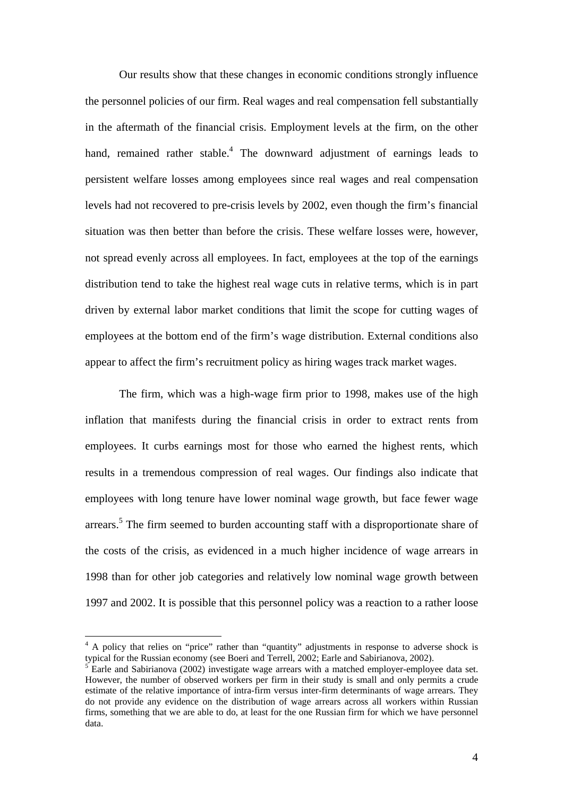Our results show that these changes in economic conditions strongly influence the personnel policies of our firm. Real wages and real compensation fell substantially in the aftermath of the financial crisis. Employment levels at the firm, on the other hand, remained rather stable.<sup>[4](#page-3-0)</sup> The downward adjustment of earnings leads to persistent welfare losses among employees since real wages and real compensation levels had not recovered to pre-crisis levels by 2002, even though the firm's financial situation was then better than before the crisis. These welfare losses were, however, not spread evenly across all employees. In fact, employees at the top of the earnings distribution tend to take the highest real wage cuts in relative terms, which is in part driven by external labor market conditions that limit the scope for cutting wages of employees at the bottom end of the firm's wage distribution. External conditions also appear to affect the firm's recruitment policy as hiring wages track market wages.

The firm, which was a high-wage firm prior to 1998, makes use of the high inflation that manifests during the financial crisis in order to extract rents from employees. It curbs earnings most for those who earned the highest rents, which results in a tremendous compression of real wages. Our findings also indicate that employees with long tenure have lower nominal wage growth, but face fewer wage arrears.<sup>[5](#page-3-1)</sup> The firm seemed to burden accounting staff with a disproportionate share of the costs of the crisis, as evidenced in a much higher incidence of wage arrears in 1998 than for other job categories and relatively low nominal wage growth between 1997 and 2002. It is possible that this personnel policy was a reaction to a rather loose

<span id="page-3-0"></span><sup>&</sup>lt;sup>4</sup> A policy that relies on "price" rather than "quantity" adjustments in response to adverse shock is typical for the Russian economy (see Boeri and Terrell, 2002; Earle and Sabirianova, 2002).

<span id="page-3-1"></span>Earle and Sabirianova (2002) investigate wage arrears with a matched employer-employee data set. However, the number of observed workers per firm in their study is small and only permits a crude estimate of the relative importance of intra-firm versus inter-firm determinants of wage arrears. They do not provide any evidence on the distribution of wage arrears across all workers within Russian firms, something that we are able to do, at least for the one Russian firm for which we have personnel data.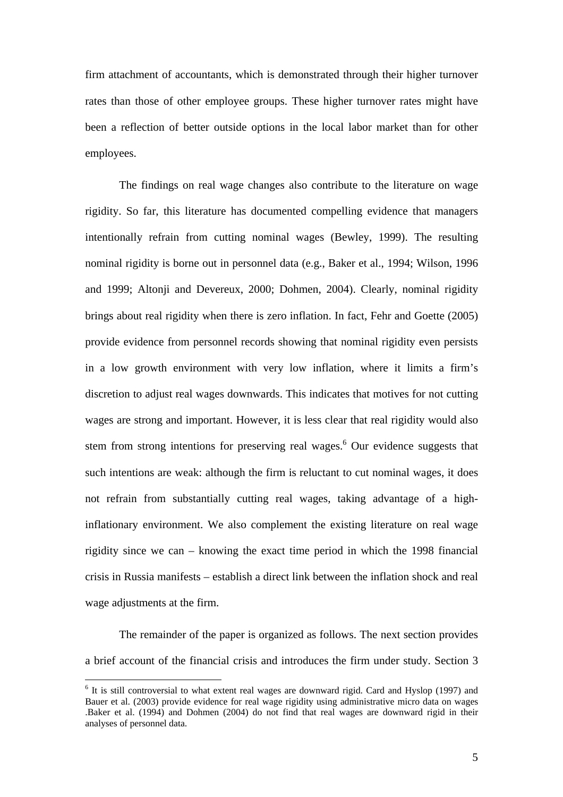firm attachment of accountants, which is demonstrated through their higher turnover rates than those of other employee groups. These higher turnover rates might have been a reflection of better outside options in the local labor market than for other employees.

The findings on real wage changes also contribute to the literature on wage rigidity. So far, this literature has documented compelling evidence that managers intentionally refrain from cutting nominal wages (Bewley, 1999). The resulting nominal rigidity is borne out in personnel data (e.g., Baker et al., 1994; Wilson, 1996 and 1999; Altonji and Devereux, 2000; Dohmen, 2004). Clearly, nominal rigidity brings about real rigidity when there is zero inflation. In fact, Fehr and Goette (2005) provide evidence from personnel records showing that nominal rigidity even persists in a low growth environment with very low inflation, where it limits a firm's discretion to adjust real wages downwards. This indicates that motives for not cutting wages are strong and important. However, it is less clear that real rigidity would also stem from strong intentions for preserving real wages.<sup>[6](#page-4-0)</sup> Our evidence suggests that such intentions are weak: although the firm is reluctant to cut nominal wages, it does not refrain from substantially cutting real wages, taking advantage of a highinflationary environment. We also complement the existing literature on real wage rigidity since we can – knowing the exact time period in which the 1998 financial crisis in Russia manifests – establish a direct link between the inflation shock and real wage adjustments at the firm.

The remainder of the paper is organized as follows. The next section provides a brief account of the financial crisis and introduces the firm under study. Section 3

<span id="page-4-0"></span><sup>&</sup>lt;sup>6</sup> It is still controversial to what extent real wages are downward rigid. Card and Hyslop (1997) and Bauer et al. (2003) provide evidence for real wage rigidity using administrative micro data on wages .Baker et al. (1994) and Dohmen (2004) do not find that real wages are downward rigid in their analyses of personnel data.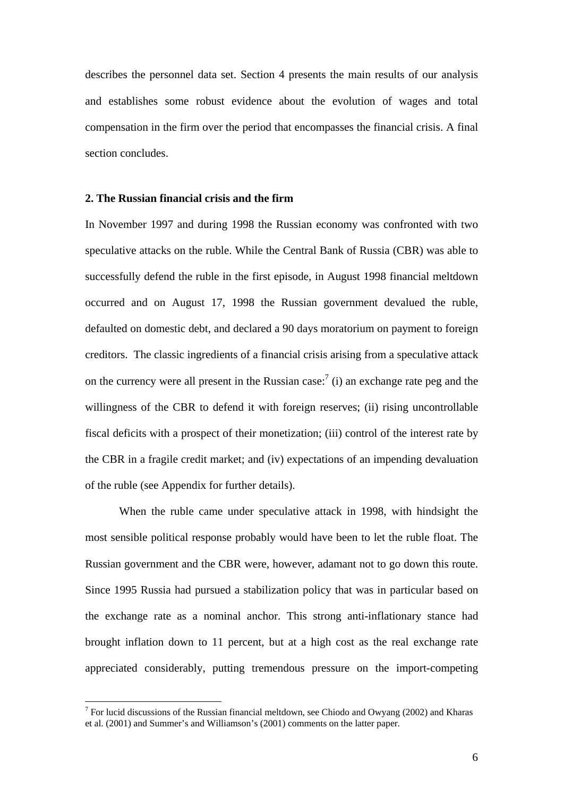describes the personnel data set. Section 4 presents the main results of our analysis and establishes some robust evidence about the evolution of wages and total compensation in the firm over the period that encompasses the financial crisis. A final section concludes.

## **2. The Russian financial crisis and the firm**

In November 1997 and during 1998 the Russian economy was confronted with two speculative attacks on the ruble. While the Central Bank of Russia (CBR) was able to successfully defend the ruble in the first episode, in August 1998 financial meltdown occurred and on August 17, 1998 the Russian government devalued the ruble, defaulted on domestic debt, and declared a 90 days moratorium on payment to foreign creditors. The classic ingredients of a financial crisis arising from a speculative attack on the currency were all present in the Russian case:<sup>[7](#page-5-0)</sup> (i) an exchange rate peg and the willingness of the CBR to defend it with foreign reserves; (ii) rising uncontrollable fiscal deficits with a prospect of their monetization; (iii) control of the interest rate by the CBR in a fragile credit market; and (iv) expectations of an impending devaluation of the ruble (see Appendix for further details).

When the ruble came under speculative attack in 1998, with hindsight the most sensible political response probably would have been to let the ruble float. The Russian government and the CBR were, however, adamant not to go down this route. Since 1995 Russia had pursued a stabilization policy that was in particular based on the exchange rate as a nominal anchor. This strong anti-inflationary stance had brought inflation down to 11 percent, but at a high cost as the real exchange rate appreciated considerably, putting tremendous pressure on the import-competing

<span id="page-5-0"></span><sup>&</sup>lt;sup>7</sup> For lucid discussions of the Russian financial meltdown, see Chiodo and Owyang (2002) and Kharas et al. (2001) and Summer's and Williamson's (2001) comments on the latter paper.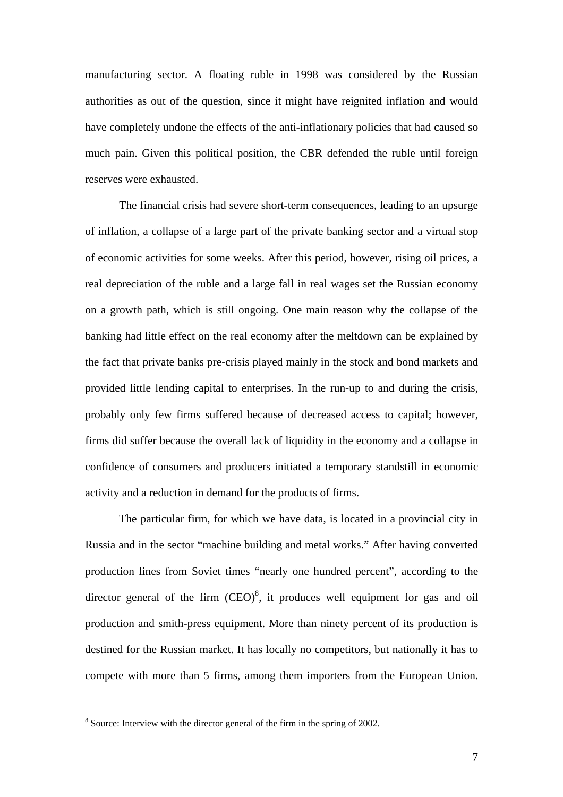manufacturing sector. A floating ruble in 1998 was considered by the Russian authorities as out of the question, since it might have reignited inflation and would have completely undone the effects of the anti-inflationary policies that had caused so much pain. Given this political position, the CBR defended the ruble until foreign reserves were exhausted.

The financial crisis had severe short-term consequences, leading to an upsurge of inflation, a collapse of a large part of the private banking sector and a virtual stop of economic activities for some weeks. After this period, however, rising oil prices, a real depreciation of the ruble and a large fall in real wages set the Russian economy on a growth path, which is still ongoing. One main reason why the collapse of the banking had little effect on the real economy after the meltdown can be explained by the fact that private banks pre-crisis played mainly in the stock and bond markets and provided little lending capital to enterprises. In the run-up to and during the crisis, probably only few firms suffered because of decreased access to capital; however, firms did suffer because the overall lack of liquidity in the economy and a collapse in confidence of consumers and producers initiated a temporary standstill in economic activity and a reduction in demand for the products of firms.

The particular firm, for which we have data, is located in a provincial city in Russia and in the sector "machine building and metal works." After having converted production lines from Soviet times "nearly one hundred percent", according to the director general of the firm  $(CEO)^8$  $(CEO)^8$ , it produces well equipment for gas and oil production and smith-press equipment. More than ninety percent of its production is destined for the Russian market. It has locally no competitors, but nationally it has to compete with more than 5 firms, among them importers from the European Union.

<span id="page-6-0"></span> $8$  Source: Interview with the director general of the firm in the spring of 2002.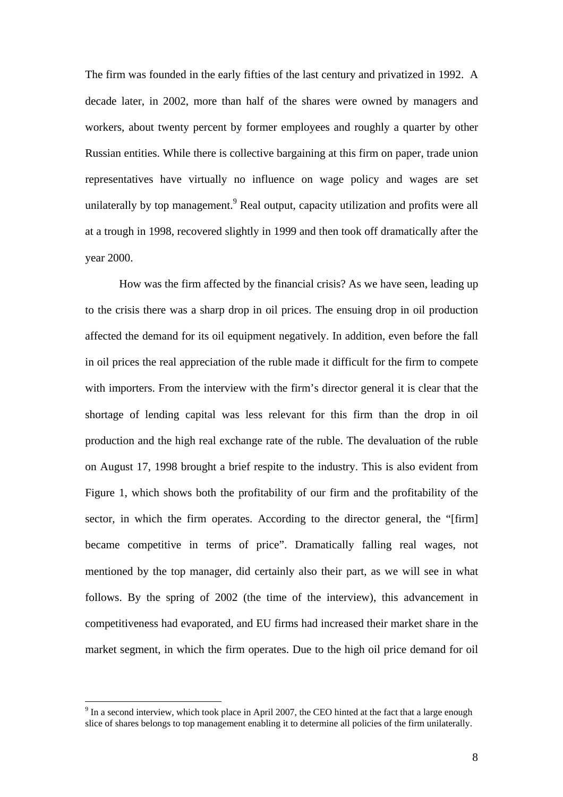The firm was founded in the early fifties of the last century and privatized in 1992. A decade later, in 2002, more than half of the shares were owned by managers and workers, about twenty percent by former employees and roughly a quarter by other Russian entities. While there is collective bargaining at this firm on paper, trade union representatives have virtually no influence on wage policy and wages are set unilaterally by top management.<sup>[9](#page-7-0)</sup> Real output, capacity utilization and profits were all at a trough in 1998, recovered slightly in 1999 and then took off dramatically after the year 2000.

How was the firm affected by the financial crisis? As we have seen, leading up to the crisis there was a sharp drop in oil prices. The ensuing drop in oil production affected the demand for its oil equipment negatively. In addition, even before the fall in oil prices the real appreciation of the ruble made it difficult for the firm to compete with importers. From the interview with the firm's director general it is clear that the shortage of lending capital was less relevant for this firm than the drop in oil production and the high real exchange rate of the ruble. The devaluation of the ruble on August 17, 1998 brought a brief respite to the industry. This is also evident from Figure 1, which shows both the profitability of our firm and the profitability of the sector, in which the firm operates. According to the director general, the "[firm] became competitive in terms of price". Dramatically falling real wages, not mentioned by the top manager, did certainly also their part, as we will see in what follows. By the spring of 2002 (the time of the interview), this advancement in competitiveness had evaporated, and EU firms had increased their market share in the market segment, in which the firm operates. Due to the high oil price demand for oil

<span id="page-7-0"></span> $9 \text{ In a second interview, which took place in April 2007, the CEO hinted at the fact that a large enough.}$ slice of shares belongs to top management enabling it to determine all policies of the firm unilaterally.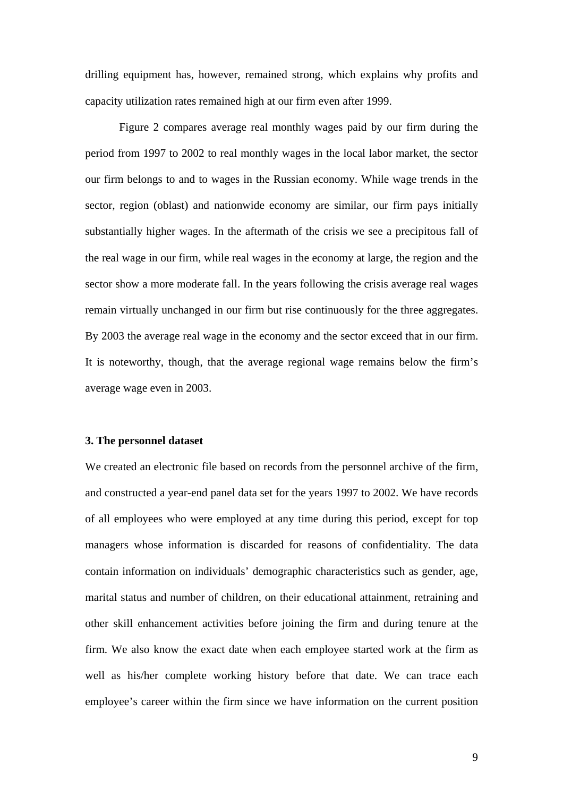drilling equipment has, however, remained strong, which explains why profits and capacity utilization rates remained high at our firm even after 1999.

Figure 2 compares average real monthly wages paid by our firm during the period from 1997 to 2002 to real monthly wages in the local labor market, the sector our firm belongs to and to wages in the Russian economy. While wage trends in the sector, region (oblast) and nationwide economy are similar, our firm pays initially substantially higher wages. In the aftermath of the crisis we see a precipitous fall of the real wage in our firm, while real wages in the economy at large, the region and the sector show a more moderate fall. In the years following the crisis average real wages remain virtually unchanged in our firm but rise continuously for the three aggregates. By 2003 the average real wage in the economy and the sector exceed that in our firm. It is noteworthy, though, that the average regional wage remains below the firm's average wage even in 2003.

#### **3. The personnel dataset**

We created an electronic file based on records from the personnel archive of the firm, and constructed a year-end panel data set for the years 1997 to 2002. We have records of all employees who were employed at any time during this period, except for top managers whose information is discarded for reasons of confidentiality. The data contain information on individuals' demographic characteristics such as gender, age, marital status and number of children, on their educational attainment, retraining and other skill enhancement activities before joining the firm and during tenure at the firm. We also know the exact date when each employee started work at the firm as well as his/her complete working history before that date. We can trace each employee's career within the firm since we have information on the current position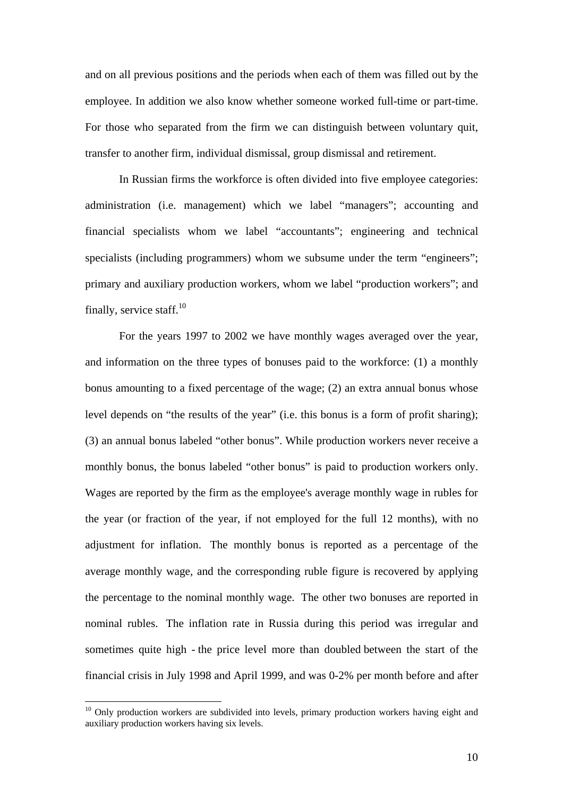and on all previous positions and the periods when each of them was filled out by the employee. In addition we also know whether someone worked full-time or part-time. For those who separated from the firm we can distinguish between voluntary quit, transfer to another firm, individual dismissal, group dismissal and retirement.

In Russian firms the workforce is often divided into five employee categories: administration (i.e. management) which we label "managers"; accounting and financial specialists whom we label "accountants"; engineering and technical specialists (including programmers) whom we subsume under the term "engineers"; primary and auxiliary production workers, whom we label "production workers"; and finally, service staff. $10$ 

For the years 1997 to 2002 we have monthly wages averaged over the year, and information on the three types of bonuses paid to the workforce: (1) a monthly bonus amounting to a fixed percentage of the wage; (2) an extra annual bonus whose level depends on "the results of the year" (i.e. this bonus is a form of profit sharing); (3) an annual bonus labeled "other bonus". While production workers never receive a monthly bonus, the bonus labeled "other bonus" is paid to production workers only. Wages are reported by the firm as the employee's average monthly wage in rubles for the year (or fraction of the year, if not employed for the full 12 months), with no adjustment for inflation. The monthly bonus is reported as a percentage of the average monthly wage, and the corresponding ruble figure is recovered by applying the percentage to the nominal monthly wage. The other two bonuses are reported in nominal rubles. The inflation rate in Russia during this period was irregular and sometimes quite high - the price level more than doubled between the start of the financial crisis in July 1998 and April 1999, and was 0-2% per month before and after

<span id="page-9-0"></span> $10$  Only production workers are subdivided into levels, primary production workers having eight and auxiliary production workers having six levels.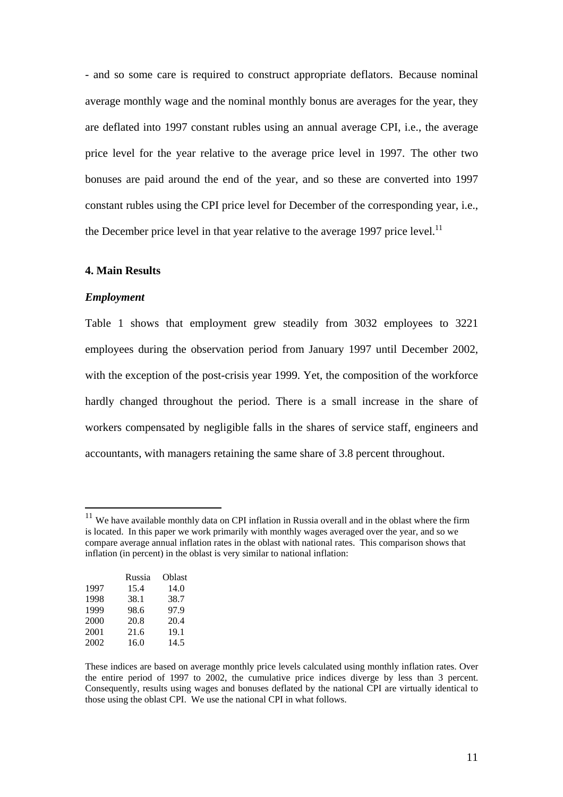- and so some care is required to construct appropriate deflators. Because nominal average monthly wage and the nominal monthly bonus are averages for the year, they are deflated into 1997 constant rubles using an annual average CPI, i.e., the average price level for the year relative to the average price level in 1997. The other two bonuses are paid around the end of the year, and so these are converted into 1997 constant rubles using the CPI price level for December of the corresponding year, i.e., the December price level in that year relative to the average 1997 price level.<sup>11</sup>

## **4. Main Results**

#### *Employment*

 $\overline{a}$ 

Table 1 shows that employment grew steadily from 3032 employees to 3221 employees during the observation period from January 1997 until December 2002, with the exception of the post-crisis year 1999. Yet, the composition of the workforce hardly changed throughout the period. There is a small increase in the share of workers compensated by negligible falls in the shares of service staff, engineers and accountants, with managers retaining the same share of 3.8 percent throughout.

<span id="page-10-0"></span> $11$  We have available monthly data on CPI inflation in Russia overall and in the oblast where the firm is located. In this paper we work primarily with monthly wages averaged over the year, and so we compare average annual inflation rates in the oblast with national rates. This comparison shows that inflation (in percent) in the oblast is very similar to national inflation:

|      | Russia | Oblast |
|------|--------|--------|
| 1997 | 15.4   | 14.0   |
| 1998 | 38.1   | 38.7   |
| 1999 | 98.6   | 97.9   |
| 2000 | 20.8   | 20.4   |
| 2001 | 21.6   | 19.1   |
| 2002 | 16.0   | 14.5   |
|      |        |        |

These indices are based on average monthly price levels calculated using monthly inflation rates. Over the entire period of 1997 to 2002, the cumulative price indices diverge by less than 3 percent. Consequently, results using wages and bonuses deflated by the national CPI are virtually identical to those using the oblast CPI. We use the national CPI in what follows.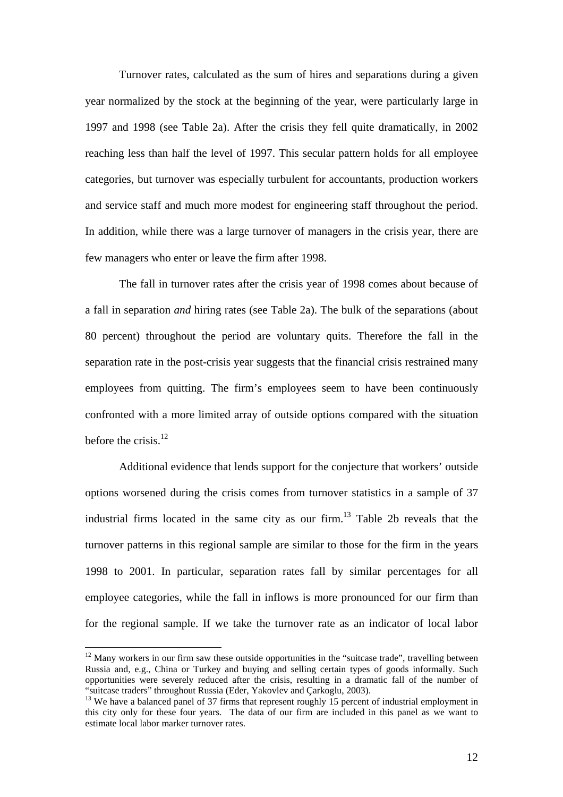Turnover rates, calculated as the sum of hires and separations during a given year normalized by the stock at the beginning of the year, were particularly large in 1997 and 1998 (see Table 2a). After the crisis they fell quite dramatically, in 2002 reaching less than half the level of 1997. This secular pattern holds for all employee categories, but turnover was especially turbulent for accountants, production workers and service staff and much more modest for engineering staff throughout the period. In addition, while there was a large turnover of managers in the crisis year, there are few managers who enter or leave the firm after 1998.

The fall in turnover rates after the crisis year of 1998 comes about because of a fall in separation *and* hiring rates (see Table 2a). The bulk of the separations (about 80 percent) throughout the period are voluntary quits. Therefore the fall in the separation rate in the post-crisis year suggests that the financial crisis restrained many employees from quitting. The firm's employees seem to have been continuously confronted with a more limited array of outside options compared with the situation before the crisis. $^{12}$ 

Additional evidence that lends support for the conjecture that workers' outside options worsened during the crisis comes from turnover statistics in a sample of 37 industrial firms located in the same city as our firm. [13](#page-11-1) Table 2b reveals that the turnover patterns in this regional sample are similar to those for the firm in the years 1998 to 2001. In particular, separation rates fall by similar percentages for all employee categories, while the fall in inflows is more pronounced for our firm than for the regional sample. If we take the turnover rate as an indicator of local labor

<span id="page-11-0"></span> $12$  Many workers in our firm saw these outside opportunities in the "suitcase trade", travelling between Russia and, e.g., China or Turkey and buying and selling certain types of goods informally. Such opportunities were severely reduced after the crisis, resulting in a dramatic fall of the number of "suitcase traders" throughout Russia (Eder, Yakovlev and Çarkoglu, 2003).<br><sup>13</sup> We have a balanced panel of 37 firms that represent roughly 15 percent of industrial employment in

<span id="page-11-1"></span>this city only for these four years. The data of our firm are included in this panel as we want to estimate local labor marker turnover rates.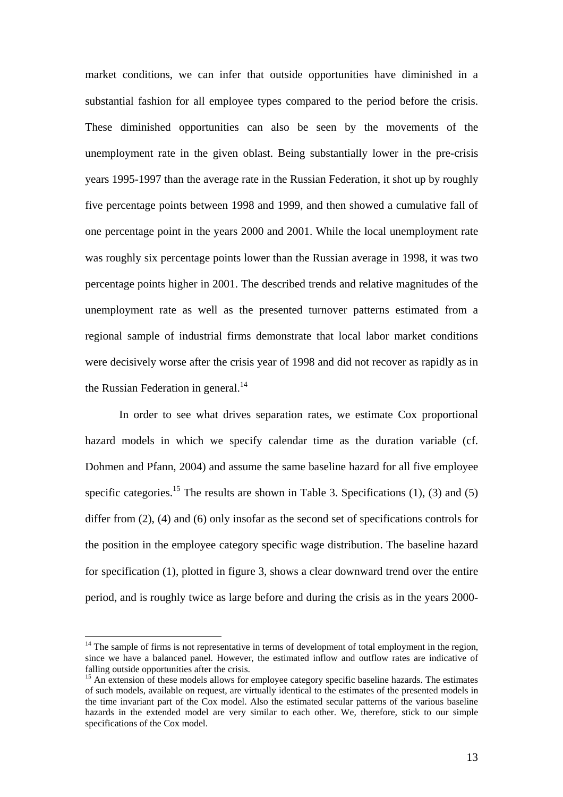market conditions, we can infer that outside opportunities have diminished in a substantial fashion for all employee types compared to the period before the crisis. These diminished opportunities can also be seen by the movements of the unemployment rate in the given oblast. Being substantially lower in the pre-crisis years 1995-1997 than the average rate in the Russian Federation, it shot up by roughly five percentage points between 1998 and 1999, and then showed a cumulative fall of one percentage point in the years 2000 and 2001. While the local unemployment rate was roughly six percentage points lower than the Russian average in 1998, it was two percentage points higher in 2001. The described trends and relative magnitudes of the unemployment rate as well as the presented turnover patterns estimated from a regional sample of industrial firms demonstrate that local labor market conditions were decisively worse after the crisis year of 1998 and did not recover as rapidly as in the Russian Federation in general.<sup>[14](#page-12-0)</sup>

In order to see what drives separation rates, we estimate Cox proportional hazard models in which we specify calendar time as the duration variable (cf. Dohmen and Pfann, 2004) and assume the same baseline hazard for all five employee specific categories.<sup>15</sup> The results are shown in Table 3. Specifications (1), (3) and (5) differ from (2), (4) and (6) only insofar as the second set of specifications controls for the position in the employee category specific wage distribution. The baseline hazard for specification (1), plotted in figure 3, shows a clear downward trend over the entire period, and is roughly twice as large before and during the crisis as in the years 2000-

<span id="page-12-0"></span> $14$  The sample of firms is not representative in terms of development of total employment in the region, since we have a balanced panel. However, the estimated inflow and outflow rates are indicative of falling outside opportunities after the crisis.

<span id="page-12-1"></span> $\frac{15}{15}$  An extension of these models allows for employee category specific baseline hazards. The estimates of such models, available on request, are virtually identical to the estimates of the presented models in the time invariant part of the Cox model. Also the estimated secular patterns of the various baseline hazards in the extended model are very similar to each other. We, therefore, stick to our simple specifications of the Cox model.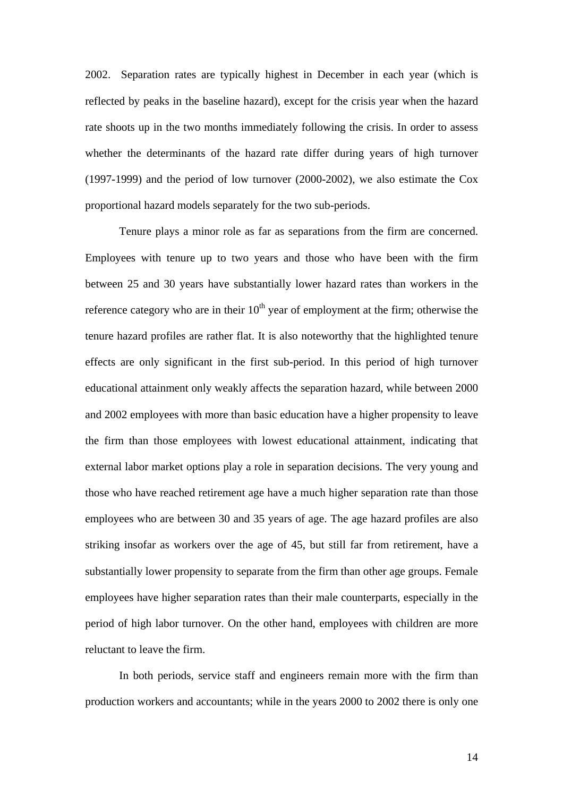2002. Separation rates are typically highest in December in each year (which is reflected by peaks in the baseline hazard), except for the crisis year when the hazard rate shoots up in the two months immediately following the crisis. In order to assess whether the determinants of the hazard rate differ during years of high turnover (1997-1999) and the period of low turnover (2000-2002), we also estimate the Cox proportional hazard models separately for the two sub-periods.

Tenure plays a minor role as far as separations from the firm are concerned. Employees with tenure up to two years and those who have been with the firm between 25 and 30 years have substantially lower hazard rates than workers in the reference category who are in their  $10<sup>th</sup>$  year of employment at the firm; otherwise the tenure hazard profiles are rather flat. It is also noteworthy that the highlighted tenure effects are only significant in the first sub-period. In this period of high turnover educational attainment only weakly affects the separation hazard, while between 2000 and 2002 employees with more than basic education have a higher propensity to leave the firm than those employees with lowest educational attainment, indicating that external labor market options play a role in separation decisions. The very young and those who have reached retirement age have a much higher separation rate than those employees who are between 30 and 35 years of age. The age hazard profiles are also striking insofar as workers over the age of 45, but still far from retirement, have a substantially lower propensity to separate from the firm than other age groups. Female employees have higher separation rates than their male counterparts, especially in the period of high labor turnover. On the other hand, employees with children are more reluctant to leave the firm.

In both periods, service staff and engineers remain more with the firm than production workers and accountants; while in the years 2000 to 2002 there is only one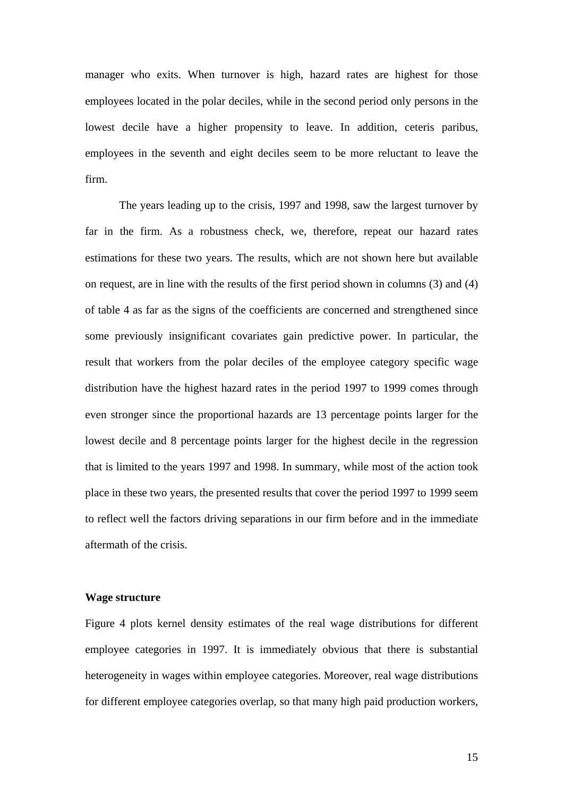manager who exits. When turnover is high, hazard rates are highest for those employees located in the polar deciles, while in the second period only persons in the lowest decile have a higher propensity to leave. In addition, ceteris paribus, employees in the seventh and eight deciles seem to be more reluctant to leave the firm.

The years leading up to the crisis, 1997 and 1998, saw the largest turnover by far in the firm. As a robustness check, we, therefore, repeat our hazard rates estimations for these two years. The results, which are not shown here but available on request, are in line with the results of the first period shown in columns (3) and (4) of table 4 as far as the signs of the coefficients are concerned and strengthened since some previously insignificant covariates gain predictive power. In particular, the result that workers from the polar deciles of the employee category specific wage distribution have the highest hazard rates in the period 1997 to 1999 comes through even stronger since the proportional hazards are 13 percentage points larger for the lowest decile and 8 percentage points larger for the highest decile in the regression that is limited to the years 1997 and 1998. In summary, while most of the action took place in these two years, the presented results that cover the period 1997 to 1999 seem to reflect well the factors driving separations in our firm before and in the immediate aftermath of the crisis.

#### **Wage structure**

Figure 4 plots kernel density estimates of the real wage distributions for different employee categories in 1997. It is immediately obvious that there is substantial heterogeneity in wages within employee categories. Moreover, real wage distributions for different employee categories overlap, so that many high paid production workers,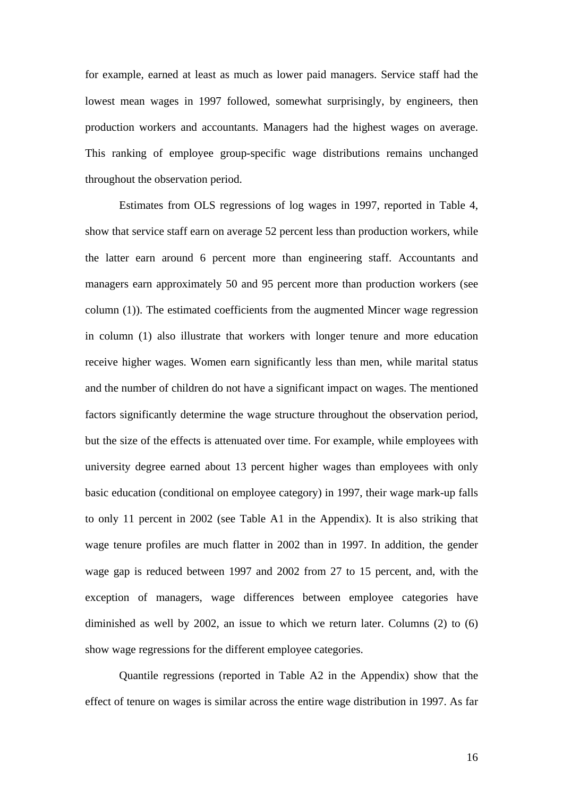for example, earned at least as much as lower paid managers. Service staff had the lowest mean wages in 1997 followed, somewhat surprisingly, by engineers, then production workers and accountants. Managers had the highest wages on average. This ranking of employee group-specific wage distributions remains unchanged throughout the observation period.

Estimates from OLS regressions of log wages in 1997, reported in Table 4, show that service staff earn on average 52 percent less than production workers, while the latter earn around 6 percent more than engineering staff. Accountants and managers earn approximately 50 and 95 percent more than production workers (see column (1)). The estimated coefficients from the augmented Mincer wage regression in column (1) also illustrate that workers with longer tenure and more education receive higher wages. Women earn significantly less than men, while marital status and the number of children do not have a significant impact on wages. The mentioned factors significantly determine the wage structure throughout the observation period, but the size of the effects is attenuated over time. For example, while employees with university degree earned about 13 percent higher wages than employees with only basic education (conditional on employee category) in 1997, their wage mark-up falls to only 11 percent in 2002 (see Table A1 in the Appendix). It is also striking that wage tenure profiles are much flatter in 2002 than in 1997. In addition, the gender wage gap is reduced between 1997 and 2002 from 27 to 15 percent, and, with the exception of managers, wage differences between employee categories have diminished as well by 2002, an issue to which we return later. Columns (2) to (6) show wage regressions for the different employee categories.

Quantile regressions (reported in Table A2 in the Appendix) show that the effect of tenure on wages is similar across the entire wage distribution in 1997. As far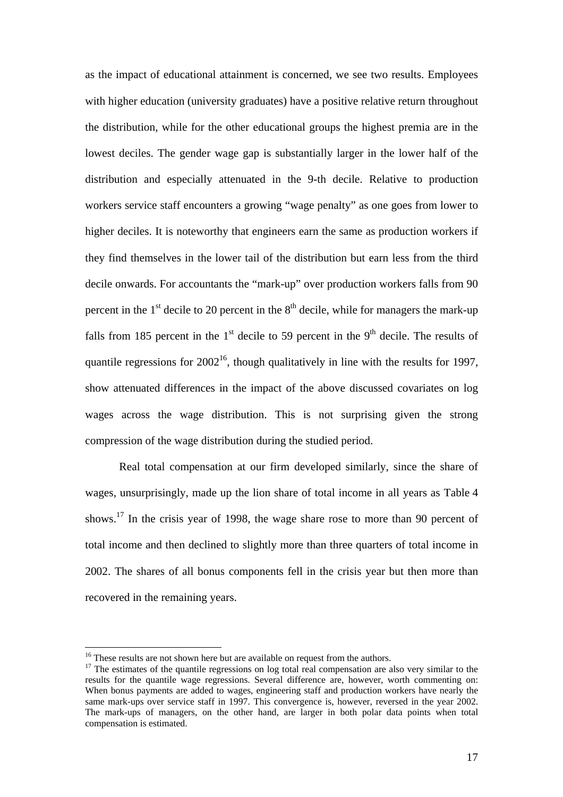as the impact of educational attainment is concerned, we see two results. Employees with higher education (university graduates) have a positive relative return throughout the distribution, while for the other educational groups the highest premia are in the lowest deciles. The gender wage gap is substantially larger in the lower half of the distribution and especially attenuated in the 9-th decile. Relative to production workers service staff encounters a growing "wage penalty" as one goes from lower to higher deciles. It is noteworthy that engineers earn the same as production workers if they find themselves in the lower tail of the distribution but earn less from the third decile onwards. For accountants the "mark-up" over production workers falls from 90 percent in the  $1<sup>st</sup>$  decile to 20 percent in the  $8<sup>th</sup>$  decile, while for managers the mark-up falls from 185 percent in the  $1<sup>st</sup>$  decile to 59 percent in the 9<sup>th</sup> decile. The results of quantile regressions for  $2002^{16}$ , though qualitatively in line with the results for 1997, show attenuated differences in the impact of the above discussed covariates on log wages across the wage distribution. This is not surprising given the strong compression of the wage distribution during the studied period.

Real total compensation at our firm developed similarly, since the share of wages, unsurprisingly, made up the lion share of total income in all years as Table 4 shows.<sup>17</sup> In the crisis year of 1998, the wage share rose to more than 90 percent of total income and then declined to slightly more than three quarters of total income in 2002. The shares of all bonus components fell in the crisis year but then more than recovered in the remaining years.

<span id="page-16-1"></span><span id="page-16-0"></span>

<sup>&</sup>lt;sup>16</sup> These results are not shown here but are available on request from the authors.<br><sup>17</sup> The estimates of the quantile regressions on log total real compensation are also very similar to the results for the quantile wage regressions. Several difference are, however, worth commenting on: When bonus payments are added to wages, engineering staff and production workers have nearly the same mark-ups over service staff in 1997. This convergence is, however, reversed in the year 2002. The mark-ups of managers, on the other hand, are larger in both polar data points when total compensation is estimated.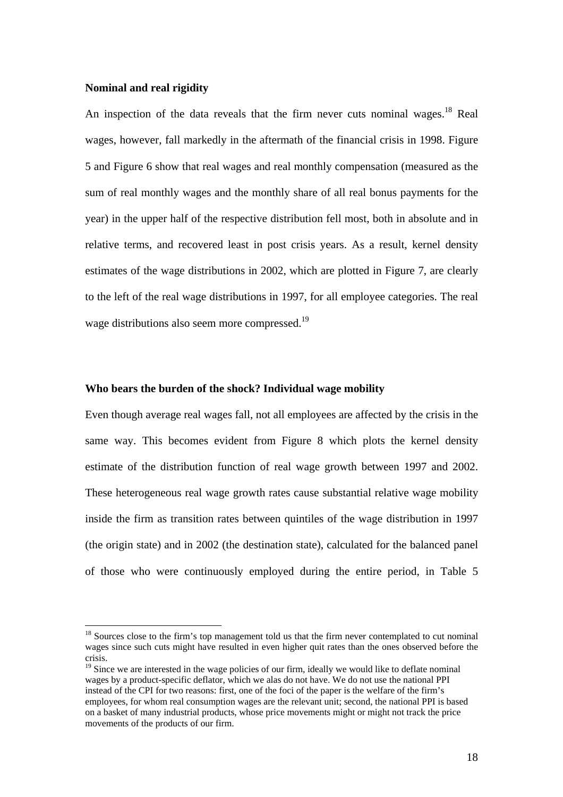#### **Nominal and real rigidity**

 $\overline{a}$ 

An inspection of the data reveals that the firm never cuts nominal wages.<sup>18</sup> Real wages, however, fall markedly in the aftermath of the financial crisis in 1998. Figure 5 and Figure 6 show that real wages and real monthly compensation (measured as the sum of real monthly wages and the monthly share of all real bonus payments for the year) in the upper half of the respective distribution fell most, both in absolute and in relative terms, and recovered least in post crisis years. As a result, kernel density estimates of the wage distributions in 2002, which are plotted in Figure 7, are clearly to the left of the real wage distributions in 1997, for all employee categories. The real wage distributions also seem more compressed.<sup>[19](#page-17-1)</sup>

### **Who bears the burden of the shock? Individual wage mobility**

Even though average real wages fall, not all employees are affected by the crisis in the same way. This becomes evident from Figure 8 which plots the kernel density estimate of the distribution function of real wage growth between 1997 and 2002. These heterogeneous real wage growth rates cause substantial relative wage mobility inside the firm as transition rates between quintiles of the wage distribution in 1997 (the origin state) and in 2002 (the destination state), calculated for the balanced panel of those who were continuously employed during the entire period, in Table 5

<span id="page-17-0"></span><sup>&</sup>lt;sup>18</sup> Sources close to the firm's top management told us that the firm never contemplated to cut nominal wages since such cuts might have resulted in even higher quit rates than the ones observed before the crisis.

<span id="page-17-1"></span><sup>&</sup>lt;sup>19</sup> Since we are interested in the wage policies of our firm, ideally we would like to deflate nominal wages by a product-specific deflator, which we alas do not have. We do not use the national PPI instead of the CPI for two reasons: first, one of the foci of the paper is the welfare of the firm's employees, for whom real consumption wages are the relevant unit; second, the national PPI is based on a basket of many industrial products, whose price movements might or might not track the price movements of the products of our firm.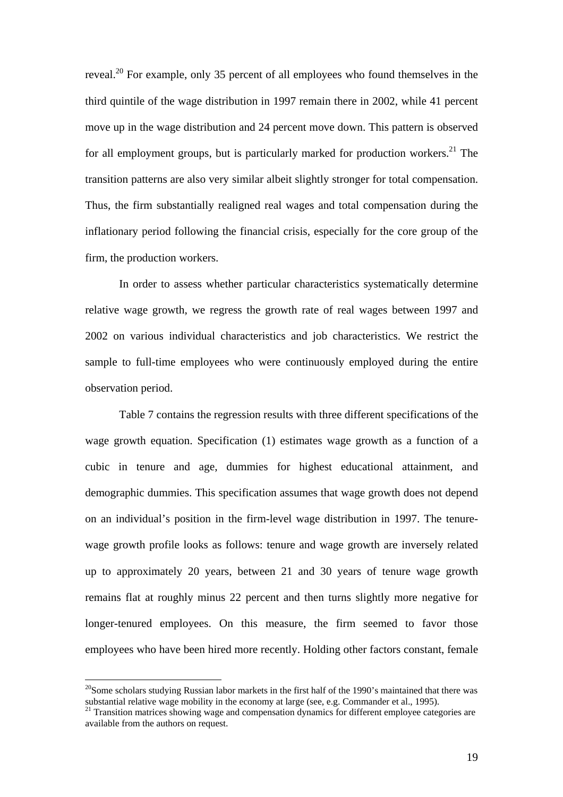reveal.<sup>20</sup> For example, only 35 percent of all employees who found themselves in the third quintile of the wage distribution in 1997 remain there in 2002, while 41 percent move up in the wage distribution and 24 percent move down. This pattern is observed for all employment groups, but is particularly marked for production workers.<sup>21</sup> The transition patterns are also very similar albeit slightly stronger for total compensation. Thus, the firm substantially realigned real wages and total compensation during the inflationary period following the financial crisis, especially for the core group of the firm, the production workers.

In order to assess whether particular characteristics systematically determine relative wage growth, we regress the growth rate of real wages between 1997 and 2002 on various individual characteristics and job characteristics. We restrict the sample to full-time employees who were continuously employed during the entire observation period.

Table 7 contains the regression results with three different specifications of the wage growth equation. Specification (1) estimates wage growth as a function of a cubic in tenure and age, dummies for highest educational attainment, and demographic dummies. This specification assumes that wage growth does not depend on an individual's position in the firm-level wage distribution in 1997. The tenurewage growth profile looks as follows: tenure and wage growth are inversely related up to approximately 20 years, between 21 and 30 years of tenure wage growth remains flat at roughly minus 22 percent and then turns slightly more negative for longer-tenured employees. On this measure, the firm seemed to favor those employees who have been hired more recently. Holding other factors constant, female

<span id="page-18-0"></span><sup>&</sup>lt;sup>20</sup>Some scholars studying Russian labor markets in the first half of the 1990's maintained that there was substantial relative wage mobility in the economy at large (see, e.g. Commander et al., 1995).

<span id="page-18-1"></span><sup>&</sup>lt;sup>21</sup> Transition matrices showing wage and compensation dynamics for different employee categories are available from the authors on request.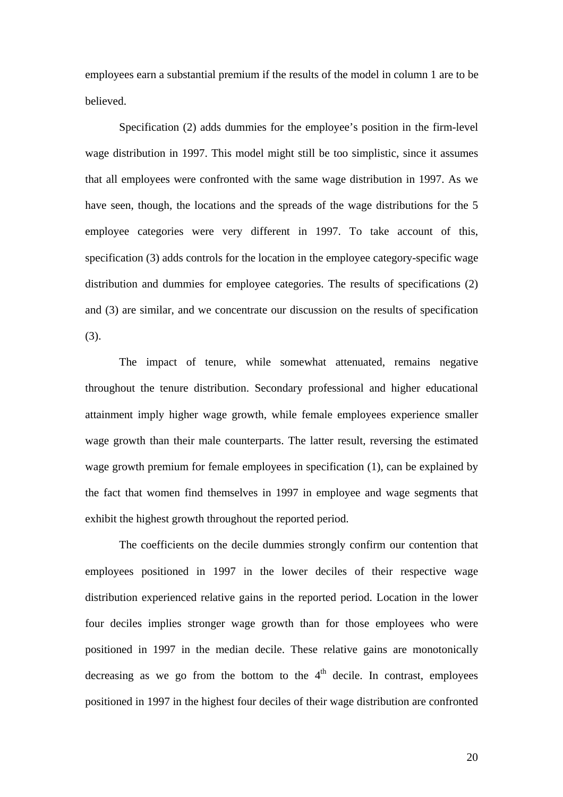employees earn a substantial premium if the results of the model in column 1 are to be believed.

Specification (2) adds dummies for the employee's position in the firm-level wage distribution in 1997. This model might still be too simplistic, since it assumes that all employees were confronted with the same wage distribution in 1997. As we have seen, though, the locations and the spreads of the wage distributions for the 5 employee categories were very different in 1997. To take account of this, specification (3) adds controls for the location in the employee category-specific wage distribution and dummies for employee categories. The results of specifications (2) and (3) are similar, and we concentrate our discussion on the results of specification (3).

The impact of tenure, while somewhat attenuated, remains negative throughout the tenure distribution. Secondary professional and higher educational attainment imply higher wage growth, while female employees experience smaller wage growth than their male counterparts. The latter result, reversing the estimated wage growth premium for female employees in specification (1), can be explained by the fact that women find themselves in 1997 in employee and wage segments that exhibit the highest growth throughout the reported period.

The coefficients on the decile dummies strongly confirm our contention that employees positioned in 1997 in the lower deciles of their respective wage distribution experienced relative gains in the reported period. Location in the lower four deciles implies stronger wage growth than for those employees who were positioned in 1997 in the median decile. These relative gains are monotonically decreasing as we go from the bottom to the  $4<sup>th</sup>$  decile. In contrast, employees positioned in 1997 in the highest four deciles of their wage distribution are confronted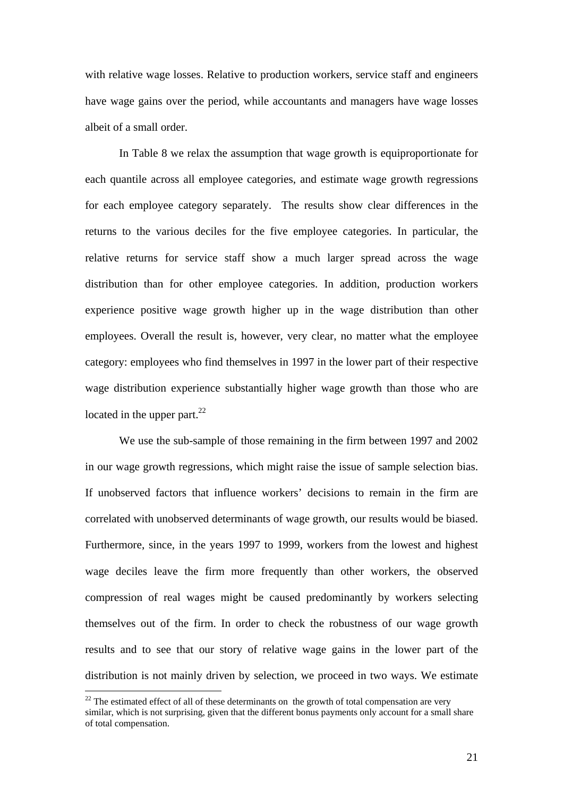with relative wage losses. Relative to production workers, service staff and engineers have wage gains over the period, while accountants and managers have wage losses albeit of a small order.

In Table 8 we relax the assumption that wage growth is equiproportionate for each quantile across all employee categories, and estimate wage growth regressions for each employee category separately. The results show clear differences in the returns to the various deciles for the five employee categories. In particular, the relative returns for service staff show a much larger spread across the wage distribution than for other employee categories. In addition, production workers experience positive wage growth higher up in the wage distribution than other employees. Overall the result is, however, very clear, no matter what the employee category: employees who find themselves in 1997 in the lower part of their respective wage distribution experience substantially higher wage growth than those who are located in the upper part. $^{22}$ 

We use the sub-sample of those remaining in the firm between 1997 and 2002 in our wage growth regressions, which might raise the issue of sample selection bias. If unobserved factors that influence workers' decisions to remain in the firm are correlated with unobserved determinants of wage growth, our results would be biased. Furthermore, since, in the years 1997 to 1999, workers from the lowest and highest wage deciles leave the firm more frequently than other workers, the observed compression of real wages might be caused predominantly by workers selecting themselves out of the firm. In order to check the robustness of our wage growth results and to see that our story of relative wage gains in the lower part of the distribution is not mainly driven by selection, we proceed in two ways. We estimate

<span id="page-20-0"></span> $2<sup>22</sup>$  The estimated effect of all of these determinants on the growth of total compensation are very similar, which is not surprising, given that the different bonus payments only account for a small share of total compensation.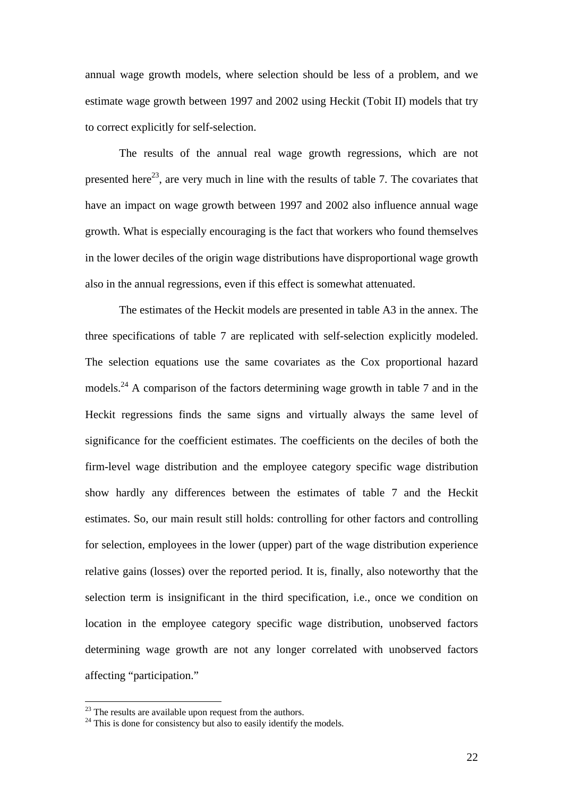annual wage growth models, where selection should be less of a problem, and we estimate wage growth between 1997 and 2002 using Heckit (Tobit II) models that try to correct explicitly for self-selection.

The results of the annual real wage growth regressions, which are not presented here<sup>23</sup>, are very much in line with the results of table 7. The covariates that have an impact on wage growth between 1997 and 2002 also influence annual wage growth. What is especially encouraging is the fact that workers who found themselves in the lower deciles of the origin wage distributions have disproportional wage growth also in the annual regressions, even if this effect is somewhat attenuated.

The estimates of the Heckit models are presented in table A3 in the annex. The three specifications of table 7 are replicated with self-selection explicitly modeled. The selection equations use the same covariates as the Cox proportional hazard models.[24](#page-21-1) A comparison of the factors determining wage growth in table 7 and in the Heckit regressions finds the same signs and virtually always the same level of significance for the coefficient estimates. The coefficients on the deciles of both the firm-level wage distribution and the employee category specific wage distribution show hardly any differences between the estimates of table 7 and the Heckit estimates. So, our main result still holds: controlling for other factors and controlling for selection, employees in the lower (upper) part of the wage distribution experience relative gains (losses) over the reported period. It is, finally, also noteworthy that the selection term is insignificant in the third specification, i.e., once we condition on location in the employee category specific wage distribution, unobserved factors determining wage growth are not any longer correlated with unobserved factors affecting "participation."

<span id="page-21-1"></span><span id="page-21-0"></span>

 $23$  The results are available upon request from the authors.<br> $24$  This is done for consistency but also to easily identify the models.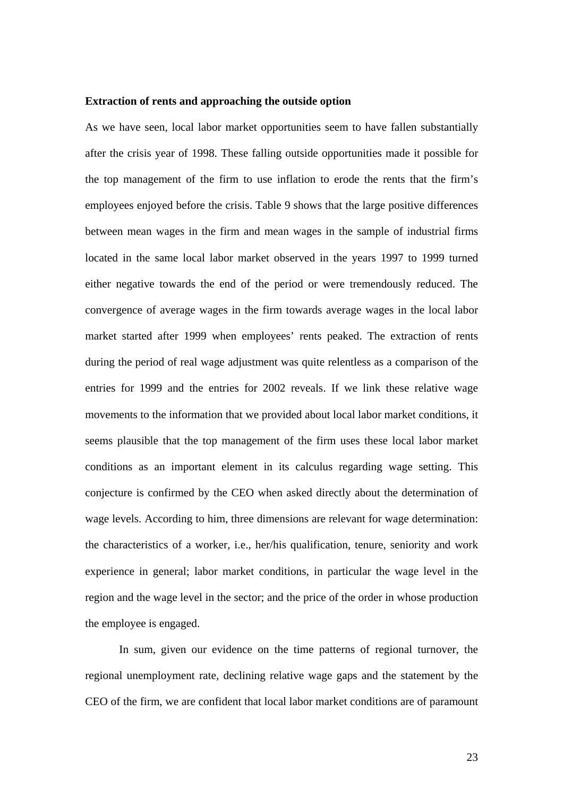#### **Extraction of rents and approaching the outside option**

As we have seen, local labor market opportunities seem to have fallen substantially after the crisis year of 1998. These falling outside opportunities made it possible for the top management of the firm to use inflation to erode the rents that the firm's employees enjoyed before the crisis. Table 9 shows that the large positive differences between mean wages in the firm and mean wages in the sample of industrial firms located in the same local labor market observed in the years 1997 to 1999 turned either negative towards the end of the period or were tremendously reduced. The convergence of average wages in the firm towards average wages in the local labor market started after 1999 when employees' rents peaked. The extraction of rents during the period of real wage adjustment was quite relentless as a comparison of the entries for 1999 and the entries for 2002 reveals. If we link these relative wage movements to the information that we provided about local labor market conditions, it seems plausible that the top management of the firm uses these local labor market conditions as an important element in its calculus regarding wage setting. This conjecture is confirmed by the CEO when asked directly about the determination of wage levels. According to him, three dimensions are relevant for wage determination: the characteristics of a worker, i.e., her/his qualification, tenure, seniority and work experience in general; labor market conditions, in particular the wage level in the region and the wage level in the sector; and the price of the order in whose production the employee is engaged.

In sum, given our evidence on the time patterns of regional turnover, the regional unemployment rate, declining relative wage gaps and the statement by the CEO of the firm, we are confident that local labor market conditions are of paramount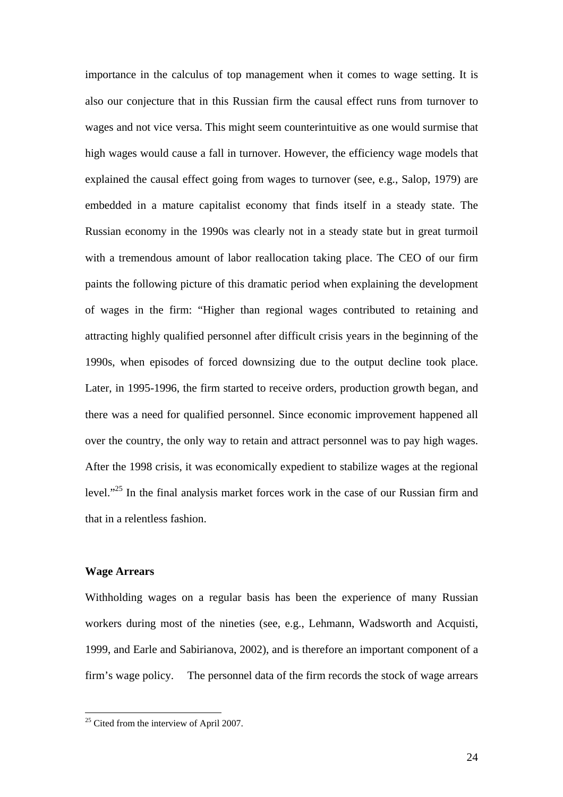importance in the calculus of top management when it comes to wage setting. It is also our conjecture that in this Russian firm the causal effect runs from turnover to wages and not vice versa. This might seem counterintuitive as one would surmise that high wages would cause a fall in turnover. However, the efficiency wage models that explained the causal effect going from wages to turnover (see, e.g., Salop, 1979) are embedded in a mature capitalist economy that finds itself in a steady state. The Russian economy in the 1990s was clearly not in a steady state but in great turmoil with a tremendous amount of labor reallocation taking place. The CEO of our firm paints the following picture of this dramatic period when explaining the development of wages in the firm: "Higher than regional wages contributed to retaining and attracting highly qualified personnel after difficult crisis years in the beginning of the 1990s, when episodes of forced downsizing due to the output decline took place. Later, in 1995-1996, the firm started to receive orders, production growth began, and there was a need for qualified personnel. Since economic improvement happened all over the country, the only way to retain and attract personnel was to pay high wages. After the 1998 crisis, it was economically expedient to stabilize wages at the regional level."<sup>25</sup> In the final analysis market forces work in the case of our Russian firm and that in a relentless fashion.

#### **Wage Arrears**

 $\overline{a}$ 

Withholding wages on a regular basis has been the experience of many Russian workers during most of the nineties (see, e.g., Lehmann, Wadsworth and Acquisti, 1999, and Earle and Sabirianova, 2002), and is therefore an important component of a firm's wage policy. The personnel data of the firm records the stock of wage arrears

<span id="page-23-0"></span> $25$  Cited from the interview of April 2007.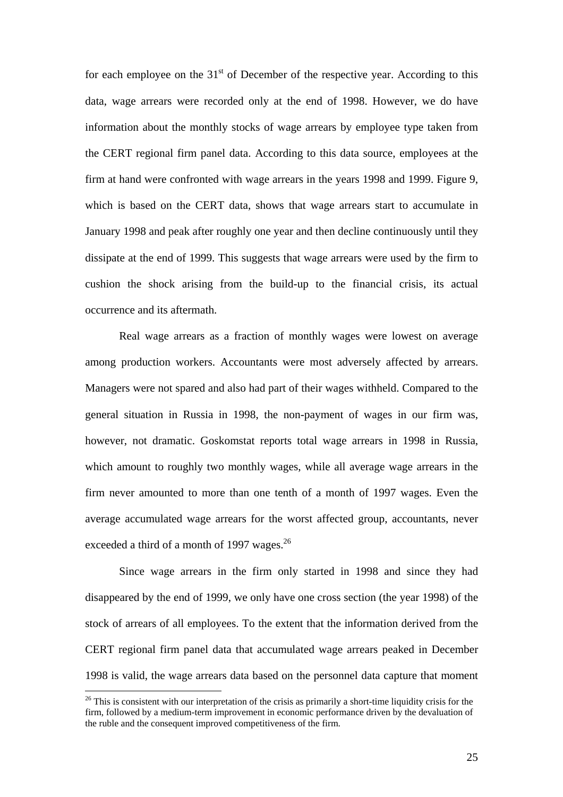for each employee on the  $31<sup>st</sup>$  of December of the respective year. According to this data, wage arrears were recorded only at the end of 1998. However, we do have information about the monthly stocks of wage arrears by employee type taken from the CERT regional firm panel data. According to this data source, employees at the firm at hand were confronted with wage arrears in the years 1998 and 1999. Figure 9, which is based on the CERT data, shows that wage arrears start to accumulate in January 1998 and peak after roughly one year and then decline continuously until they dissipate at the end of 1999. This suggests that wage arrears were used by the firm to cushion the shock arising from the build-up to the financial crisis, its actual occurrence and its aftermath.

Real wage arrears as a fraction of monthly wages were lowest on average among production workers. Accountants were most adversely affected by arrears. Managers were not spared and also had part of their wages withheld. Compared to the general situation in Russia in 1998, the non-payment of wages in our firm was, however, not dramatic. Goskomstat reports total wage arrears in 1998 in Russia, which amount to roughly two monthly wages, while all average wage arrears in the firm never amounted to more than one tenth of a month of 1997 wages. Even the average accumulated wage arrears for the worst affected group, accountants, never exceeded a third of a month of 1997 wages. $^{26}$ 

Since wage arrears in the firm only started in 1998 and since they had disappeared by the end of 1999, we only have one cross section (the year 1998) of the stock of arrears of all employees. To the extent that the information derived from the CERT regional firm panel data that accumulated wage arrears peaked in December 1998 is valid, the wage arrears data based on the personnel data capture that moment

<span id="page-24-0"></span> $26$  This is consistent with our interpretation of the crisis as primarily a short-time liquidity crisis for the firm, followed by a medium-term improvement in economic performance driven by the devaluation of the ruble and the consequent improved competitiveness of the firm.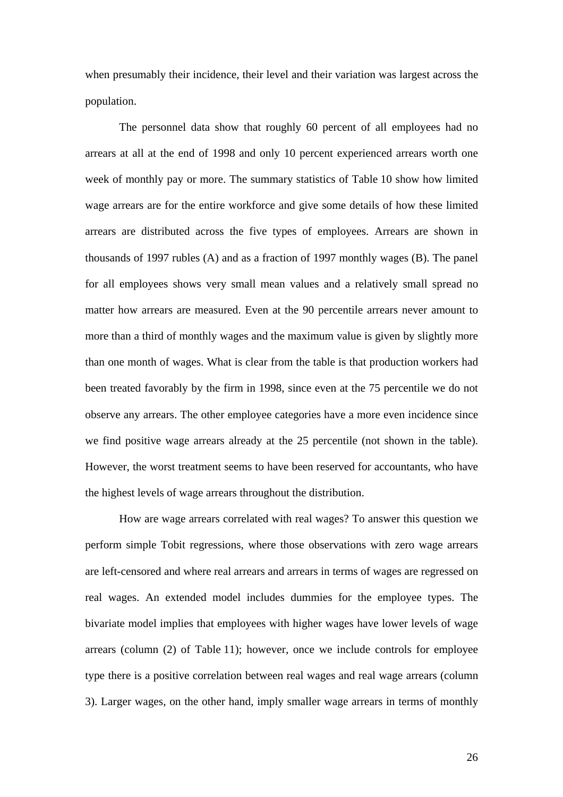when presumably their incidence, their level and their variation was largest across the population.

The personnel data show that roughly 60 percent of all employees had no arrears at all at the end of 1998 and only 10 percent experienced arrears worth one week of monthly pay or more. The summary statistics of Table 10 show how limited wage arrears are for the entire workforce and give some details of how these limited arrears are distributed across the five types of employees. Arrears are shown in thousands of 1997 rubles (A) and as a fraction of 1997 monthly wages (B). The panel for all employees shows very small mean values and a relatively small spread no matter how arrears are measured. Even at the 90 percentile arrears never amount to more than a third of monthly wages and the maximum value is given by slightly more than one month of wages. What is clear from the table is that production workers had been treated favorably by the firm in 1998, since even at the 75 percentile we do not observe any arrears. The other employee categories have a more even incidence since we find positive wage arrears already at the 25 percentile (not shown in the table). However, the worst treatment seems to have been reserved for accountants, who have the highest levels of wage arrears throughout the distribution.

How are wage arrears correlated with real wages? To answer this question we perform simple Tobit regressions, where those observations with zero wage arrears are left-censored and where real arrears and arrears in terms of wages are regressed on real wages. An extended model includes dummies for the employee types. The bivariate model implies that employees with higher wages have lower levels of wage arrears (column (2) of Table 11); however, once we include controls for employee type there is a positive correlation between real wages and real wage arrears (column 3). Larger wages, on the other hand, imply smaller wage arrears in terms of monthly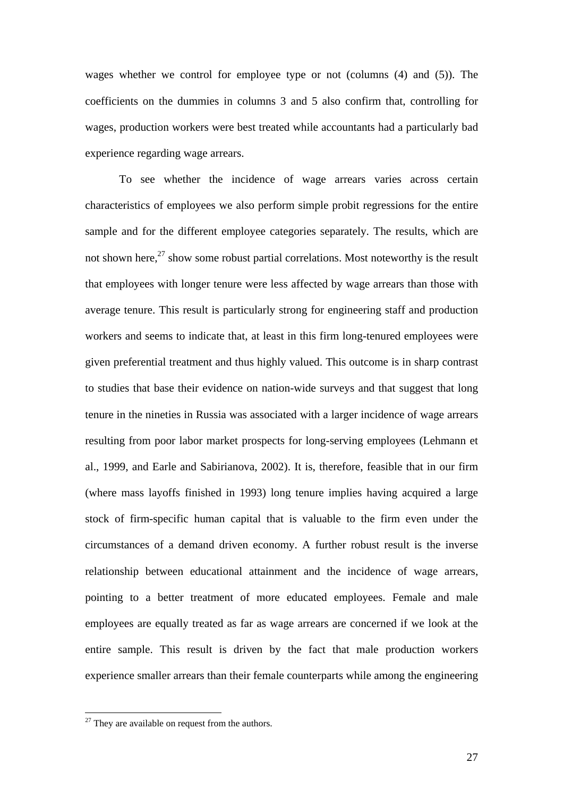wages whether we control for employee type or not (columns (4) and (5)). The coefficients on the dummies in columns 3 and 5 also confirm that, controlling for wages, production workers were best treated while accountants had a particularly bad experience regarding wage arrears.

To see whether the incidence of wage arrears varies across certain characteristics of employees we also perform simple probit regressions for the entire sample and for the different employee categories separately. The results, which are not shown here, $^{27}$  show some robust partial correlations. Most noteworthy is the result that employees with longer tenure were less affected by wage arrears than those with average tenure. This result is particularly strong for engineering staff and production workers and seems to indicate that, at least in this firm long-tenured employees were given preferential treatment and thus highly valued. This outcome is in sharp contrast to studies that base their evidence on nation-wide surveys and that suggest that long tenure in the nineties in Russia was associated with a larger incidence of wage arrears resulting from poor labor market prospects for long-serving employees (Lehmann et al., 1999, and Earle and Sabirianova, 2002). It is, therefore, feasible that in our firm (where mass layoffs finished in 1993) long tenure implies having acquired a large stock of firm-specific human capital that is valuable to the firm even under the circumstances of a demand driven economy. A further robust result is the inverse relationship between educational attainment and the incidence of wage arrears, pointing to a better treatment of more educated employees. Female and male employees are equally treated as far as wage arrears are concerned if we look at the entire sample. This result is driven by the fact that male production workers experience smaller arrears than their female counterparts while among the engineering

<span id="page-26-0"></span> $27$  They are available on request from the authors.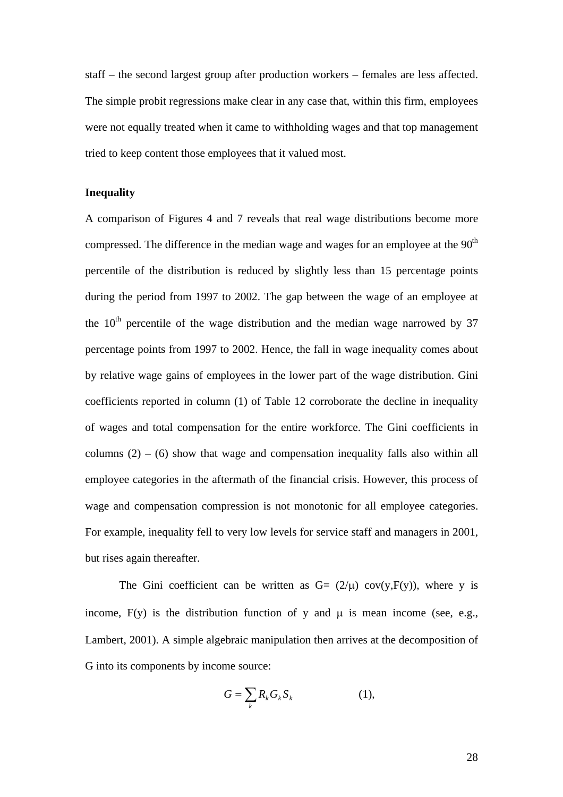staff – the second largest group after production workers – females are less affected. The simple probit regressions make clear in any case that, within this firm, employees were not equally treated when it came to withholding wages and that top management tried to keep content those employees that it valued most.

#### **Inequality**

A comparison of Figures 4 and 7 reveals that real wage distributions become more compressed. The difference in the median wage and wages for an employee at the  $90<sup>th</sup>$ percentile of the distribution is reduced by slightly less than 15 percentage points during the period from 1997 to 2002. The gap between the wage of an employee at the  $10<sup>th</sup>$  percentile of the wage distribution and the median wage narrowed by 37 percentage points from 1997 to 2002. Hence, the fall in wage inequality comes about by relative wage gains of employees in the lower part of the wage distribution. Gini coefficients reported in column (1) of Table 12 corroborate the decline in inequality of wages and total compensation for the entire workforce. The Gini coefficients in columns  $(2) - (6)$  show that wage and compensation inequality falls also within all employee categories in the aftermath of the financial crisis. However, this process of wage and compensation compression is not monotonic for all employee categories. For example, inequality fell to very low levels for service staff and managers in 2001, but rises again thereafter.

The Gini coefficient can be written as  $G = (2/\mu)$  cov(y,F(y)), where y is income,  $F(y)$  is the distribution function of y and  $\mu$  is mean income (see, e.g., Lambert, 2001). A simple algebraic manipulation then arrives at the decomposition of G into its components by income source:

$$
G = \sum_{k} R_{k} G_{k} S_{k} \tag{1},
$$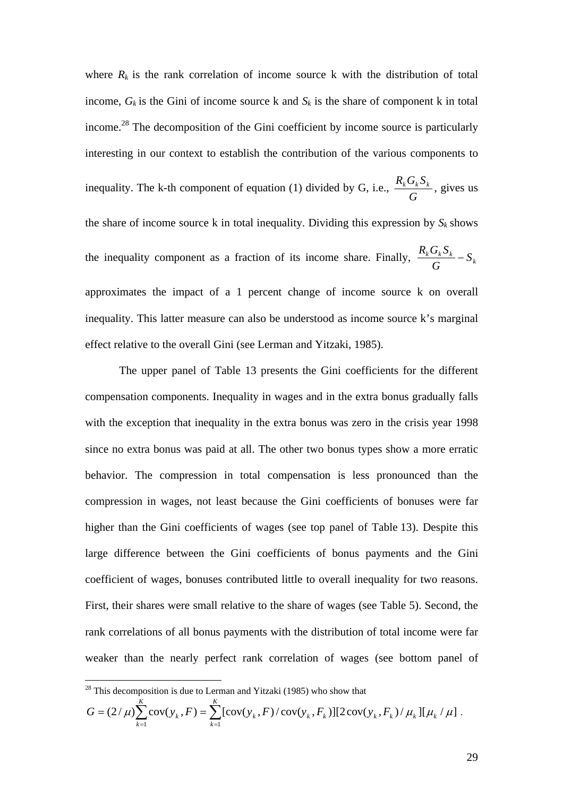where  $R_k$  is the rank correlation of income source k with the distribution of total income,  $G_k$  is the Gini of income source k and  $S_k$  is the share of component k in total income.<sup>28</sup> The decomposition of the Gini coefficient by income source is particularly interesting in our context to establish the contribution of the various components to inequality. The k-th component of equation (1) divided by G, i.e.,  $\frac{R_k G_k S_k}{G}$ , gives us the share of income source k in total inequality. Dividing this expression by  $S_k$  shows the inequality component as a fraction of its income share. Finally,  $\frac{R_k G_k B_k}{G} - S_k$ *G*  $\frac{R_k G_k S_k}{T}$  – approximates the impact of a 1 percent change of income source k on overall inequality. This latter measure can also be understood as income source k's marginal effect relative to the overall Gini (see Lerman and Yitzaki, 1985).

The upper panel of Table 13 presents the Gini coefficients for the different compensation components. Inequality in wages and in the extra bonus gradually falls with the exception that inequality in the extra bonus was zero in the crisis year 1998 since no extra bonus was paid at all. The other two bonus types show a more erratic behavior. The compression in total compensation is less pronounced than the compression in wages, not least because the Gini coefficients of bonuses were far higher than the Gini coefficients of wages (see top panel of Table 13). Despite this large difference between the Gini coefficients of bonus payments and the Gini coefficient of wages, bonuses contributed little to overall inequality for two reasons. First, their shares were small relative to the share of wages (see Table 5). Second, the rank correlations of all bonus payments with the distribution of total income were far weaker than the nearly perfect rank correlation of wages (see bottom panel of

$$
G = (2/\mu) \sum_{k=1}^{K} cov(y_k, F) = \sum_{k=1}^{K} [cov(y_k, F) / cov(y_k, F_k)][2 cov(y_k, F_k) / \mu_k][\mu_k / \mu].
$$

<span id="page-28-0"></span> $2<sup>28</sup>$  This decomposition is due to Lerman and Yitzaki (1985) who show that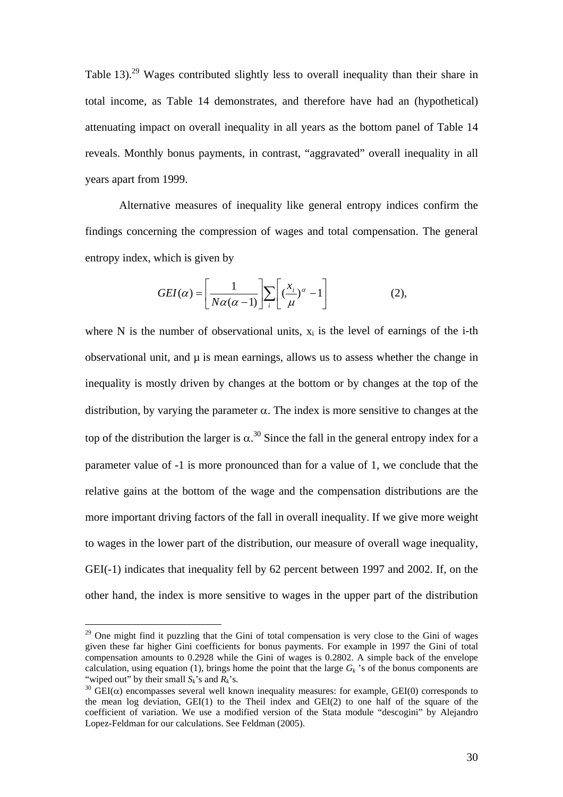Table 13).<sup>29</sup> Wages contributed slightly less to overall inequality than their share in total income, as Table 14 demonstrates, and therefore have had an (hypothetical) attenuating impact on overall inequality in all years as the bottom panel of Table 14 reveals. Monthly bonus payments, in contrast, "aggravated" overall inequality in all years apart from 1999.

Alternative measures of inequality like general entropy indices confirm the findings concerning the compression of wages and total compensation. The general entropy index, which is given by

$$
GEI(\alpha) = \left[\frac{1}{N\alpha(\alpha-1)}\right] \sum_{i} \left[\left(\frac{x_i}{\mu}\right)^{\alpha} - 1\right]
$$
 (2),

where N is the number of observational units,  $x_i$  is the level of earnings of the i-th observational unit, and  $\mu$  is mean earnings, allows us to assess whether the change in inequality is mostly driven by changes at the bottom or by changes at the top of the distribution, by varying the parameter  $\alpha$ . The index is more sensitive to changes at the top of the distribution the larger is  $\alpha$ .<sup>30</sup> Since the fall in the general entropy index for a parameter value of -1 is more pronounced than for a value of 1, we conclude that the relative gains at the bottom of the wage and the compensation distributions are the more important driving factors of the fall in overall inequality. If we give more weight to wages in the lower part of the distribution, our measure of overall wage inequality, GEI(-1) indicates that inequality fell by 62 percent between 1997 and 2002. If, on the other hand, the index is more sensitive to wages in the upper part of the distribution

<span id="page-29-0"></span><sup>&</sup>lt;sup>29</sup> One might find it puzzling that the Gini of total compensation is very close to the Gini of wages given these far higher Gini coefficients for bonus payments. For example in 1997 the Gini of total compensation amounts to 0.2928 while the Gini of wages is 0.2802. A simple back of the envelope calculation, using equation (1), brings home the point that the large  $G_k$  's of the bonus components are "wiped out" by their small  $S_k$ 's and  $R_k$ 's.

<span id="page-29-1"></span><sup>&</sup>lt;sup>30</sup>  $\overline{\text{GEI}}(\alpha)$  encompasses several well known inequality measures: for example,  $\overline{\text{GEI}}(0)$  corresponds to the mean log deviation, GEI(1) to the Theil index and GEI(2) to one half of the square of the coefficient of variation. We use a modified version of the Stata module "descogini" by Alejandro Lopez-Feldman for our calculations. See Feldman (2005).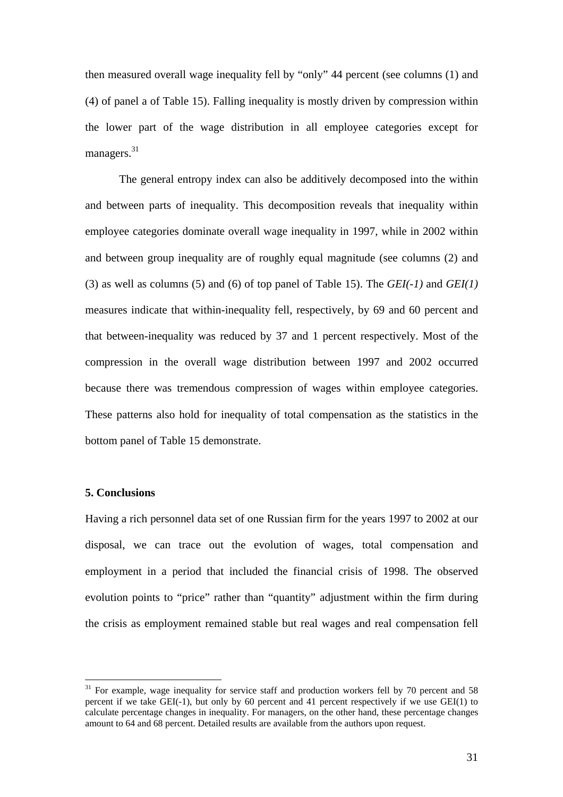then measured overall wage inequality fell by "only" 44 percent (see columns (1) and (4) of panel a of Table 15). Falling inequality is mostly driven by compression within the lower part of the wage distribution in all employee categories except for managers.<sup>31</sup>

The general entropy index can also be additively decomposed into the within and between parts of inequality. This decomposition reveals that inequality within employee categories dominate overall wage inequality in 1997, while in 2002 within and between group inequality are of roughly equal magnitude (see columns (2) and (3) as well as columns (5) and (6) of top panel of Table 15). The *GEI(-1)* and *GEI(1)* measures indicate that within-inequality fell, respectively, by 69 and 60 percent and that between-inequality was reduced by 37 and 1 percent respectively. Most of the compression in the overall wage distribution between 1997 and 2002 occurred because there was tremendous compression of wages within employee categories. These patterns also hold for inequality of total compensation as the statistics in the bottom panel of Table 15 demonstrate.

## **5. Conclusions**

Having a rich personnel data set of one Russian firm for the years 1997 to 2002 at our disposal, we can trace out the evolution of wages, total compensation and employment in a period that included the financial crisis of 1998. The observed evolution points to "price" rather than "quantity" adjustment within the firm during the crisis as employment remained stable but real wages and real compensation fell

<span id="page-30-0"></span> $31$  For example, wage inequality for service staff and production workers fell by 70 percent and 58 percent if we take GEI(-1), but only by 60 percent and 41 percent respectively if we use GEI(1) to calculate percentage changes in inequality. For managers, on the other hand, these percentage changes amount to 64 and 68 percent. Detailed results are available from the authors upon request.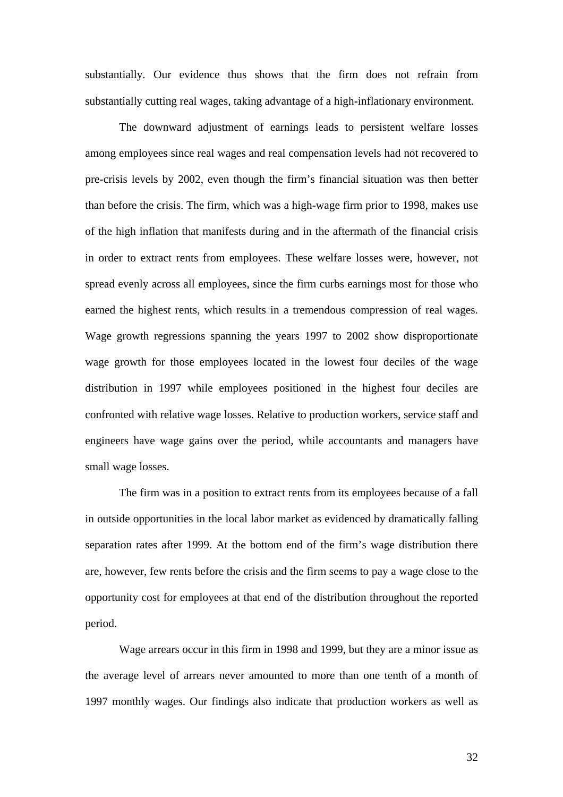substantially. Our evidence thus shows that the firm does not refrain from substantially cutting real wages, taking advantage of a high-inflationary environment.

The downward adjustment of earnings leads to persistent welfare losses among employees since real wages and real compensation levels had not recovered to pre-crisis levels by 2002, even though the firm's financial situation was then better than before the crisis. The firm, which was a high-wage firm prior to 1998, makes use of the high inflation that manifests during and in the aftermath of the financial crisis in order to extract rents from employees. These welfare losses were, however, not spread evenly across all employees, since the firm curbs earnings most for those who earned the highest rents, which results in a tremendous compression of real wages. Wage growth regressions spanning the years 1997 to 2002 show disproportionate wage growth for those employees located in the lowest four deciles of the wage distribution in 1997 while employees positioned in the highest four deciles are confronted with relative wage losses. Relative to production workers, service staff and engineers have wage gains over the period, while accountants and managers have small wage losses.

The firm was in a position to extract rents from its employees because of a fall in outside opportunities in the local labor market as evidenced by dramatically falling separation rates after 1999. At the bottom end of the firm's wage distribution there are, however, few rents before the crisis and the firm seems to pay a wage close to the opportunity cost for employees at that end of the distribution throughout the reported period.

Wage arrears occur in this firm in 1998 and 1999, but they are a minor issue as the average level of arrears never amounted to more than one tenth of a month of 1997 monthly wages. Our findings also indicate that production workers as well as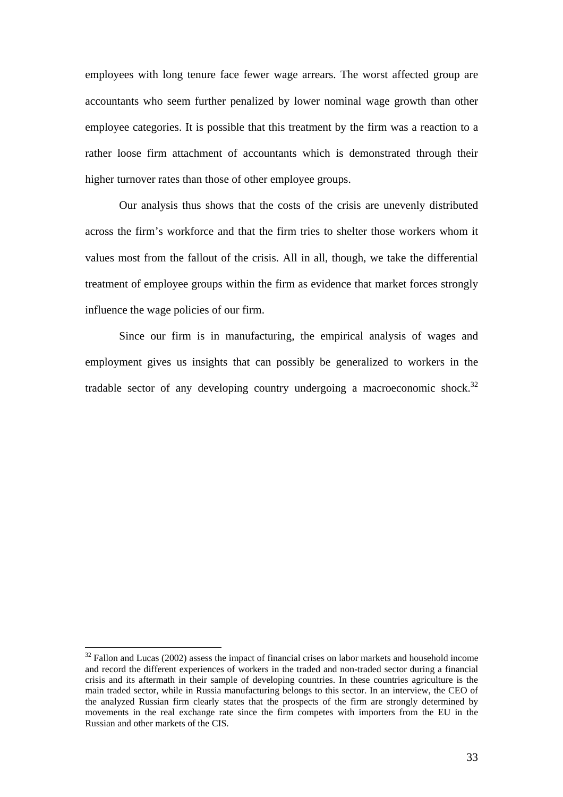employees with long tenure face fewer wage arrears. The worst affected group are accountants who seem further penalized by lower nominal wage growth than other employee categories. It is possible that this treatment by the firm was a reaction to a rather loose firm attachment of accountants which is demonstrated through their higher turnover rates than those of other employee groups.

Our analysis thus shows that the costs of the crisis are unevenly distributed across the firm's workforce and that the firm tries to shelter those workers whom it values most from the fallout of the crisis. All in all, though, we take the differential treatment of employee groups within the firm as evidence that market forces strongly influence the wage policies of our firm.

Since our firm is in manufacturing, the empirical analysis of wages and employment gives us insights that can possibly be generalized to workers in the tradable sector of any developing country undergoing a macroeconomic shock.<sup>[32](#page-32-0)</sup>

<span id="page-32-0"></span> $32$  Fallon and Lucas (2002) assess the impact of financial crises on labor markets and household income and record the different experiences of workers in the traded and non-traded sector during a financial crisis and its aftermath in their sample of developing countries. In these countries agriculture is the main traded sector, while in Russia manufacturing belongs to this sector. In an interview, the CEO of the analyzed Russian firm clearly states that the prospects of the firm are strongly determined by movements in the real exchange rate since the firm competes with importers from the EU in the Russian and other markets of the CIS.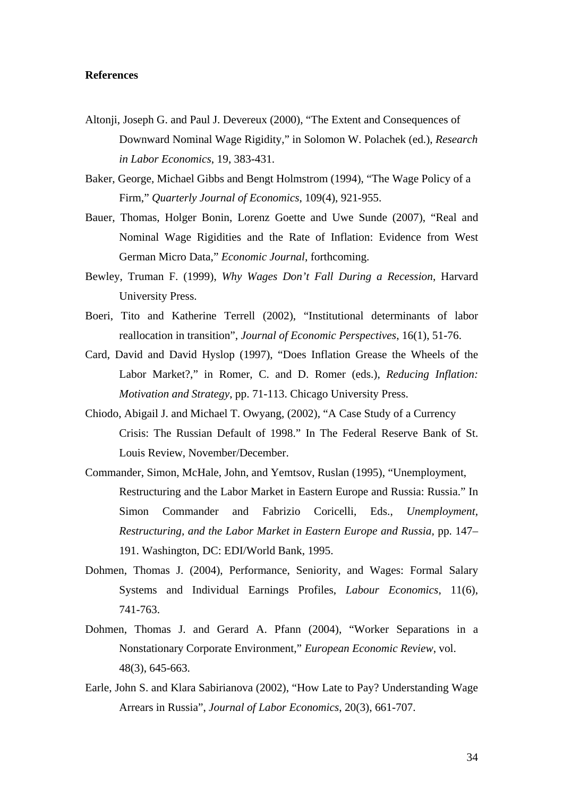### **References**

- Altonji, Joseph G. and Paul J. Devereux (2000), "The Extent and Consequences of Downward Nominal Wage Rigidity," in Solomon W. Polachek (ed.), *Research in Labor Economics*, 19, 383-431.
- Baker, George, Michael Gibbs and Bengt Holmstrom (1994), "The Wage Policy of a Firm," *Quarterly Journal of Economics*, 109(4), 921-955.
- Bauer, Thomas, Holger Bonin, Lorenz Goette and Uwe Sunde (2007), "Real and Nominal Wage Rigidities and the Rate of Inflation: Evidence from West German Micro Data," *Economic Journal*, forthcoming.
- Bewley, Truman F. (1999), *Why Wages Don't Fall During a Recession*, Harvard University Press.
- Boeri, Tito and Katherine Terrell (2002), "Institutional determinants of labor reallocation in transition", *Journal of Economic Perspectives*, 16(1), 51-76.
- Card, David and David Hyslop (1997), "Does Inflation Grease the Wheels of the Labor Market?," in Romer, C. and D. Romer (eds.), *Reducing Inflation: Motivation and Strategy*, pp. 71-113. Chicago University Press.
- Chiodo, Abigail J. and Michael T. Owyang, (2002), "A Case Study of a Currency Crisis: The Russian Default of 1998." In The Federal Reserve Bank of St. Louis Review, November/December.
- Commander, Simon, McHale, John, and Yemtsov, Ruslan (1995), "Unemployment, Restructuring and the Labor Market in Eastern Europe and Russia: Russia." In Simon Commander and Fabrizio Coricelli, Eds., *Unemployment, Restructuring, and the Labor Market in Eastern Europe and Russia,* pp. 147– 191. Washington, DC: EDI/World Bank, 1995.
- Dohmen, Thomas J. (2004), Performance, Seniority, and Wages: Formal Salary Systems and Individual Earnings Profiles, *Labour Economics*, 11(6), 741-763.
- Dohmen, Thomas J. and Gerard A. Pfann (2004), "Worker Separations in a Nonstationary Corporate Environment," *European Economic Review*, vol. 48(3), 645-663.
- Earle, John S. and Klara Sabirianova (2002), "How Late to Pay? Understanding Wage Arrears in Russia", *Journal of Labor Economics*, 20(3), 661-707.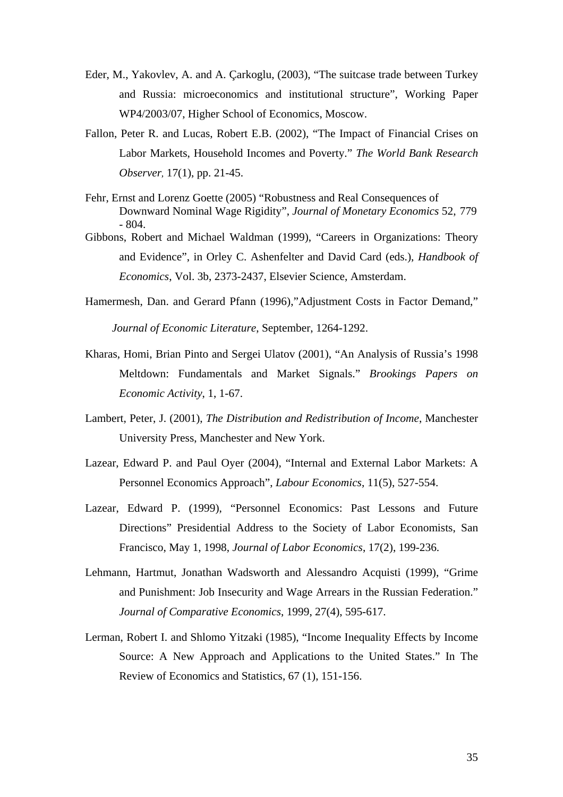- Eder, M., Yakovlev, A. and A. Çarkoglu, (2003), "The suitcase trade between Turkey and Russia: microeconomics and institutional structure", Working Paper WP4/2003/07, Higher School of Economics, Moscow.
- Fallon, Peter R. and Lucas, Robert E.B. (2002), "The Impact of Financial Crises on Labor Markets, Household Incomes and Poverty." *The World Bank Research Observer,* 17(1), pp. 21-45.
- Fehr, Ernst and Lorenz Goette (2005) "Robustness and Real Consequences of Downward Nominal Wage Rigidity", *Journal of Monetary Economics* 52, 779 - 804.
- Gibbons, Robert and Michael Waldman (1999), "Careers in Organizations: Theory and Evidence", in Orley C. Ashenfelter and David Card (eds.), *Handbook of Economics*, Vol. 3b, 2373-2437, Elsevier Science, Amsterdam.
- Hamermesh, Dan. and Gerard Pfann (1996),"Adjustment Costs in Factor Demand," *Journal of Economic Literature*, September, 1264-1292.
- Kharas, Homi, Brian Pinto and Sergei Ulatov (2001), "An Analysis of Russia's 1998 Meltdown: Fundamentals and Market Signals." *Brookings Papers on Economic Activity*, 1, 1-67.
- Lambert, Peter, J. (2001), *The Distribution and Redistribution of Income*, Manchester University Press, Manchester and New York.
- Lazear, Edward P. and Paul Oyer (2004), "Internal and External Labor Markets: A Personnel Economics Approach", *Labour Economics*, 11(5), 527-554.
- Lazear, Edward P. (1999), "Personnel Economics: Past Lessons and Future Directions" Presidential Address to the Society of Labor Economists, San Francisco, May 1, 1998, *Journal of Labor Economics*, 17(2), 199-236.
- Lehmann, Hartmut, Jonathan Wadsworth and Alessandro Acquisti (1999), "Grime and Punishment: Job Insecurity and Wage Arrears in the Russian Federation." *Journal of Comparative Economics*, 1999, 27(4), 595-617.
- Lerman, Robert I. and Shlomo Yitzaki (1985), "Income Inequality Effects by Income Source: A New Approach and Applications to the United States." In The Review of Economics and Statistics, 67 (1), 151-156.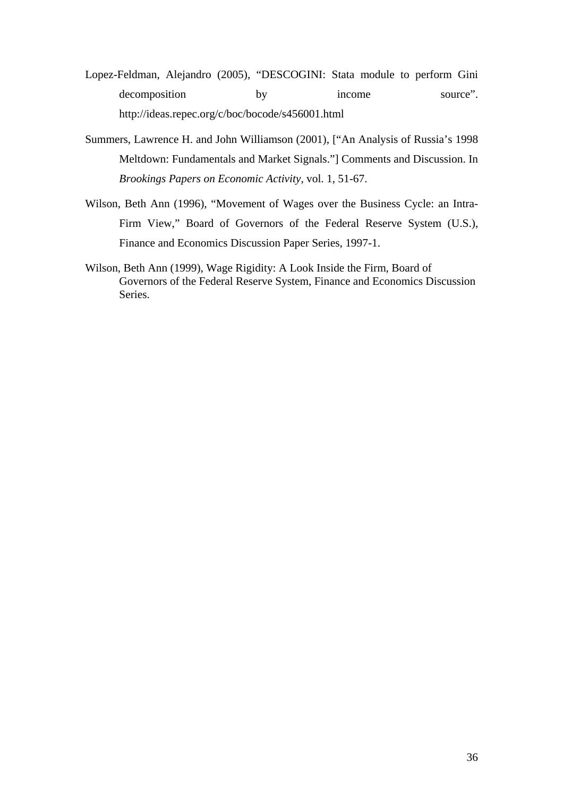- Lopez-Feldman, Alejandro (2005), "DESCOGINI: Stata module to perform Gini decomposition by income source". http://ideas.repec.org/c/boc/bocode/s456001.html
- Summers, Lawrence H. and John Williamson (2001), ["An Analysis of Russia's 1998 Meltdown: Fundamentals and Market Signals."] Comments and Discussion. In *Brookings Papers on Economic Activity*, vol. 1, 51-67.
- Wilson, Beth Ann (1996), "Movement of Wages over the Business Cycle: an Intra-Firm View," Board of Governors of the Federal Reserve System (U.S.), Finance and Economics Discussion Paper Series, 1997-1.
- Wilson, Beth Ann (1999), Wage Rigidity: A Look Inside the Firm, Board of Governors of the Federal Reserve System, Finance and Economics Discussion Series.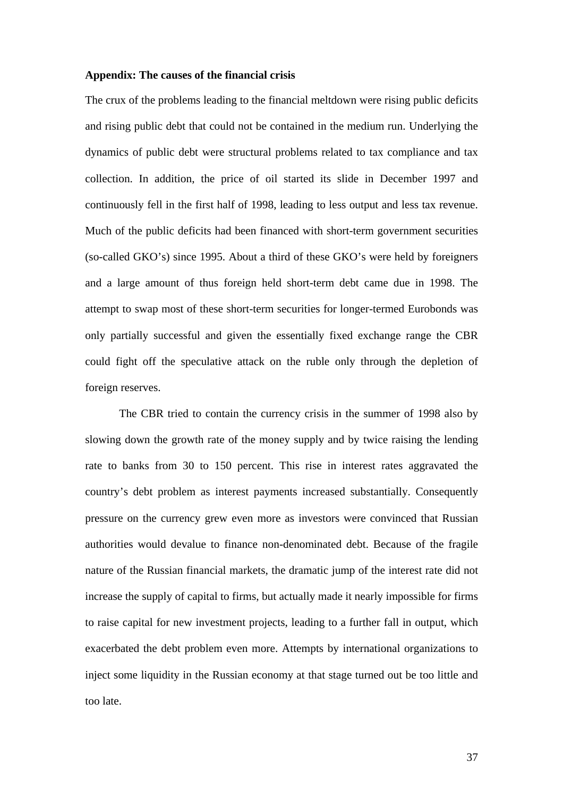#### **Appendix: The causes of the financial crisis**

The crux of the problems leading to the financial meltdown were rising public deficits and rising public debt that could not be contained in the medium run. Underlying the dynamics of public debt were structural problems related to tax compliance and tax collection. In addition, the price of oil started its slide in December 1997 and continuously fell in the first half of 1998, leading to less output and less tax revenue. Much of the public deficits had been financed with short-term government securities (so-called GKO's) since 1995. About a third of these GKO's were held by foreigners and a large amount of thus foreign held short-term debt came due in 1998. The attempt to swap most of these short-term securities for longer-termed Eurobonds was only partially successful and given the essentially fixed exchange range the CBR could fight off the speculative attack on the ruble only through the depletion of foreign reserves.

The CBR tried to contain the currency crisis in the summer of 1998 also by slowing down the growth rate of the money supply and by twice raising the lending rate to banks from 30 to 150 percent. This rise in interest rates aggravated the country's debt problem as interest payments increased substantially. Consequently pressure on the currency grew even more as investors were convinced that Russian authorities would devalue to finance non-denominated debt. Because of the fragile nature of the Russian financial markets, the dramatic jump of the interest rate did not increase the supply of capital to firms, but actually made it nearly impossible for firms to raise capital for new investment projects, leading to a further fall in output, which exacerbated the debt problem even more. Attempts by international organizations to inject some liquidity in the Russian economy at that stage turned out be too little and too late.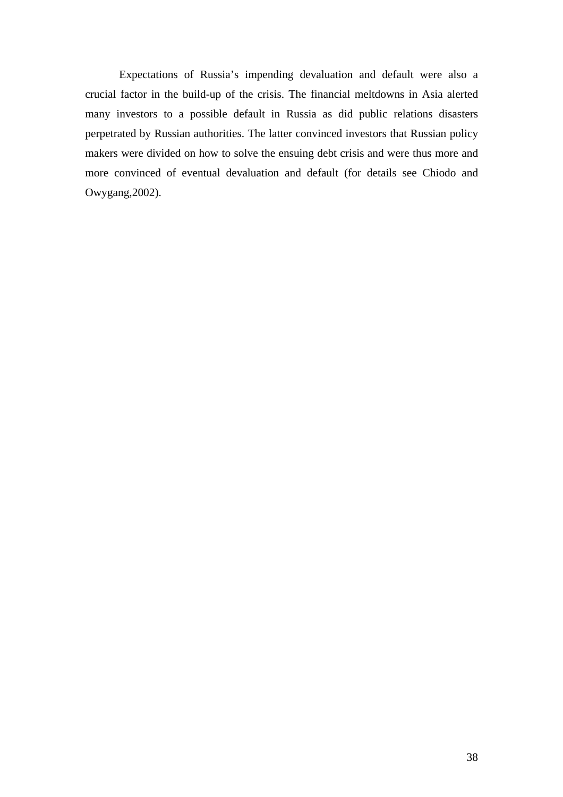Expectations of Russia's impending devaluation and default were also a crucial factor in the build-up of the crisis. The financial meltdowns in Asia alerted many investors to a possible default in Russia as did public relations disasters perpetrated by Russian authorities. The latter convinced investors that Russian policy makers were divided on how to solve the ensuing debt crisis and were thus more and more convinced of eventual devaluation and default (for details see Chiodo and Owygang,2002).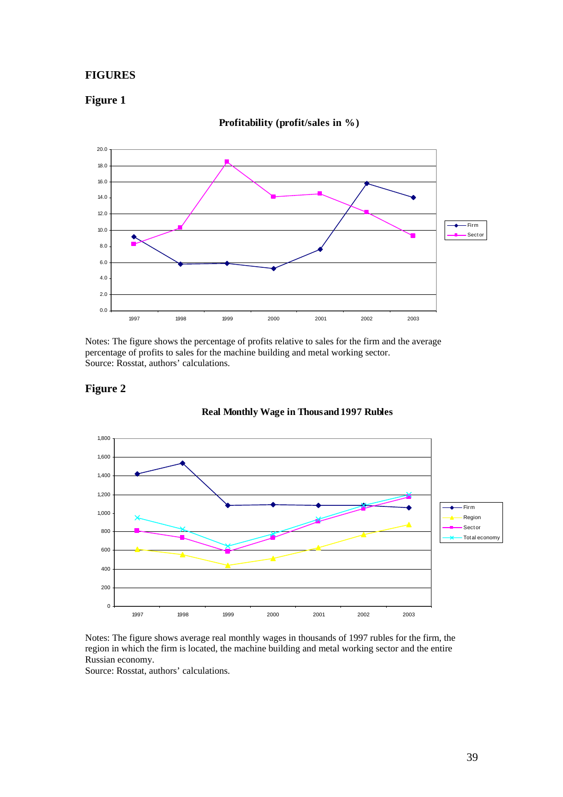## **FIGURES**





**Profitability (profit/sales in %)**

Notes: The figure shows the percentage of profits relative to sales for the firm and the average percentage of profits to sales for the machine building and metal working sector. Source: Rosstat, authors' calculations.





**Real Monthly Wage in Thousand 1997 Rubles**

Notes: The figure shows average real monthly wages in thousands of 1997 rubles for the firm, the region in which the firm is located, the machine building and metal working sector and the entire Russian economy.

Source: Rosstat, authors' calculations.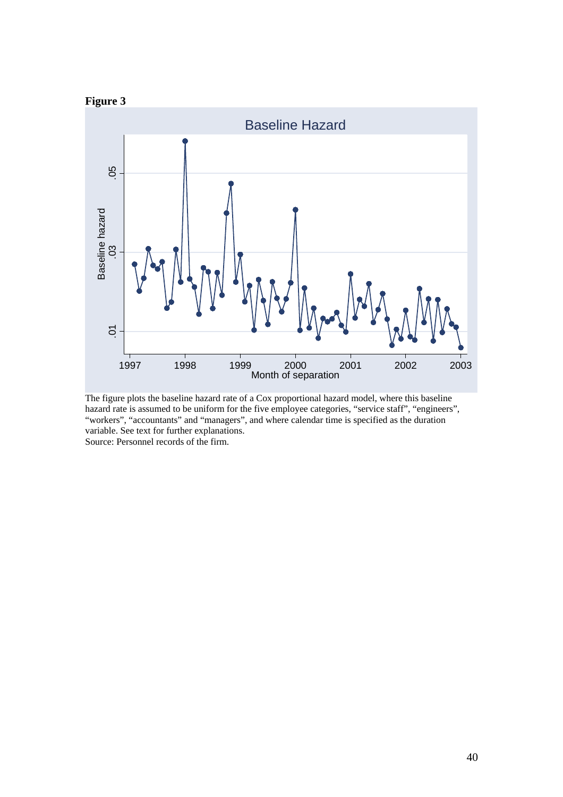



The figure plots the baseline hazard rate of a Cox proportional hazard model, where this baseline hazard rate is assumed to be uniform for the five employee categories, "service staff", "engineers", "workers", "accountants" and "managers", and where calendar time is specified as the duration variable. See text for further explanations. Source: Personnel records of the firm.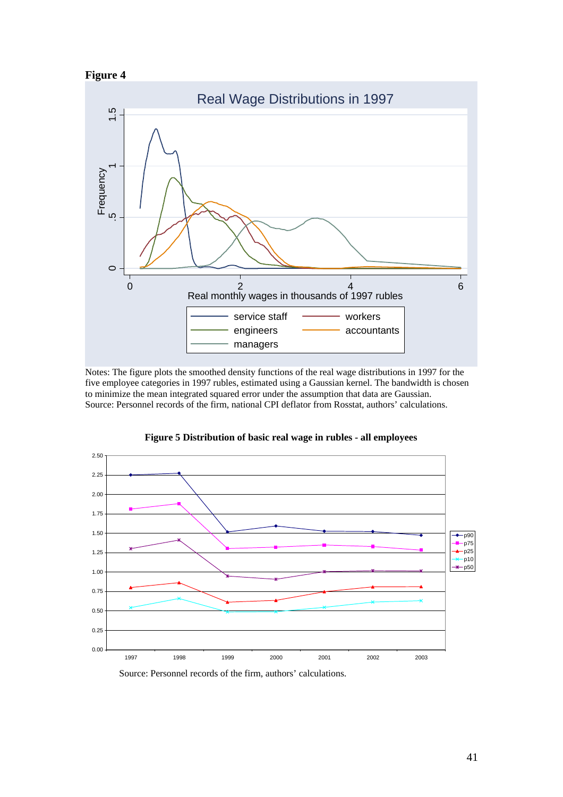



Notes: The figure plots the smoothed density functions of the real wage distributions in 1997 for the five employee categories in 1997 rubles, estimated using a Gaussian kernel. The bandwidth is chosen to minimize the mean integrated squared error under the assumption that data are Gaussian. Source: Personnel records of the firm, national CPI deflator from Rosstat, authors' calculations.



**Figure 5 Distribution of basic real wage in rubles - all employees**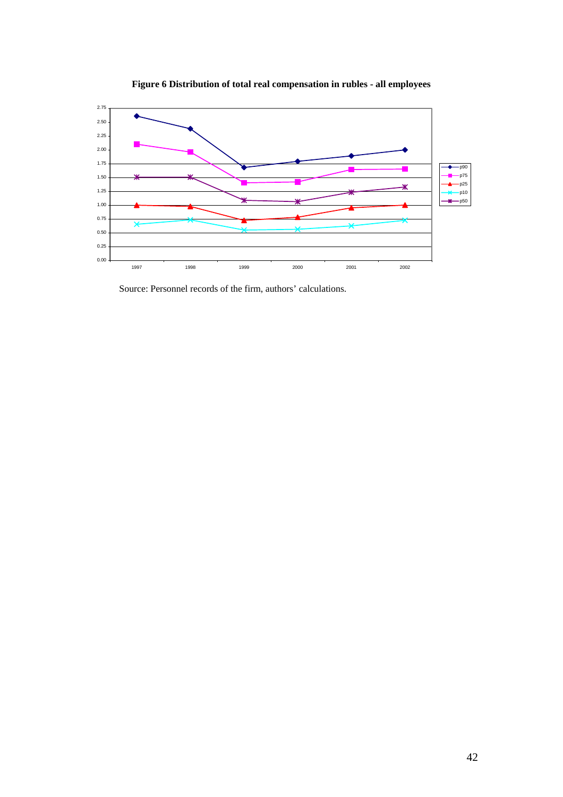

**Figure 6 Distribution of total real compensation in rubles - all employees**

Source: Personnel records of the firm, authors' calculations.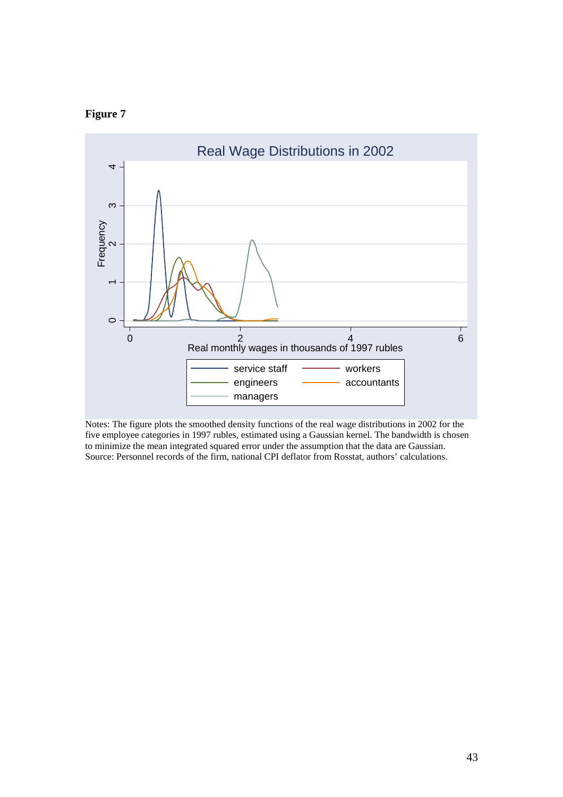



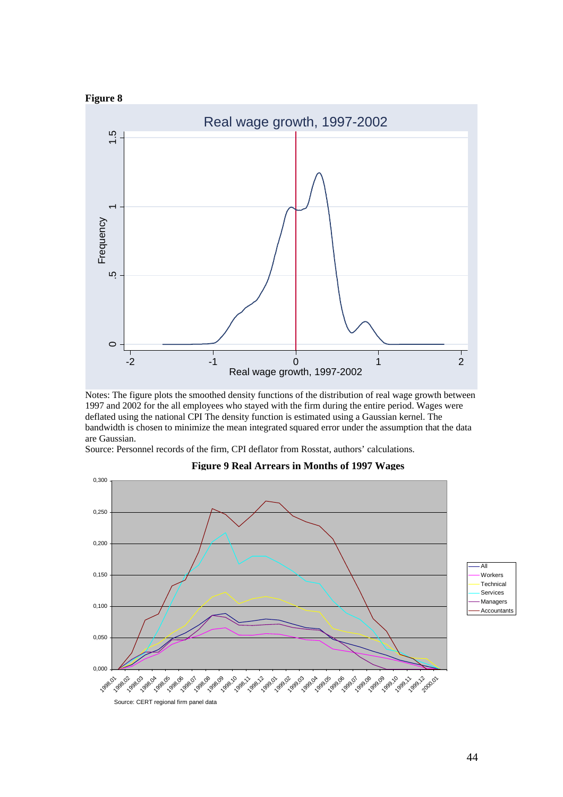



Notes: The figure plots the smoothed density functions of the distribution of real wage growth between 1997 and 2002 for the all employees who stayed with the firm during the entire period. Wages were deflated using the national CPI The density function is estimated using a Gaussian kernel. The bandwidth is chosen to minimize the mean integrated squared error under the assumption that the data are Gaussian.

Source: Personnel records of the firm, CPI deflator from Rosstat, authors' calculations.



#### **Figure 9 Real Arrears in Months of 1997 Wages**



Source: CERT regional firm panel data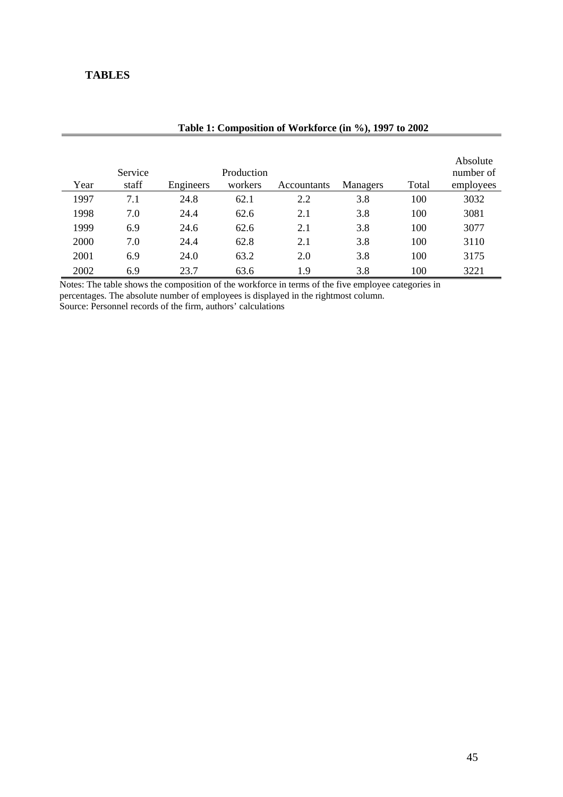## **TABLES**

|      | Service |           | Production |             |          |       | Absolute<br>number of |
|------|---------|-----------|------------|-------------|----------|-------|-----------------------|
| Year | staff   | Engineers | workers    | Accountants | Managers | Total | employees             |
| 1997 | 7.1     | 24.8      | 62.1       | 2.2         | 3.8      | 100   | 3032                  |
| 1998 | 7.0     | 24.4      | 62.6       | 2.1         | 3.8      | 100   | 3081                  |
| 1999 | 6.9     | 24.6      | 62.6       | 2.1         | 3.8      | 100   | 3077                  |
| 2000 | 7.0     | 24.4      | 62.8       | 2.1         | 3.8      | 100   | 3110                  |
| 2001 | 6.9     | 24.0      | 63.2       | 2.0         | 3.8      | 100   | 3175                  |
| 2002 | 6.9     | 23.7      | 63.6       | 1.9         | 3.8      | 100   | 3221                  |

### **Table 1: Composition of Workforce (in %), 1997 to 2002**

Notes: The table shows the composition of the workforce in terms of the five employee categories in percentages. The absolute number of employees is displayed in the rightmost column. Source: Personnel records of the firm, authors' calculations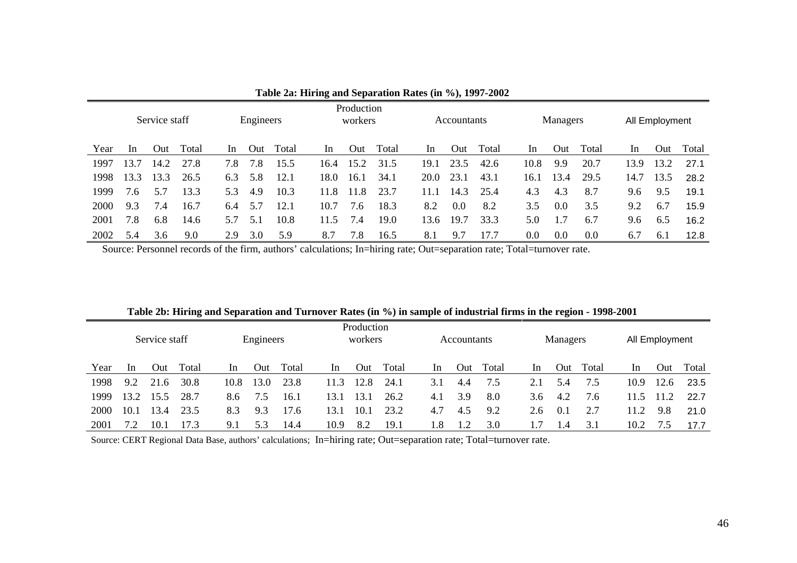|      |     |               |       |               |           |       |               | Production |       |      |             |       |               |          |       |      |                |       |
|------|-----|---------------|-------|---------------|-----------|-------|---------------|------------|-------|------|-------------|-------|---------------|----------|-------|------|----------------|-------|
|      |     | Service staff |       |               | Engineers |       |               | workers    |       |      | Accountants |       |               | Managers |       |      | All Employment |       |
|      |     |               |       |               |           |       |               |            |       |      |             |       |               |          |       |      |                |       |
| Year | -In | Out           | Total | <sub>In</sub> | Out       | Total | <sub>In</sub> | Out        | Total | In   | Out         | Total | <sub>In</sub> | Out      | Total | -In  | Out            | Total |
| 1997 | 3.7 | 14.2          | 27.8  | 7.8           | 7.8       | 15.5  | 16.4          | 15.2       | 31.5  | 19.1 | 23.5        | 42.6  | 10.8          | 9.9      | 20.7  | 13.9 | 3.2            | 27.1  |
| 1998 | 3.3 | 13.3          | 26.5  | 6.3           | 5.8       | 12.1  | 18.0          | 16.1       | 34.1  | 20.0 | 23.1        | 43.1  | 16.1          | 13.4     | 29.5  | 14.7 | 13.5           | 28.2  |
| 1999 | 7.6 | 5.7           | 13.3  | 5.3           | 4.9       | 10.3  | 11.8          | 11.8       | 23.7  | 1.1  | 14.3        | 25.4  | 4.3           | 4.3      | 8.7   | 9.6  | 9.5            | 19.1  |
| 2000 | 9.3 | 7.4           | 16.7  | 6.4           | 5.7       | 12.1  | 10.7          | 7.6        | 18.3  | 8.2  | 0.0         | 8.2   | 3.5           | 0.0      | 3.5   | 9.2  | 6.7            | 15.9  |
| 2001 | 7.8 | 6.8           | 14.6  | 5.7           | 5.1       | 10.8  | 11.5          | 7.4        | 19.0  | 13.6 | 19.7        | 33.3  | 5.0           |          | 6.7   | 9.6  | 6.5            | 16.2  |
| 2002 | 5.4 | 3.6           | 9.0   | 2.9           | 3.0       | 5.9   | 8.7           | 7.8        | 16.5  | 8.1  | 9.7         | 17.7  | 0.0           | 0.0      | 0.0   | 6.7  | 6.1            | 12.8  |

**Table 2a: Hiring and Separation Rates (in %), 1997-2002** 

Source: Personnel records of the firm, authors' calculations; In=hiring rate; Out=separation rate; Total=turnover rate.

|      |                |               | o     |      |           |       |      |                       |       |           |             |       |     | o        |       |               |                |       |
|------|----------------|---------------|-------|------|-----------|-------|------|-----------------------|-------|-----------|-------------|-------|-----|----------|-------|---------------|----------------|-------|
|      |                | Service staff |       |      | Engineers |       |      | Production<br>workers |       |           | Accountants |       |     | Managers |       |               | All Employment |       |
| Year | <sub>1</sub> n | Out           | Total | In   | Out       | Total | In   | Out                   | Total | <b>In</b> | Out         | Total | In. | Out      | Total | <sub>In</sub> | Out            | Total |
| 1998 | 9.2            | 21.6          | 30.8  | 10.8 | 13.0      | 23.8  | 11.3 | 12.8                  | 24.1  | 3.1       | 4.4         | 7.5   | 2.1 | 5.4      | 7.5   | 10.9          | 12.6           | 23.5  |
| 1999 | 13.2           | 15.5          | 28.7  | 8.6  | 7.5       | 16.1  | 13.1 | 13.1                  | 26.2  | 4.1       | 3.9         | 8.0   | 3.6 | 4.2      | 7.6   | 11.5          | 11.2           | 22.7  |
| 2000 | 10.1           | 13.4          | 23.5  | 8.3  | 9.3       | 17.6  | 13.1 | 10.1                  | 23.2  | 4.7       | 4.5         | 9.2   | 2.6 | 0.1      | 2.7   | 11.2          | 9.8            | 21.0  |
| 2001 | 7.2            | 10.1          | 17.3  | 9.1  | 5.3       | 14.4  | 10.9 | 8.2                   | 19.1  | 1.8       | 1.2         | 3.0   | 1.7 | l.4      | 3.1   | 10.2          | 7.5            | 17.7  |

**Table 2b: Hiring and Separation and Turnover Rates (in %) in sample of industrial firms in the region - 1998-2001**

Source: CERT Regional Data Base, authors' calculations; In=hiring rate; Out=separation rate; Total=turnover rate.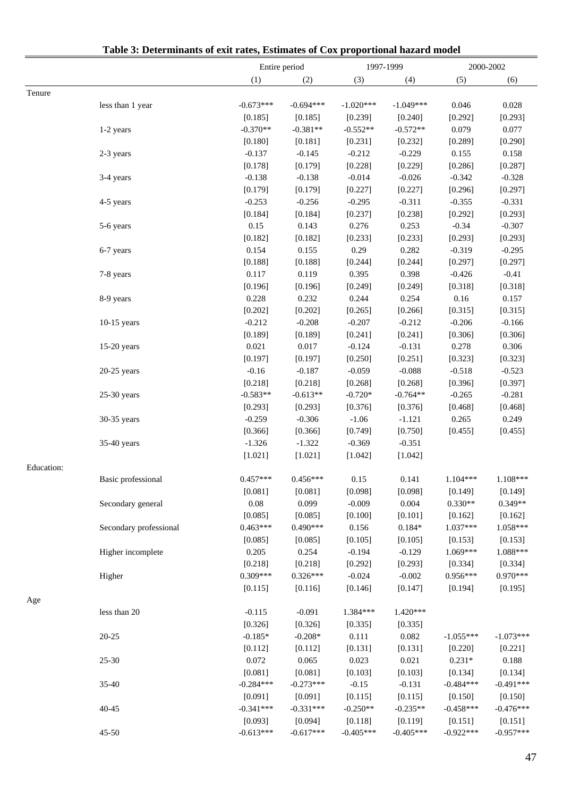|            |                           |             | Entire period |             | 1997-1999   | 2000-2002   |             |  |
|------------|---------------------------|-------------|---------------|-------------|-------------|-------------|-------------|--|
|            |                           | (1)         | (2)           | (3)         | (4)         | (5)         | (6)         |  |
| Tenure     |                           |             |               |             |             |             |             |  |
|            | less than 1 year          | $-0.673***$ | $-0.694***$   | $-1.020***$ | $-1.049***$ | 0.046       | 0.028       |  |
|            |                           | [0.185]     | [0.185]       | [0.239]     | [0.240]     | [0.292]     | [0.293]     |  |
|            | 1-2 years                 | $-0.370**$  | $-0.381**$    | $-0.552**$  | $-0.572**$  | 0.079       | 0.077       |  |
|            |                           | [0.180]     | [0.181]       | [0.231]     | [0.232]     | [0.289]     | [0.290]     |  |
|            | 2-3 years                 | $-0.137$    | $-0.145$      | $-0.212$    | $-0.229$    | 0.155       | 0.158       |  |
|            |                           | [0.178]     | [0.179]       | [0.228]     | [0.229]     | [0.286]     | [0.287]     |  |
|            | 3-4 years                 | $-0.138$    | $-0.138$      | $-0.014$    | $-0.026$    | $-0.342$    | $-0.328$    |  |
|            |                           | [0.179]     | [0.179]       | [0.227]     | [0.227]     | [0.296]     | [0.297]     |  |
|            | 4-5 years                 | $-0.253$    | $-0.256$      | $-0.295$    | $-0.311$    | $-0.355$    | $-0.331$    |  |
|            |                           | [0.184]     | [0.184]       | [0.237]     | [0.238]     | [0.292]     | [0.293]     |  |
|            | 5-6 years                 | 0.15        | 0.143         | 0.276       | 0.253       | $-0.34$     | $-0.307$    |  |
|            |                           | [0.182]     | [0.182]       | [0.233]     | [0.233]     | [0.293]     | [0.293]     |  |
|            | 6-7 years                 | 0.154       | 0.155         | 0.29        | 0.282       | $-0.319$    | $-0.295$    |  |
|            |                           | [0.188]     | [0.188]       | [0.244]     | [0.244]     | [0.297]     | [0.297]     |  |
|            | 7-8 years                 | 0.117       | 0.119         | 0.395       | 0.398       | $-0.426$    | $-0.41$     |  |
|            |                           | [0.196]     | [0.196]       | [0.249]     | [0.249]     | [0.318]     | [0.318]     |  |
|            | 8-9 years                 | 0.228       | 0.232         | 0.244       | 0.254       | 0.16        | 0.157       |  |
|            |                           | [0.202]     | [0.202]       | [0.265]     | [0.266]     | [0.315]     | [0.315]     |  |
|            | $10-15$ years             | $-0.212$    | $-0.208$      | $-0.207$    | $-0.212$    | $-0.206$    | $-0.166$    |  |
|            |                           | [0.189]     | [0.189]       | [0.241]     | [0.241]     | [0.306]     | [0.306]     |  |
|            | $15-20$ years             | 0.021       | 0.017         | $-0.124$    | $-0.131$    | 0.278       | 0.306       |  |
|            |                           | [0.197]     | [0.197]       | [0.250]     | [0.251]     | [0.323]     | [0.323]     |  |
|            | $20-25$ years             | $-0.16$     | $-0.187$      | $-0.059$    | $-0.088$    | $-0.518$    | $-0.523$    |  |
|            |                           | [0.218]     | [0.218]       | [0.268]     | [0.268]     | [0.396]     | [0.397]     |  |
|            | $25-30$ years             | $-0.583**$  | $-0.613**$    | $-0.720*$   | $-0.764**$  | $-0.265$    | $-0.281$    |  |
|            |                           | [0.293]     | [0.293]       | [0.376]     | [0.376]     | [0.468]     | [0.468]     |  |
|            | 30-35 years               | $-0.259$    | $-0.306$      | $-1.06$     | $-1.121$    | 0.265       | 0.249       |  |
|            |                           | [0.366]     | [0.366]       | [0.749]     | [0.750]     | [0.455]     | [0.455]     |  |
|            | 35-40 years               | $-1.326$    | $-1.322$      | $-0.369$    | $-0.351$    |             |             |  |
|            |                           | [1.021]     | [1.021]       | [1.042]     | [1.042]     |             |             |  |
| Education: |                           |             |               |             |             |             |             |  |
|            | <b>Basic professional</b> | $0.457***$  | $0.456***$    | 0.15        | 0.141       | $1.104***$  | 1.108***    |  |
|            |                           | [0.081]     | [0.081]       | [0.098]     | [0.098]     | [0.149]     | [0.149]     |  |
|            | Secondary general         | $0.08\,$    | 0.099         | $-0.009$    | $0.004\,$   | $0.330**$   | 0.349**     |  |
|            |                           | [0.085]     | [0.085]       | [0.100]     | [0.101]     | [0.162]     | [0.162]     |  |
|            | Secondary professional    | $0.463***$  | $0.490***$    | 0.156       | $0.184*$    | $1.037***$  | 1.058***    |  |
|            |                           | [0.085]     | [0.085]       | [0.105]     | [0.105]     | [0.153]     | [0.153]     |  |
|            | Higher incomplete         | 0.205       | 0.254         | $-0.194$    | $-0.129$    | 1.069***    | $1.088***$  |  |
|            |                           | [0.218]     | [0.218]       | [0.292]     | [0.293]     | [0.334]     | [0.334]     |  |
|            | Higher                    | 0.309***    | $0.326***$    | $-0.024$    | $-0.002$    | 0.956***    | $0.970***$  |  |
|            |                           | [0.115]     | [0.116]       | [0.146]     | [0.147]     | [0.194]     | [0.195]     |  |
| Age        |                           |             |               |             |             |             |             |  |
|            | less than 20              | $-0.115$    | $-0.091$      | 1.384***    | 1.420***    |             |             |  |
|            |                           | [0.326]     | [0.326]       | [0.335]     | [0.335]     |             |             |  |
|            | $20 - 25$                 | $-0.185*$   | $-0.208*$     | 0.111       | 0.082       | $-1.055***$ | $-1.073***$ |  |
|            |                           | [0.112]     | [0.112]       | [0.131]     | [0.131]     | [0.220]     | [0.221]     |  |
|            | 25-30                     | 0.072       | 0.065         | 0.023       | 0.021       | $0.231*$    | 0.188       |  |
|            |                           | [0.081]     | [0.081]       | [0.103]     | [0.103]     | [0.134]     | [0.134]     |  |
|            | 35-40                     | $-0.284***$ | $-0.273***$   | $-0.15$     | $-0.131$    | $-0.484***$ | $-0.491***$ |  |
|            |                           | [0.091]     | [0.091]       | [0.115]     | [0.115]     | [0.150]     | [0.150]     |  |
|            | $40 - 45$                 | $-0.341***$ | $-0.331***$   | $-0.250**$  | $-0.235**$  | $-0.458***$ | $-0.476***$ |  |
|            |                           | [0.093]     | [0.094]       | [0.118]     | [0.119]     | [0.151]     | [0.151]     |  |
|            | $45 - 50$                 | $-0.613***$ | $-0.617***$   | $-0.405***$ | $-0.405***$ | $-0.922***$ | $-0.957***$ |  |

| Table 3: Determinants of exit rates, Estimates of Cox proportional hazard model |  |  |
|---------------------------------------------------------------------------------|--|--|
|---------------------------------------------------------------------------------|--|--|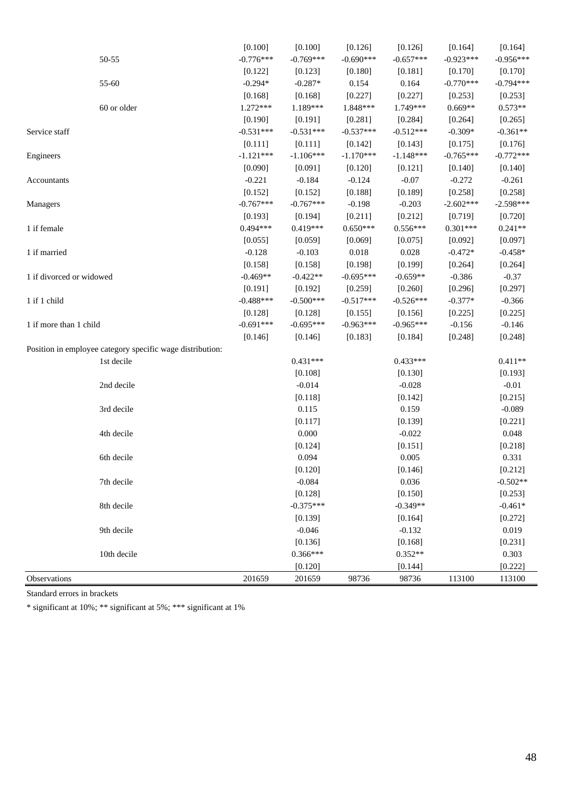|                                                           | [0.100]     | [0.100]     | [0.126]     | [0.126]     | [0.164]     | [0.164]     |
|-----------------------------------------------------------|-------------|-------------|-------------|-------------|-------------|-------------|
| 50-55                                                     | $-0.776***$ | $-0.769***$ | $-0.690***$ | $-0.657***$ | $-0.923***$ | $-0.956***$ |
|                                                           | [0.122]     | [0.123]     | [0.180]     | [0.181]     | [0.170]     | [0.170]     |
| 55-60                                                     | $-0.294*$   | $-0.287*$   | 0.154       | 0.164       | $-0.770***$ | $-0.794***$ |
|                                                           | [0.168]     | [0.168]     | [0.227]     | [0.227]     | [0.253]     | [0.253]     |
| 60 or older                                               | $1.272***$  | 1.189***    | 1.848***    | 1.749***    | $0.669**$   | $0.573**$   |
|                                                           | [0.190]     | [0.191]     | [0.281]     | [0.284]     | [0.264]     | [0.265]     |
| Service staff                                             | $-0.531***$ | $-0.531***$ | $-0.537***$ | $-0.512***$ | $-0.309*$   | $-0.361**$  |
|                                                           | [0.111]     | [0.111]     | [0.142]     | [0.143]     | [0.175]     | [0.176]     |
| Engineers                                                 | $-1.121***$ | $-1.106***$ | $-1.170***$ | $-1.148***$ | $-0.765***$ | $-0.772***$ |
|                                                           | [0.090]     | [0.091]     | [0.120]     | [0.121]     | [0.140]     | [0.140]     |
| Accountants                                               | $-0.221$    | $-0.184$    | $-0.124$    | $-0.07$     | $-0.272$    | $-0.261$    |
|                                                           | [0.152]     | [0.152]     | [0.188]     | [0.189]     | [0.258]     | [0.258]     |
| Managers                                                  | $-0.767***$ | $-0.767***$ | $-0.198$    | $-0.203$    | $-2.602***$ | $-2.598***$ |
|                                                           | [0.193]     | [0.194]     | [0.211]     | [0.212]     | [0.719]     | [0.720]     |
| 1 if female                                               | $0.494***$  | $0.419***$  | $0.650***$  | $0.556***$  | $0.301***$  | $0.241**$   |
|                                                           | [0.055]     | [0.059]     | [0.069]     | [0.075]     | [0.092]     | [0.097]     |
| 1 if married                                              | $-0.128$    | $-0.103$    | 0.018       | 0.028       | $-0.472*$   | $-0.458*$   |
|                                                           | [0.158]     | [0.158]     | [0.198]     | [0.199]     | [0.264]     | [0.264]     |
| 1 if divorced or widowed                                  | $-0.469**$  | $-0.422**$  | $-0.695***$ | $-0.659**$  | $-0.386$    | $-0.37$     |
|                                                           | [0.191]     | [0.192]     | [0.259]     | [0.260]     | [0.296]     | [0.297]     |
| 1 if 1 child                                              | $-0.488***$ | $-0.500***$ | $-0.517***$ | $-0.526***$ | $-0.377*$   | $-0.366$    |
|                                                           | [0.128]     | [0.128]     | [0.155]     | [0.156]     | [0.225]     | [0.225]     |
| 1 if more than 1 child                                    | $-0.691***$ | $-0.695***$ | $-0.963***$ | $-0.965***$ | $-0.156$    | $-0.146$    |
|                                                           | [0.146]     | [0.146]     | [0.183]     | [0.184]     | [0.248]     | [0.248]     |
| Position in employee category specific wage distribution: |             |             |             |             |             |             |
| 1st decile                                                |             | $0.431***$  |             | $0.433***$  |             | $0.411**$   |
|                                                           |             | [0.108]     |             | [0.130]     |             | [0.193]     |
| 2nd decile                                                |             | $-0.014$    |             | $-0.028$    |             | $-0.01$     |
|                                                           |             | [0.118]     |             | [0.142]     |             | [0.215]     |
| 3rd decile                                                |             | 0.115       |             | 0.159       |             | $-0.089$    |
|                                                           |             | [0.117]     |             | [0.139]     |             | [0.221]     |
| 4th decile                                                |             | 0.000       |             | $-0.022$    |             | 0.048       |
|                                                           |             | [0.124]     |             | [0.151]     |             | [0.218]     |
| 6th decile                                                |             | 0.094       |             | 0.005       |             | 0.331       |
|                                                           |             | [0.120]     |             | [0.146]     |             | [0.212]     |
| 7th decile                                                |             | $-0.084$    |             | 0.036       |             | $-0.502**$  |
|                                                           |             | [0.128]     |             | [0.150]     |             | [0.253]     |
| 8th decile                                                |             | $-0.375***$ |             | $-0.349**$  |             | $-0.461*$   |
|                                                           |             | [0.139]     |             | [0.164]     |             | [0.272]     |
| 9th decile                                                |             | $-0.046$    |             | $-0.132$    |             | 0.019       |
|                                                           |             | [0.136]     |             | [0.168]     |             | [0.231]     |
| 10th decile                                               |             | $0.366***$  |             | $0.352**$   |             | 0.303       |
|                                                           |             | [0.120]     |             | [0.144]     |             | [0.222]     |
| Observations                                              | 201659      | 201659      | 98736       | 98736       | 113100      | 113100      |

Standard errors in brackets

\* significant at 10%; \*\* significant at 5%; \*\*\* significant at 1%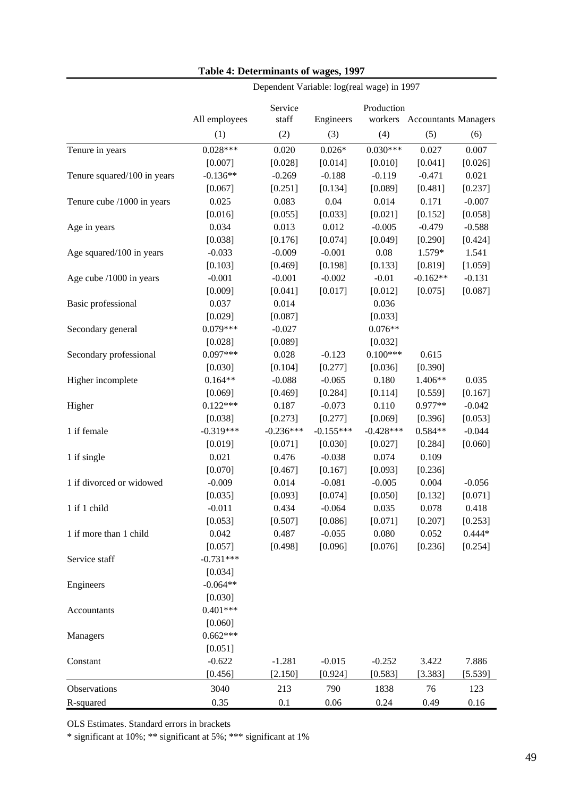|                             | Dependent Variable: log(real wage) in 1997 |                  |             |             |                              |          |  |  |
|-----------------------------|--------------------------------------------|------------------|-------------|-------------|------------------------------|----------|--|--|
|                             | All employees                              | Service<br>staff | Engineers   | Production  | workers Accountants Managers |          |  |  |
|                             | (1)                                        | (2)              | (3)         | (4)         | (5)                          | (6)      |  |  |
| Tenure in years             | $0.028***$                                 | 0.020            | $0.026*$    | $0.030***$  | 0.027                        | 0.007    |  |  |
|                             | [0.007]                                    | [0.028]          | [0.014]     | [0.010]     | [0.041]                      | [0.026]  |  |  |
| Tenure squared/100 in years | $-0.136**$                                 | $-0.269$         | $-0.188$    | $-0.119$    | $-0.471$                     | 0.021    |  |  |
|                             | [0.067]                                    | [0.251]          | [0.134]     | [0.089]     | [0.481]                      | [0.237]  |  |  |
| Tenure cube /1000 in years  | 0.025                                      | 0.083            | 0.04        | 0.014       | 0.171                        | $-0.007$ |  |  |
|                             | [0.016]                                    | [0.055]          | [0.033]     | [0.021]     | [0.152]                      | [0.058]  |  |  |
| Age in years                | 0.034                                      | 0.013            | 0.012       | $-0.005$    | $-0.479$                     | $-0.588$ |  |  |
|                             | [0.038]                                    | [0.176]          | [0.074]     | [0.049]     | [0.290]                      | [0.424]  |  |  |
| Age squared/100 in years    | $-0.033$                                   | $-0.009$         | $-0.001$    | 0.08        | 1.579*                       | 1.541    |  |  |
|                             | [0.103]                                    | [0.469]          | [0.198]     | [0.133]     | [0.819]                      | [1.059]  |  |  |
| Age cube /1000 in years     | $-0.001$                                   | $-0.001$         | $-0.002$    | $-0.01$     | $-0.162**$                   | $-0.131$ |  |  |
|                             | [0.009]                                    | [0.041]          | [0.017]     | [0.012]     | [0.075]                      | [0.087]  |  |  |
| Basic professional          | 0.037                                      | 0.014            |             | 0.036       |                              |          |  |  |
|                             | [0.029]                                    | [0.087]          |             | [0.033]     |                              |          |  |  |
| Secondary general           | $0.079***$                                 | $-0.027$         |             | $0.076**$   |                              |          |  |  |
|                             | [0.028]                                    | [0.089]          |             | [0.032]     |                              |          |  |  |
| Secondary professional      | $0.097***$                                 | 0.028            | $-0.123$    | $0.100***$  | 0.615                        |          |  |  |
|                             | [0.030]                                    | [0.104]          | [0.277]     | [0.036]     | [0.390]                      |          |  |  |
| Higher incomplete           | $0.164**$                                  | $-0.088$         | $-0.065$    | 0.180       | 1.406**                      | 0.035    |  |  |
|                             | [0.069]                                    | [0.469]          | [0.284]     | [0.114]     | [0.559]                      | [0.167]  |  |  |
| Higher                      | $0.122***$                                 | 0.187            | $-0.073$    | 0.110       | 0.977**                      | $-0.042$ |  |  |
|                             | [0.038]                                    | [0.273]          | [0.277]     | [0.069]     | [0.396]                      | [0.053]  |  |  |
| 1 if female                 | $-0.319***$                                | $-0.236***$      | $-0.155***$ | $-0.428***$ | $0.584**$                    | $-0.044$ |  |  |
|                             | [0.019]                                    | [0.071]          | [0.030]     | [0.027]     | [0.284]                      | [0.060]  |  |  |
| 1 if single                 | 0.021                                      | 0.476            | $-0.038$    | 0.074       | 0.109                        |          |  |  |
|                             | [0.070]                                    | [0.467]          | [0.167]     | [0.093]     | [0.236]                      |          |  |  |
| 1 if divorced or widowed    | $-0.009$                                   | 0.014            | $-0.081$    | $-0.005$    | 0.004                        | $-0.056$ |  |  |
|                             | [0.035]                                    | [0.093]          | [0.074]     | [0.050]     | [0.132]                      | [0.071]  |  |  |
| 1 if 1 child                | $-0.011$                                   | 0.434            | $-0.064$    | 0.035       | 0.078                        | 0.418    |  |  |
|                             | [0.053]                                    | [0.507]          | [0.086]     | [0.071]     | [0.207]                      | [0.253]  |  |  |
| 1 if more than 1 child      | 0.042                                      | 0.487            | $-0.055$    | 0.080       | 0.052                        | $0.444*$ |  |  |
|                             | [0.057]                                    | [0.498]          | [0.096]     | [0.076]     | [0.236]                      | [0.254]  |  |  |
| Service staff               | $-0.731***$                                |                  |             |             |                              |          |  |  |
|                             | [0.034]                                    |                  |             |             |                              |          |  |  |
| Engineers                   | $-0.064**$                                 |                  |             |             |                              |          |  |  |
|                             | [0.030]                                    |                  |             |             |                              |          |  |  |
| Accountants                 | $0.401***$                                 |                  |             |             |                              |          |  |  |
|                             | [0.060]                                    |                  |             |             |                              |          |  |  |
| Managers                    | $0.662***$                                 |                  |             |             |                              |          |  |  |
|                             | [0.051]                                    |                  |             |             |                              |          |  |  |
| Constant                    | $-0.622$                                   | $-1.281$         | $-0.015$    | $-0.252$    | 3.422                        | 7.886    |  |  |
|                             | [0.456]                                    | [2.150]          | [0.924]     | [0.583]     | [3.383]                      | [5.539]  |  |  |
| Observations                | 3040                                       | 213              | 790         | 1838        | 76                           | 123      |  |  |
| R-squared                   | 0.35                                       | $0.1\,$          | 0.06        | 0.24        | 0.49                         | 0.16     |  |  |

**Table 4: Determinants of wages, 1997** 

OLS Estimates. Standard errors in brackets

\* significant at 10%; \*\* significant at 5%; \*\*\* significant at 1%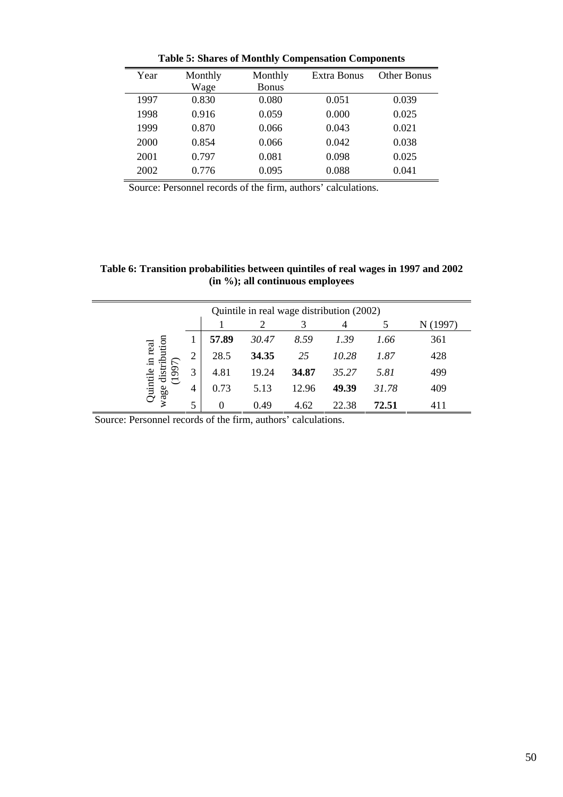| Year | Monthly | Monthly      | Extra Bonus | Other Bonus |
|------|---------|--------------|-------------|-------------|
|      | Wage    | <b>Bonus</b> |             |             |
| 1997 | 0.830   | 0.080        | 0.051       | 0.039       |
| 1998 | 0.916   | 0.059        | 0.000       | 0.025       |
| 1999 | 0.870   | 0.066        | 0.043       | 0.021       |
| 2000 | 0.854   | 0.066        | 0.042       | 0.038       |
| 2001 | 0.797   | 0.081        | 0.098       | 0.025       |
| 2002 | 0.776   | 0.095        | 0.088       | 0.041       |

**Table 5: Shares of Monthly Compensation Components** 

Source: Personnel records of the firm, authors' calculations.

**Table 6: Transition probabilities between quintiles of real wages in 1997 and 2002 (in %); all continuous employees** 

|                     |   |       |       |       | Quintile in real wage distribution (2002) |       |          |
|---------------------|---|-------|-------|-------|-------------------------------------------|-------|----------|
|                     |   |       |       |       |                                           |       | N (1997) |
| ution               |   | 57.89 | 30.47 | 8.59  | 1.39                                      | 1.66  | 361      |
| real<br>- 금<br>F    | 2 | 28.5  | 34.35 | 25    | 10.28                                     | 1.87  | 428      |
| 99<br>ਰ             | 3 | 4.81  | 19.24 | 34.87 | 35.27                                     | 5.81  | 499      |
| <b>Juintil</b><br>ℸ | 4 | 0.73  | 5.13  | 12.96 | 49.39                                     | 31.78 | 409      |
| wage                | 5 |       | 0.49  | 4.62  | 22.38                                     | 72.51 | 411      |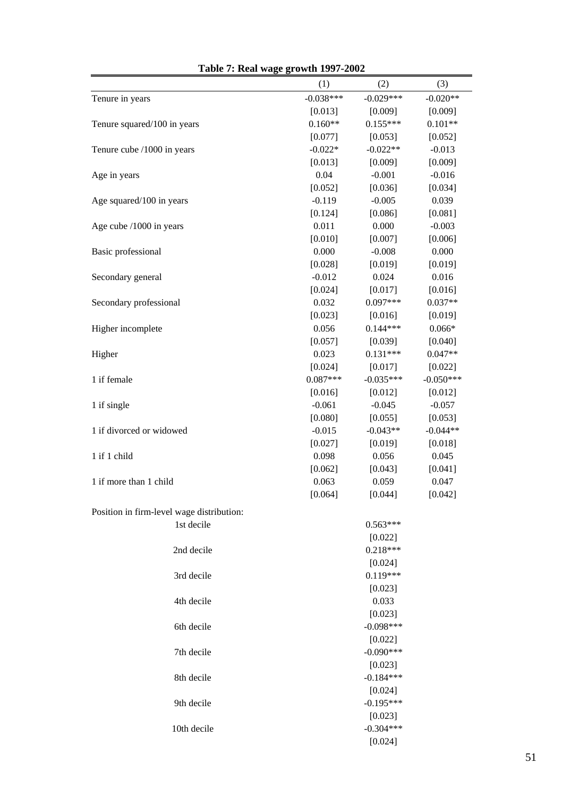|                                           | (1)         | (2)         | (3)         |
|-------------------------------------------|-------------|-------------|-------------|
| Tenure in years                           | $-0.038***$ | $-0.029***$ | $-0.020**$  |
|                                           | [0.013]     | [0.009]     | [0.009]     |
| Tenure squared/100 in years               | $0.160**$   | $0.155***$  | $0.101**$   |
|                                           | [0.077]     | [0.053]     | [0.052]     |
| Tenure cube /1000 in years                | $-0.022*$   | $-0.022**$  | $-0.013$    |
|                                           | [0.013]     | [0.009]     | [0.009]     |
| Age in years                              | 0.04        | $-0.001$    | $-0.016$    |
|                                           | [0.052]     | [0.036]     | [0.034]     |
| Age squared/100 in years                  | $-0.119$    | $-0.005$    | 0.039       |
|                                           | [0.124]     | [0.086]     | [0.081]     |
| Age cube /1000 in years                   | 0.011       | 0.000       | $-0.003$    |
|                                           | [0.010]     | [0.007]     | [0.006]     |
| Basic professional                        | 0.000       | $-0.008$    | 0.000       |
|                                           | [0.028]     | [0.019]     | [0.019]     |
| Secondary general                         | $-0.012$    | 0.024       | 0.016       |
|                                           | [0.024]     | [0.017]     | [0.016]     |
| Secondary professional                    | 0.032       | $0.097***$  | $0.037**$   |
|                                           | [0.023]     | [0.016]     | [0.019]     |
| Higher incomplete                         | 0.056       | $0.144***$  | $0.066*$    |
|                                           | [0.057]     | [0.039]     | [0.040]     |
| Higher                                    | 0.023       | $0.131***$  | $0.047**$   |
|                                           | [0.024]     | [0.017]     | [0.022]     |
| 1 if female                               | $0.087***$  | $-0.035***$ | $-0.050***$ |
|                                           | [0.016]     | [0.012]     | [0.012]     |
| 1 if single                               | $-0.061$    | $-0.045$    | $-0.057$    |
|                                           | [0.080]     | [0.055]     | [0.053]     |
| 1 if divorced or widowed                  | $-0.015$    | $-0.043**$  | $-0.044**$  |
|                                           | [0.027]     | [0.019]     | [0.018]     |
| 1 if 1 child                              | 0.098       | 0.056       | 0.045       |
|                                           | [0.062]     | [0.043]     | [0.041]     |
| 1 if more than 1 child                    | 0.063       | 0.059       | 0.047       |
|                                           | [0.064]     | [0.044]     | [0.042]     |
| Position in firm-level wage distribution: |             |             |             |
| 1st decile                                |             | $0.563***$  |             |
|                                           |             | $[0.022]$   |             |
| 2nd decile                                |             | $0.218***$  |             |
|                                           |             | [0.024]     |             |
| 3rd decile                                |             | $0.119***$  |             |
|                                           |             | [0.023]     |             |
| 4th decile                                |             | 0.033       |             |
|                                           |             | [0.023]     |             |
| 6th decile                                |             | $-0.098***$ |             |
|                                           |             | [0.022]     |             |
| 7th decile                                |             | $-0.090***$ |             |
|                                           |             | [0.023]     |             |
| 8th decile                                |             | $-0.184***$ |             |
|                                           |             | [0.024]     |             |
| 9th decile                                |             | $-0.195***$ |             |
|                                           |             | [0.023]     |             |
| 10th decile                               |             | $-0.304***$ |             |
|                                           |             | [0.024]     |             |

**Table 7: Real wage growth 1997-2002**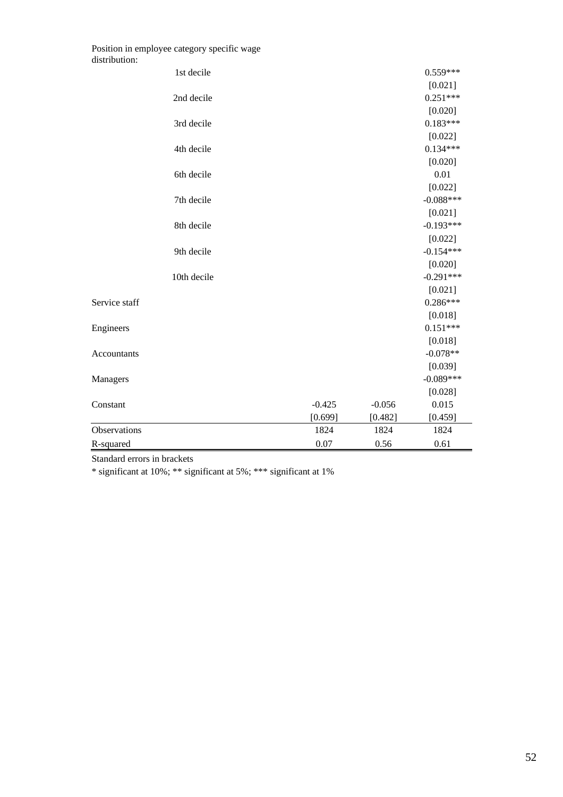Position in employee category specific wage distribution:

|               | 1st decile  |          |          | $0.559***$  |
|---------------|-------------|----------|----------|-------------|
|               |             |          |          | [0.021]     |
|               | 2nd decile  |          |          | $0.251***$  |
|               |             |          |          | [0.020]     |
|               | 3rd decile  |          |          | $0.183***$  |
|               |             |          |          | [0.022]     |
|               | 4th decile  |          |          | $0.134***$  |
|               |             |          |          | [0.020]     |
|               | 6th decile  |          |          | 0.01        |
|               |             |          |          | [0.022]     |
|               | 7th decile  |          |          | $-0.088***$ |
|               |             |          |          | [0.021]     |
|               | 8th decile  |          |          | $-0.193***$ |
|               |             |          |          | [0.022]     |
|               | 9th decile  |          |          | $-0.154***$ |
|               |             |          |          | [0.020]     |
|               | 10th decile |          |          | $-0.291***$ |
|               |             |          |          | [0.021]     |
| Service staff |             |          |          | $0.286***$  |
|               |             |          |          | [0.018]     |
| Engineers     |             |          |          | $0.151***$  |
|               |             |          |          | [0.018]     |
| Accountants   |             |          |          | $-0.078**$  |
|               |             |          |          | [0.039]     |
| Managers      |             |          |          | $-0.089***$ |
|               |             |          |          | [0.028]     |
| Constant      |             | $-0.425$ | $-0.056$ | 0.015       |
|               |             | [0.699]  | [0.482]  | [0.459]     |
| Observations  |             | 1824     | 1824     | 1824        |
| R-squared     |             | 0.07     | 0.56     | 0.61        |

Standard errors in brackets

\* significant at 10%; \*\* significant at 5%; \*\*\* significant at 1%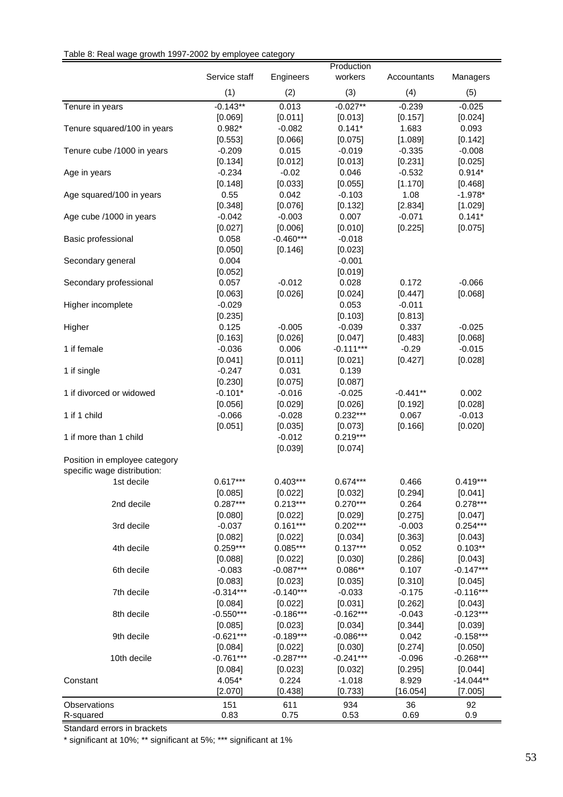## Table 8: Real wage growth 1997-2002 by employee category

|                               |               |             | Production  |             |             |
|-------------------------------|---------------|-------------|-------------|-------------|-------------|
|                               | Service staff | Engineers   | workers     | Accountants | Managers    |
|                               | (1)           | (2)         | (3)         | (4)         | (5)         |
| Tenure in years               | $-0.143**$    | 0.013       | $-0.027**$  | $-0.239$    | $-0.025$    |
|                               | [0.069]       | [0.011]     | [0.013]     | [0.157]     | [0.024]     |
| Tenure squared/100 in years   | $0.982*$      | $-0.082$    | $0.141*$    | 1.683       | 0.093       |
|                               | [0.553]       | [0.066]     | [0.075]     | [1.089]     | [0.142]     |
| Tenure cube /1000 in years    | $-0.209$      | 0.015       | $-0.019$    | $-0.335$    | $-0.008$    |
|                               | [0.134]       | [0.012]     | [0.013]     | [0.231]     | [0.025]     |
| Age in years                  | $-0.234$      | $-0.02$     | 0.046       | $-0.532$    | $0.914*$    |
|                               | [0.148]       | [0.033]     | [0.055]     | [1.170]     | [0.468]     |
| Age squared/100 in years      | 0.55          | 0.042       | $-0.103$    | 1.08        | $-1.978*$   |
|                               | [0.348]       | [0.076]     | [0.132]     | [2.834]     | [1.029]     |
| Age cube /1000 in years       | $-0.042$      | $-0.003$    | 0.007       | $-0.071$    | $0.141*$    |
|                               | [0.027]       | [0.006]     | [0.010]     | [0.225]     | [0.075]     |
| Basic professional            | 0.058         | $-0.460***$ | $-0.018$    |             |             |
|                               | [0.050]       | [0.146]     | [0.023]     |             |             |
| Secondary general             | 0.004         |             | $-0.001$    |             |             |
|                               | [0.052]       |             | [0.019]     |             |             |
| Secondary professional        | 0.057         | $-0.012$    | 0.028       | 0.172       | $-0.066$    |
|                               | [0.063]       | [0.026]     | [0.024]     | [0.447]     | [0.068]     |
| Higher incomplete             | $-0.029$      |             | 0.053       | $-0.011$    |             |
|                               | [0.235]       |             | [0.103]     | [0.813]     |             |
| Higher                        | 0.125         | $-0.005$    | $-0.039$    | 0.337       | $-0.025$    |
|                               | [0.163]       | [0.026]     | [0.047]     | [0.483]     | [0.068]     |
| 1 if female                   | $-0.036$      | 0.006       | $-0.111***$ | $-0.29$     | $-0.015$    |
|                               | [0.041]       | [0.011]     | [0.021]     | [0.427]     | [0.028]     |
| 1 if single                   | $-0.247$      | 0.031       | 0.139       |             |             |
|                               | [0.230]       | [0.075]     | [0.087]     |             |             |
| 1 if divorced or widowed      | $-0.101*$     | $-0.016$    | $-0.025$    | $-0.441**$  | 0.002       |
|                               | [0.056]       | [0.029]     | [0.026]     | [0.192]     | [0.028]     |
| 1 if 1 child                  | $-0.066$      | $-0.028$    | $0.232***$  | 0.067       | $-0.013$    |
|                               | [0.051]       | [0.035]     | [0.073]     | [0.166]     | [0.020]     |
| 1 if more than 1 child        |               | $-0.012$    | $0.219***$  |             |             |
|                               |               | [0.039]     | [0.074]     |             |             |
| Position in employee category |               |             |             |             |             |
| specific wage distribution:   |               |             |             |             |             |
| 1st decile                    | $0.617***$    | $0.403***$  | $0.674***$  | 0.466       | $0.419***$  |
|                               | [0.085]       | [0.022]     | [0.032]     | [0.294]     | [0.041]     |
| 2nd decile                    | $0.287***$    | $0.213***$  | $0.270***$  | 0.264       | $0.278***$  |
|                               | [0.080]       | [0.022]     | [0.029]     | [0.275]     | [0.047]     |
| 3rd decile                    | $-0.037$      | $0.161***$  | $0.202***$  | $-0.003$    | $0.254***$  |
|                               | [0.082]       | [0.022]     | [0.034]     | [0.363]     | [0.043]     |
| 4th decile                    | $0.259***$    | $0.085***$  | $0.137***$  | 0.052       | $0.103**$   |
|                               | [0.088]       | [0.022]     | [0.030]     | [0.286]     | [0.043]     |
| 6th decile                    | $-0.083$      | $-0.087***$ | $0.086**$   | 0.107       | $-0.147***$ |
|                               | [0.083]       | [0.023]     | [0.035]     | [0.310]     | [0.045]     |
| 7th decile                    | $-0.314***$   | $-0.140***$ | $-0.033$    | $-0.175$    | $-0.116***$ |
|                               | [0.084]       | [0.022]     | [0.031]     | [0.262]     | [0.043]     |
| 8th decile                    | $-0.550***$   | $-0.186***$ | $-0.162***$ | $-0.043$    | $-0.123***$ |
|                               | [0.085]       | [0.023]     | [0.034]     | [0.344]     | [0.039]     |
| 9th decile                    | $-0.621***$   | $-0.189***$ | $-0.086***$ | 0.042       | $-0.158***$ |
|                               | [0.084]       | [0.022]     | [0.030]     | [0.274]     | [0.050]     |
| 10th decile                   | $-0.761***$   | $-0.287***$ | $-0.241***$ | $-0.096$    | $-0.268***$ |
|                               | [0.084]       | [0.023]     | [0.032]     | [0.295]     | [0.044]     |
| Constant                      | $4.054*$      | 0.224       | $-1.018$    | 8.929       | $-14.044**$ |
|                               | [2.070]       | [0.438]     | [0.733]     | [16.054]    | [7.005]     |
| Observations                  | 151           | 611         | 934         | 36          | 92          |
| R-squared                     | 0.83          | 0.75        | 0.53        | 0.69        | 0.9         |

Standard errors in brackets

\* significant at 10%; \*\* significant at 5%; \*\*\* significant at 1%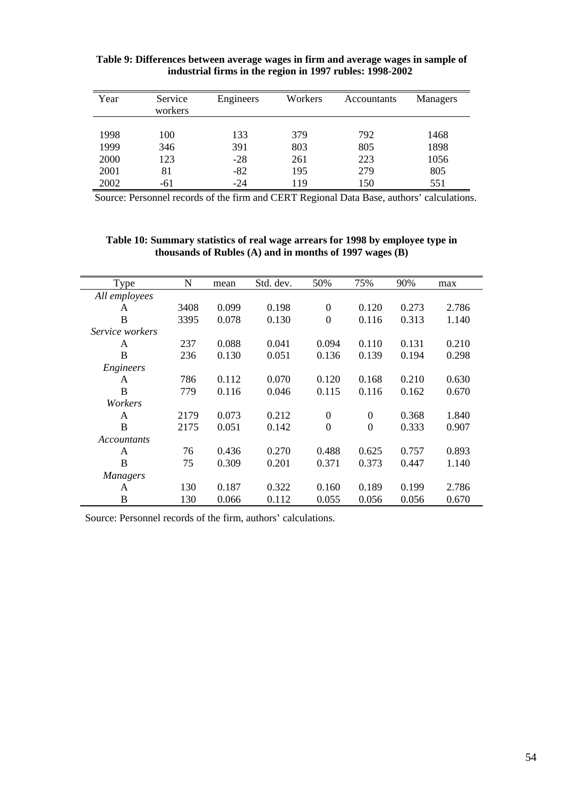| Year | Service<br>workers | Engineers | Workers | Accountants | Managers |
|------|--------------------|-----------|---------|-------------|----------|
|      |                    |           |         |             |          |
| 1998 | 100                | 133       | 379     | 792         | 1468     |
| 1999 | 346                | 391       | 803     | 805         | 1898     |
| 2000 | 123                | $-28$     | 261     | 223         | 1056     |
| 2001 | 81                 | $-82$     | 195     | 279         | 805      |
| 2002 | -61                | $-24$     | 119     | 150         | 551      |

## **Table 9: Differences between average wages in firm and average wages in sample of industrial firms in the region in 1997 rubles: 1998-2002**

Source: Personnel records of the firm and CERT Regional Data Base, authors' calculations.

### **Table 10: Summary statistics of real wage arrears for 1998 by employee type in thousands of Rubles (A) and in months of 1997 wages (B)**

| Type               | N    | mean  | Std. dev. | 50%          | 75%              | 90%   | max   |
|--------------------|------|-------|-----------|--------------|------------------|-------|-------|
| All employees      |      |       |           |              |                  |       |       |
| A                  | 3408 | 0.099 | 0.198     | $\theta$     | 0.120            | 0.273 | 2.786 |
| B                  | 3395 | 0.078 | 0.130     | $\theta$     | 0.116            | 0.313 | 1.140 |
| Service workers    |      |       |           |              |                  |       |       |
| A                  | 237  | 0.088 | 0.041     | 0.094        | 0.110            | 0.131 | 0.210 |
| B                  | 236  | 0.130 | 0.051     | 0.136        | 0.139            | 0.194 | 0.298 |
| Engineers          |      |       |           |              |                  |       |       |
| A                  | 786  | 0.112 | 0.070     | 0.120        | 0.168            | 0.210 | 0.630 |
| B                  | 779  | 0.116 | 0.046     | 0.115        | 0.116            | 0.162 | 0.670 |
| Workers            |      |       |           |              |                  |       |       |
| A                  | 2179 | 0.073 | 0.212     | $\theta$     | $\theta$         | 0.368 | 1.840 |
| B                  | 2175 | 0.051 | 0.142     | $\mathbf{0}$ | $\boldsymbol{0}$ | 0.333 | 0.907 |
| <i>Accountants</i> |      |       |           |              |                  |       |       |
| A                  | 76   | 0.436 | 0.270     | 0.488        | 0.625            | 0.757 | 0.893 |
| B                  | 75   | 0.309 | 0.201     | 0.371        | 0.373            | 0.447 | 1.140 |
| <b>Managers</b>    |      |       |           |              |                  |       |       |
| A                  | 130  | 0.187 | 0.322     | 0.160        | 0.189            | 0.199 | 2.786 |
| B                  | 130  | 0.066 | 0.112     | 0.055        | 0.056            | 0.056 | 0.670 |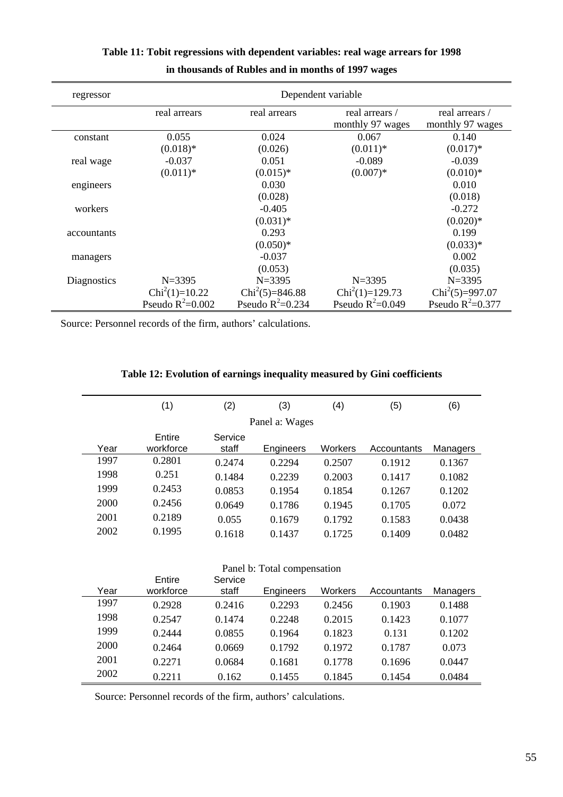| regressor   |                     |                    | Dependent variable |                    |
|-------------|---------------------|--------------------|--------------------|--------------------|
|             | real arrears        | real arrears       | real arrears /     | real arrears /     |
|             |                     |                    | monthly 97 wages   | monthly 97 wages   |
| constant    | 0.055               | 0.024              | 0.067              | 0.140              |
|             | $(0.018)*$          | (0.026)            | $(0.011)*$         | $(0.017)*$         |
| real wage   | $-0.037$            | 0.051              | $-0.089$           | $-0.039$           |
|             | $(0.011)*$          | $(0.015)*$         | $(0.007)*$         | $(0.010)*$         |
| engineers   |                     | 0.030              |                    | 0.010              |
|             |                     | (0.028)            |                    | (0.018)            |
| workers     |                     | $-0.405$           |                    | $-0.272$           |
|             |                     | $(0.031)$ *        |                    | $(0.020)*$         |
| accountants |                     | 0.293              |                    | 0.199              |
|             |                     | $(0.050)*$         |                    | $(0.033)*$         |
| managers    |                     | $-0.037$           |                    | 0.002              |
|             |                     | (0.053)            |                    | (0.035)            |
| Diagnostics | $N = 3395$          | $N = 3395$         | $N = 3395$         | $N = 3395$         |
|             | $Chi2(1)=10.22$     | $Chi2(5)=846.88$   | $Chi2(1)=129.73$   | $Chi2(5)=997.07$   |
|             | Pseudo $R^2$ =0.002 | Pseudo $R^2=0.234$ | Pseudo $R^2=0.049$ | Pseudo $R^2=0.377$ |

## **Table 11: Tobit regressions with dependent variables: real wage arrears for 1998 in thousands of Rubles and in months of 1997 wages**

Source: Personnel records of the firm, authors' calculations.

|      | (1)            | (2)     | (3)                         | (4)     | (5)         | (6)      |  |
|------|----------------|---------|-----------------------------|---------|-------------|----------|--|
|      | Panel a: Wages |         |                             |         |             |          |  |
|      | Entire         | Service |                             |         |             |          |  |
| Year | workforce      | staff   | Engineers                   | Workers | Accountants | Managers |  |
| 1997 | 0.2801         | 0.2474  | 0.2294                      | 0.2507  | 0.1912      | 0.1367   |  |
| 1998 | 0.251          | 0.1484  | 0.2239                      | 0.2003  | 0.1417      | 0.1082   |  |
| 1999 | 0.2453         | 0.0853  | 0.1954                      | 0.1854  | 0.1267      | 0.1202   |  |
| 2000 | 0.2456         | 0.0649  | 0.1786                      | 0.1945  | 0.1705      | 0.072    |  |
| 2001 | 0.2189         | 0.055   | 0.1679                      | 0.1792  | 0.1583      | 0.0438   |  |
| 2002 | 0.1995         | 0.1618  | 0.1437                      | 0.1725  | 0.1409      | 0.0482   |  |
|      |                |         |                             |         |             |          |  |
|      |                |         | Panel b: Total compensation |         |             |          |  |
|      | Entire         | Service |                             |         |             |          |  |
| Year | workforce      | staff   | Engineers                   | Workers | Accountants | Managers |  |
| 1997 | 0.2928         | 0.2416  | 0.2293                      | 0.2456  | 0.1903      | 0.1488   |  |
| 1998 | 0.2547         | 0.1474  | 0.2248                      | 0.2015  | 0.1423      | 0.1077   |  |
| 1999 | 0.2444         | 0.0855  | 0.1964                      | 0.1823  | 0.131       | 0.1202   |  |

2000 0.2464 0.0669 0.1792 0.1972 0.1787 0.073 2001 0.2271 0.0684 0.1681 0.1778 0.1696 0.0447 2002 0.2211 0.162 0.1455 0.1845 0.1454 0.0484

## **Table 12: Evolution of earnings inequality measured by Gini coefficients**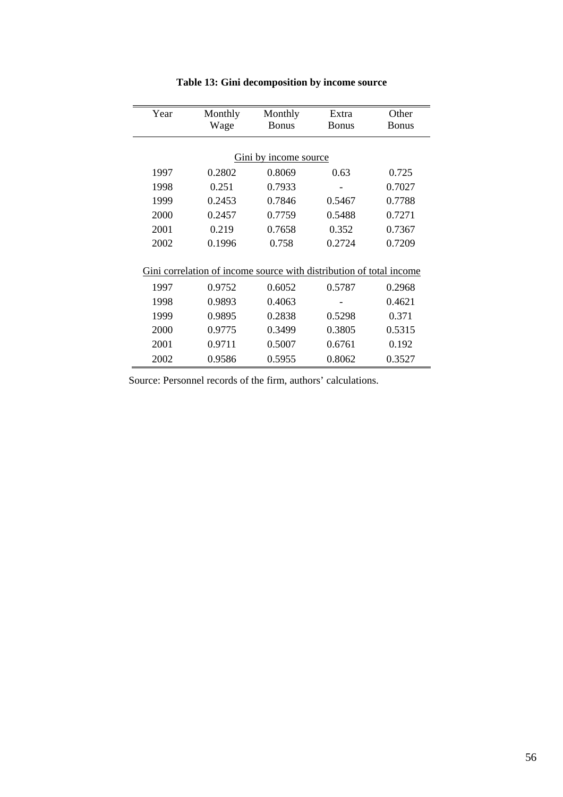| Year | Monthly<br>Wage                                                     | Monthly<br><b>Bonus</b> |        | Other<br><b>Bonus</b> |
|------|---------------------------------------------------------------------|-------------------------|--------|-----------------------|
|      |                                                                     | Gini by income source   |        |                       |
| 1997 | 0.2802                                                              | 0.8069                  | 0.63   | 0.725                 |
| 1998 | 0.251                                                               | 0.7933                  |        | 0.7027                |
| 1999 | 0.2453                                                              | 0.7846                  | 0.5467 | 0.7788                |
| 2000 | 0.2457                                                              | 0.7759                  | 0.5488 | 0.7271                |
| 2001 | 0.219                                                               | 0.7658                  | 0.352  | 0.7367                |
| 2002 | 0.1996                                                              | 0.758                   | 0.2724 | 0.7209                |
|      | Gini correlation of income source with distribution of total income |                         |        |                       |
| 1997 | 0.9752                                                              | 0.6052                  | 0.5787 | 0.2968                |
| 1998 | 0.9893                                                              | 0.4063                  |        | 0.4621                |
| 1999 | 0.9895                                                              | 0.2838                  | 0.5298 | 0.371                 |
| 2000 | 0.9775                                                              | 0.3499                  | 0.3805 | 0.5315                |
| 2001 | 0.9711                                                              | 0.5007                  | 0.6761 | 0.192                 |
| 2002 | 0.9586                                                              | 0.5955                  | 0.8062 | 0.3527                |

## **Table 13: Gini decomposition by income source**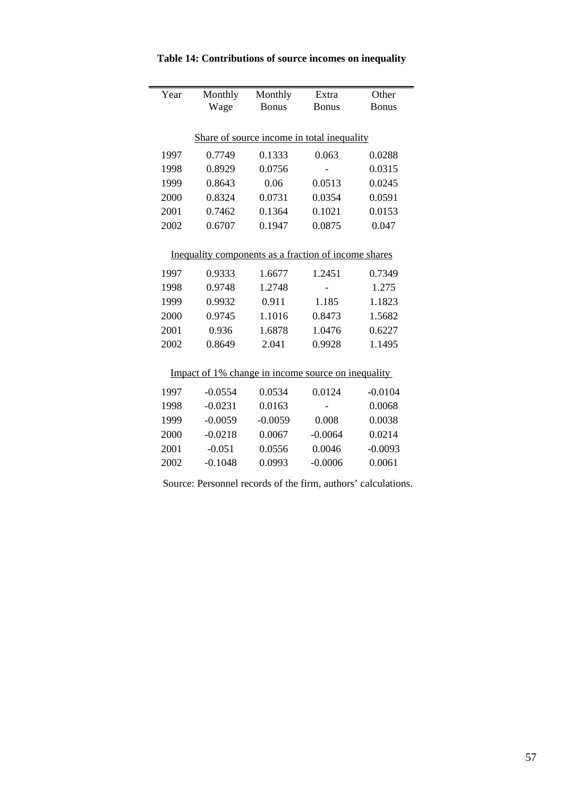| Year | Monthly   | Monthly                                              | Extra                    | Other                                                         |
|------|-----------|------------------------------------------------------|--------------------------|---------------------------------------------------------------|
|      | Wage      | <b>Bonus</b>                                         | <b>Bonus</b>             | <b>Bonus</b>                                                  |
|      |           |                                                      |                          |                                                               |
|      |           | Share of source income in total inequality           |                          |                                                               |
| 1997 | 0.7749    | 0.1333                                               | 0.063                    | 0.0288                                                        |
| 1998 | 0.8929    | 0.0756                                               |                          | 0.0315                                                        |
| 1999 | 0.8643    | 0.06                                                 | 0.0513                   | 0.0245                                                        |
| 2000 | 0.8324    | 0.0731                                               | 0.0354                   | 0.0591                                                        |
| 2001 | 0.7462    | 0.1364                                               | 0.1021                   | 0.0153                                                        |
| 2002 | 0.6707    | 0.1947                                               | 0.0875                   | 0.047                                                         |
|      |           |                                                      |                          |                                                               |
|      |           | Inequality components as a fraction of income shares |                          |                                                               |
| 1997 | 0.9333    | 1.6677                                               | 1.2451                   | 0.7349                                                        |
| 1998 | 0.9748    | 1.2748                                               | $\overline{\phantom{a}}$ | 1.275                                                         |
| 1999 | 0.9932    | 0.911                                                | 1.185                    | 1.1823                                                        |
| 2000 | 0.9745    | 1.1016                                               | 0.8473                   | 1.5682                                                        |
| 2001 | 0.936     | 1.6878                                               | 1.0476                   | 0.6227                                                        |
| 2002 | 0.8649    | 2.041                                                | 0.9928                   | 1.1495                                                        |
|      |           |                                                      |                          |                                                               |
|      |           | Impact of 1% change in income source on inequality   |                          |                                                               |
| 1997 | $-0.0554$ | 0.0534                                               | 0.0124                   | $-0.0104$                                                     |
| 1998 | $-0.0231$ | 0.0163                                               |                          | 0.0068                                                        |
| 1999 | $-0.0059$ | $-0.0059$                                            | 0.008                    | 0.0038                                                        |
| 2000 | $-0.0218$ | 0.0067                                               | $-0.0064$                | 0.0214                                                        |
| 2001 | $-0.051$  | 0.0556                                               | 0.0046                   | $-0.0093$                                                     |
| 2002 | $-0.1048$ | 0.0993                                               | $-0.0006$                | 0.0061                                                        |
|      |           |                                                      |                          |                                                               |
|      |           |                                                      |                          | Source: Personnel records of the firm, authors' calculations. |

## **Table 14: Contributions of source incomes on inequality**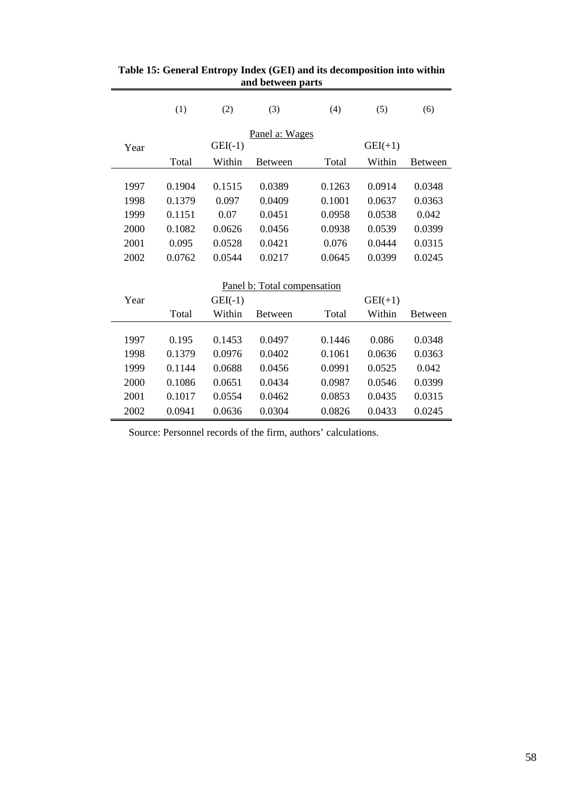|      | (1)    | (2)       | (3)                         | (4)    | (5)       | (6)            |
|------|--------|-----------|-----------------------------|--------|-----------|----------------|
|      |        |           | Panel a: Wages              |        |           |                |
| Year |        | $GEI(-1)$ |                             |        | $GEI(+1)$ |                |
|      | Total  | Within    | <b>Between</b>              | Total  | Within    | <b>Between</b> |
|      |        |           |                             |        |           |                |
| 1997 | 0.1904 | 0.1515    | 0.0389                      | 0.1263 | 0.0914    | 0.0348         |
| 1998 | 0.1379 | 0.097     | 0.0409                      | 0.1001 | 0.0637    | 0.0363         |
| 1999 | 0.1151 | 0.07      | 0.0451                      | 0.0958 | 0.0538    | 0.042          |
| 2000 | 0.1082 | 0.0626    | 0.0456                      | 0.0938 | 0.0539    | 0.0399         |
| 2001 | 0.095  | 0.0528    | 0.0421                      | 0.076  | 0.0444    | 0.0315         |
| 2002 | 0.0762 | 0.0544    | 0.0217                      | 0.0645 | 0.0399    | 0.0245         |
|      |        |           |                             |        |           |                |
|      |        |           | Panel b: Total compensation |        |           |                |
| Year |        | $GEI(-1)$ |                             |        | $GEI(+1)$ |                |
|      | Total  | Within    | <b>Between</b>              | Total  | Within    | <b>Between</b> |
|      |        |           |                             |        |           |                |
| 1997 | 0.195  | 0.1453    | 0.0497                      | 0.1446 | 0.086     | 0.0348         |
| 1998 | 0.1379 | 0.0976    | 0.0402                      | 0.1061 | 0.0636    | 0.0363         |
| 1999 | 0.1144 | 0.0688    | 0.0456                      | 0.0991 | 0.0525    | 0.042          |
| 2000 | 0.1086 | 0.0651    | 0.0434                      | 0.0987 | 0.0546    | 0.0399         |
| 2001 | 0.1017 | 0.0554    | 0.0462                      | 0.0853 | 0.0435    | 0.0315         |
| 2002 | 0.0941 | 0.0636    | 0.0304                      | 0.0826 | 0.0433    | 0.0245         |

**Table 15: General Entropy Index (GEI) and its decomposition into within and between parts**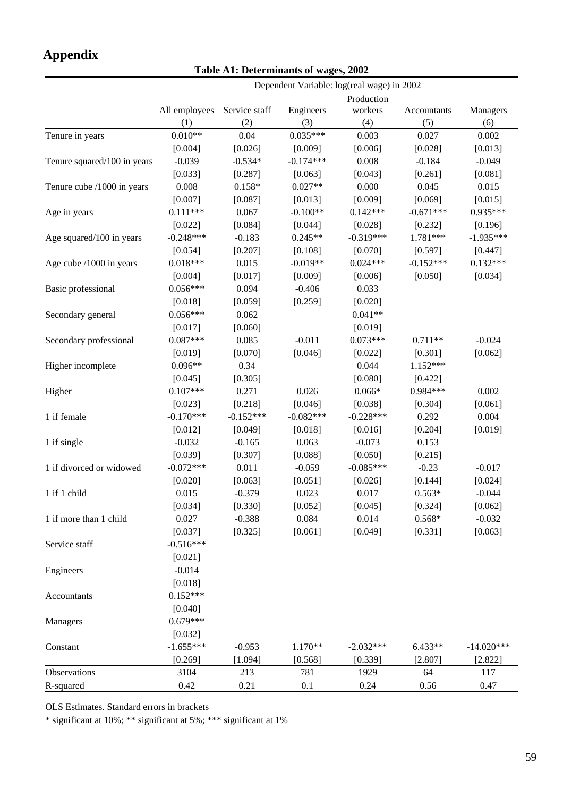# **Appendix**

|                             |               | Table A1: Determinants of wages, 2002 |             |                                            |             |             |  |
|-----------------------------|---------------|---------------------------------------|-------------|--------------------------------------------|-------------|-------------|--|
|                             |               |                                       |             | Dependent Variable: log(real wage) in 2002 |             |             |  |
|                             | All employees | Service staff                         | Engineers   | Production<br>workers                      | Accountants | Managers    |  |
|                             | (1)           | (2)                                   | (3)         | (4)                                        | (5)         | (6)         |  |
| Tenure in years             | $0.010**$     | 0.04                                  | $0.035***$  | 0.003                                      | 0.027       | 0.002       |  |
|                             | [0.004]       | [0.026]                               | [0.009]     | [0.006]                                    | [0.028]     | [0.013]     |  |
| Tenure squared/100 in years | $-0.039$      | $-0.534*$                             | $-0.174***$ | 0.008                                      | $-0.184$    | $-0.049$    |  |
|                             | [0.033]       | [0.287]                               | [0.063]     | [0.043]                                    | [0.261]     | [0.081]     |  |
| Tenure cube /1000 in years  | 0.008         | $0.158*$                              | $0.027**$   | 0.000                                      | 0.045       | 0.015       |  |
|                             | [0.007]       | [0.087]                               | [0.013]     | [0.009]                                    | [0.069]     | [0.015]     |  |
| Age in years                | $0.111***$    | 0.067                                 | $-0.100**$  | $0.142***$                                 | $-0.671***$ | 0.935***    |  |
|                             | [0.022]       | [0.084]                               | [0.044]     | [0.028]                                    | [0.232]     | [0.196]     |  |
| Age squared/100 in years    | $-0.248***$   | $-0.183$                              | $0.245**$   | $-0.319***$                                | 1.781***    | $-1.935***$ |  |
|                             | [0.054]       | [0.207]                               | [0.108]     | [0.070]                                    | [0.597]     | [0.447]     |  |
| Age cube /1000 in years     | $0.018***$    | 0.015                                 | $-0.019**$  | $0.024***$                                 | $-0.152***$ | $0.132***$  |  |
|                             | [0.004]       | [0.017]                               | [0.009]     | [0.006]                                    | [0.050]     | [0.034]     |  |
| <b>Basic professional</b>   | $0.056***$    | 0.094                                 | $-0.406$    | 0.033                                      |             |             |  |
|                             | [0.018]       | [0.059]                               | [0.259]     | [0.020]                                    |             |             |  |
| Secondary general           | $0.056***$    | 0.062                                 |             | $0.041**$                                  |             |             |  |
|                             | [0.017]       | [0.060]                               |             | [0.019]                                    |             |             |  |
| Secondary professional      | $0.087***$    | 0.085                                 | $-0.011$    | $0.073***$                                 | $0.711**$   | $-0.024$    |  |
|                             | [0.019]       | [0.070]                               | [0.046]     | [0.022]                                    | [0.301]     | [0.062]     |  |
| Higher incomplete           | $0.096**$     | 0.34                                  |             | 0.044                                      | 1.152***    |             |  |
|                             | [0.045]       | [0.305]                               |             | [0.080]                                    | [0.422]     |             |  |
| Higher                      | $0.107***$    | 0.271                                 | 0.026       | $0.066*$                                   | 0.984***    | 0.002       |  |
|                             | [0.023]       | [0.218]                               | [0.046]     | [0.038]                                    | [0.304]     | [0.061]     |  |
| 1 if female                 | $-0.170***$   | $-0.152***$                           | $-0.082***$ | $-0.228***$                                | 0.292       | 0.004       |  |
|                             | [0.012]       | [0.049]                               | [0.018]     | [0.016]                                    | [0.204]     | [0.019]     |  |
| 1 if single                 | $-0.032$      | $-0.165$                              | 0.063       | $-0.073$                                   | 0.153       |             |  |
|                             | [0.039]       | [0.307]                               | [0.088]     | [0.050]                                    | [0.215]     |             |  |
| 1 if divorced or widowed    | $-0.072***$   | 0.011                                 | $-0.059$    | $-0.085***$                                | $-0.23$     | $-0.017$    |  |
|                             | [0.020]       | [0.063]                               | [0.051]     | [0.026]                                    | [0.144]     | [0.024]     |  |
| 1 if 1 child                | 0.015         | $-0.379$                              | 0.023       | 0.017                                      | $0.563*$    | $-0.044$    |  |
|                             | [0.034]       | [0.330]                               | [0.052]     | [0.045]                                    | [0.324]     | [0.062]     |  |
| 1 if more than 1 child      | 0.027         | $-0.388$                              | 0.084       | 0.014                                      | $0.568*$    | $-0.032$    |  |
|                             | [0.037]       | [0.325]                               | [0.061]     | [0.049]                                    | [0.331]     | [0.063]     |  |
| Service staff               | $-0.516***$   |                                       |             |                                            |             |             |  |
|                             | [0.021]       |                                       |             |                                            |             |             |  |
| Engineers                   | $-0.014$      |                                       |             |                                            |             |             |  |
|                             | [0.018]       |                                       |             |                                            |             |             |  |
| Accountants                 | $0.152***$    |                                       |             |                                            |             |             |  |
|                             | [0.040]       |                                       |             |                                            |             |             |  |
| Managers                    | $0.679***$    |                                       |             |                                            |             |             |  |
|                             | [0.032]       |                                       |             |                                            |             |             |  |
|                             |               |                                       |             |                                            |             |             |  |

Constant -1.655\*\*\* -0.953 1.170\*\* -2.032\*\*\* 6.433\*\* -14.020\*\*\*  $[0.269]$   $[1.094]$   $[0.568]$   $[0.339]$   $[2.807]$   $[2.822]$ Observations 3104 213 781 1929 64 117 R-squared 0.42 0.21 0.1 0.24 0.56 0.47

OLS Estimates. Standard errors in brackets

\* significant at 10%; \*\* significant at 5%; \*\*\* significant at 1%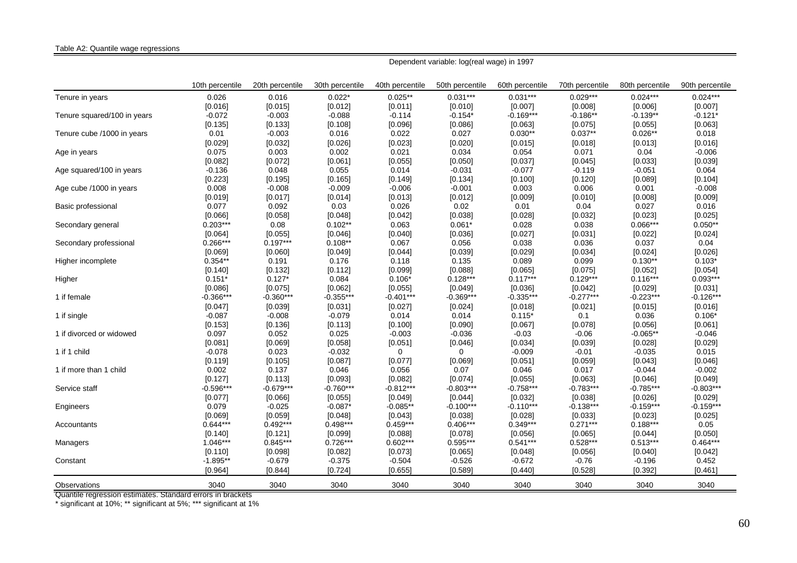#### Table A2: Quantile wage regressions

Dependent variable: log(real wage) in 1997

|                             | 10th percentile | 20th percentile | 30th percentile | 40th percentile | 50th percentile | 60th percentile | 70th percentile | 80th percentile | 90th percentile |
|-----------------------------|-----------------|-----------------|-----------------|-----------------|-----------------|-----------------|-----------------|-----------------|-----------------|
| Tenure in years             | 0.026           | 0.016           | $0.022*$        | $0.025**$       | $0.031***$      | $0.031***$      | $0.029***$      | $0.024***$      | $0.024***$      |
|                             | [0.016]         | [0.015]         | [0.012]         | [0.011]         | [0.010]         | [0.007]         | [0.008]         | [0.006]         | [0.007]         |
| Tenure squared/100 in years | $-0.072$        | $-0.003$        | $-0.088$        | $-0.114$        | $-0.154*$       | $-0.169***$     | $-0.186**$      | $-0.139**$      | $-0.121*$       |
|                             | [0.135]         | [0.133]         | [0.108]         | [0.096]         | [0.086]         | [0.063]         | [0.075]         | [0.055]         | [0.063]         |
| Tenure cube /1000 in years  | 0.01            | $-0.003$        | 0.016           | 0.022           | 0.027           | $0.030**$       | $0.037**$       | $0.026**$       | 0.018           |
|                             | [0.029]         | [0.032]         | [0.026]         | [0.023]         | [0.020]         | [0.015]         | [0.018]         | [0.013]         | [0.016]         |
| Age in years                | 0.075           | 0.003           | 0.002           | 0.021           | 0.034           | 0.054           | 0.071           | 0.04            | $-0.006$        |
|                             | [0.082]         | [0.072]         | [0.061]         | [0.055]         | [0.050]         | [0.037]         | [0.045]         | [0.033]         | [0.039]         |
| Age squared/100 in years    | $-0.136$        | 0.048           | 0.055           | 0.014           | $-0.031$        | $-0.077$        | $-0.119$        | $-0.051$        | 0.064           |
|                             | [0.223]         | [0.195]         | [0.165]         | [0.149]         | [0.134]         | [0.100]         | [0.120]         | [0.089]         | [0.104]         |
| Age cube /1000 in years     | 0.008           | $-0.008$        | $-0.009$        | $-0.006$        | $-0.001$        | 0.003           | 0.006           | 0.001           | $-0.008$        |
|                             | [0.019]         | [0.017]         | [0.014]         | [0.013]         | [0.012]         | [0.009]         | [0.010]         | [0.008]         | [0.009]         |
| Basic professional          | 0.077           | 0.092           | 0.03            | 0.026           | 0.02            | 0.01            | 0.04            | 0.027           | 0.016           |
|                             | [0.066]         | [0.058]         | [0.048]         | [0.042]         | [0.038]         | [0.028]         | [0.032]         | [0.023]         | [0.025]         |
| Secondary general           | $0.203***$      | 0.08            | $0.102**$       | 0.063           | $0.061*$        | 0.028           | 0.038           | $0.066***$      | $0.050**$       |
|                             | [0.064]         | [0.055]         | [0.046]         | [0.040]         | [0.036]         | [0.027]         | [0.031]         | [0.022]         | [0.024]         |
| Secondary professional      | $0.266***$      | $0.197***$      | $0.108**$       | 0.067           | 0.056           | 0.038           | 0.036           | 0.037           | 0.04            |
|                             | [0.069]         | [0.060]         | [0.049]         | [0.044]         | [0.039]         | [0.029]         | [0.034]         | [0.024]         | [0.026]         |
| Higher incomplete           | $0.354**$       | 0.191           | 0.176           | 0.118           | 0.135           | 0.089           | 0.099           | $0.130**$       | $0.103*$        |
|                             | [0.140]         | [0.132]         | [0.112]         | [0.099]         | [0.088]         | [0.065]         | [0.075]         | [0.052]         | [0.054]         |
| Higher                      | $0.151*$        | $0.127*$        | 0.084           | $0.106*$        | $0.128***$      | $0.117***$      | $0.129***$      | $0.116***$      | $0.093***$      |
|                             | [0.086]         | [0.075]         | [0.062]         | [0.055]         | [0.049]         | [0.036]         | [0.042]         | [0.029]         | [0.031]         |
| 1 if female                 | $-0.366***$     | $-0.360***$     | $-0.355***$     | $-0.401***$     | $-0.369***$     | $-0.335***$     | $-0.277***$     | $-0.223***$     | $-0.126***$     |
|                             | [0.047]         | [0.039]         | [0.031]         | [0.027]         | [0.024]         | [0.018]         | [0.021]         | [0.015]         | [0.016]         |
| 1 if single                 | $-0.087$        | $-0.008$        | $-0.079$        | 0.014           | 0.014           | $0.115*$        | 0.1             | 0.036           | $0.106*$        |
|                             | [0.153]         | [0.136]         | [0.113]         | [0.100]         | [0.090]         | [0.067]         | [0.078]         | [0.056]         | [0.061]         |
| 1 if divorced or widowed    | 0.097           | 0.052           | 0.025           | $-0.003$        | $-0.036$        | $-0.03$         | $-0.06$         | $-0.065**$      | $-0.046$        |
|                             | [0.081]         | [0.069]         | [0.058]         | [0.051]         | [0.046]         | [0.034]         | [0.039]         | [0.028]         | [0.029]         |
| 1 if 1 child                | $-0.078$        | 0.023           | $-0.032$        | 0               | $\mathbf{0}$    | $-0.009$        | $-0.01$         | $-0.035$        | 0.015           |
|                             | [0.119]         | [0.105]         | [0.087]         | [0.077]         | [0.069]         | [0.051]         | [0.059]         | [0.043]         | [0.046]         |
| 1 if more than 1 child      | 0.002           | 0.137           | 0.046           | 0.056           | 0.07            | 0.046           | 0.017           | $-0.044$        | $-0.002$        |
|                             | [0.127]         | [0.113]         | [0.093]         | [0.082]         | [0.074]         | [0.055]         | [0.063]         | [0.046]         | [0.049]         |
| Service staff               | $-0.596***$     | $-0.679***$     | $-0.760***$     | $-0.812***$     | $-0.803***$     | $-0.758***$     | $-0.783***$     | $-0.785***$     | $-0.803***$     |
|                             | [0.077]         | [0.066]         | [0.055]         | [0.049]         | [0.044]         | [0.032]         | [0.038]         | [0.026]         | [0.029]         |
| Engineers                   | 0.079           | $-0.025$        | $-0.087*$       | $-0.085**$      | $-0.100***$     | $-0.110***$     | $-0.138***$     | $-0.159***$     | $-0.159***$     |
|                             | [0.069]         | [0.059]         | [0.048]         | [0.043]         | [0.038]         | [0.028]         | [0.033]         | [0.023]         | [0.025]         |
| Accountants                 | $0.644***$      | $0.492***$      | $0.498***$      | $0.459***$      | $0.406***$      | $0.349***$      | $0.271***$      | $0.188***$      | 0.05            |
|                             | [0.140]         | [0.121]         | [0.099]         | [0.088]         | [0.078]         | [0.056]         | [0.065]         | [0.044]         | [0.050]         |
| Managers                    | $1.046***$      | $0.845***$      | $0.726***$      | $0.602***$      | $0.595***$      | $0.541***$      | $0.528***$      | $0.513***$      | $0.464***$      |
|                             | [0.110]         | [0.098]         | [0.082]         | [0.073]         | [0.065]         | [0.048]         | [0.056]         | [0.040]         | [0.042]         |
| Constant                    | $-1.895**$      | $-0.679$        | $-0.375$        | $-0.504$        | $-0.526$        | $-0.672$        | $-0.76$         | $-0.196$        | 0.452           |
|                             | [0.964]         | [0.844]         | [0.724]         | [0.655]         | [0.589]         | [0.440]         | [0.528]         | [0.392]         | [0.461]         |
| Observations                | 3040            | 3040            | 3040            | 3040            | 3040            | 3040            | 3040            | 3040            | 3040            |

Quantile regression estimates. Standard errors in brackets

\* significant at 10%; \*\* significant at 5%; \*\*\* significant at 1%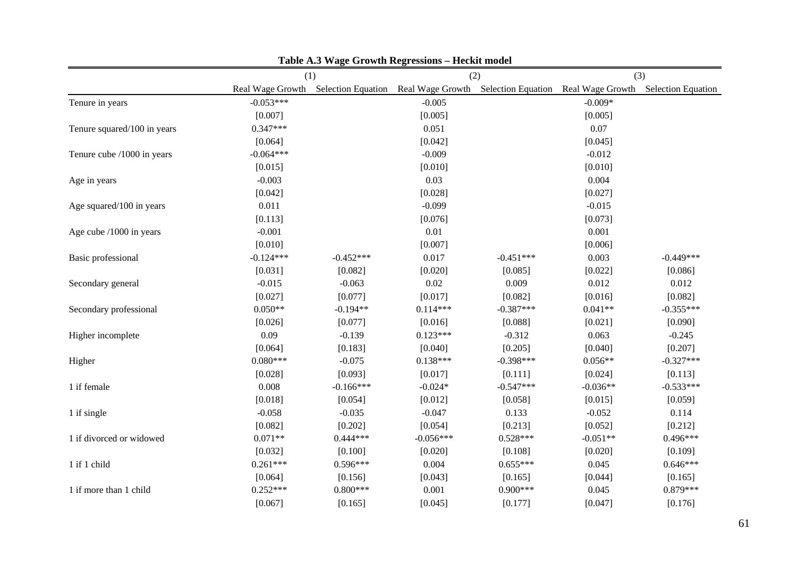|                             | Table A.S. wage STOWIN INCERSSIONS – Heckit model<br>(3) |             |             |             |                                                                                                             |             |  |
|-----------------------------|----------------------------------------------------------|-------------|-------------|-------------|-------------------------------------------------------------------------------------------------------------|-------------|--|
|                             | (1)                                                      |             |             | (2)         |                                                                                                             |             |  |
|                             |                                                          |             |             |             | Real Wage Growth Selection Equation Real Wage Growth Selection Equation Real Wage Growth Selection Equation |             |  |
| Tenure in years             | $-0.053***$                                              |             | $-0.005$    |             | $-0.009*$                                                                                                   |             |  |
|                             | [0.007]                                                  |             | [0.005]     |             | [0.005]                                                                                                     |             |  |
| Tenure squared/100 in years | $0.347***$                                               |             | 0.051       |             | 0.07                                                                                                        |             |  |
|                             | [0.064]                                                  |             | [0.042]     |             | [0.045]                                                                                                     |             |  |
| Tenure cube /1000 in years  | $-0.064***$                                              |             | $-0.009$    |             | $-0.012$                                                                                                    |             |  |
|                             | [0.015]                                                  |             | [0.010]     |             | [0.010]                                                                                                     |             |  |
| Age in years                | $-0.003$                                                 |             | 0.03        |             | 0.004                                                                                                       |             |  |
|                             | [0.042]                                                  |             | [0.028]     |             | [0.027]                                                                                                     |             |  |
| Age squared/100 in years    | 0.011                                                    |             | $-0.099$    |             | $-0.015$                                                                                                    |             |  |
|                             | [0.113]                                                  |             | [0.076]     |             | [0.073]                                                                                                     |             |  |
| Age cube /1000 in years     | $-0.001$                                                 |             | 0.01        |             | 0.001                                                                                                       |             |  |
|                             | [0.010]                                                  |             | [0.007]     |             | [0.006]                                                                                                     |             |  |
| <b>Basic professional</b>   | $-0.124***$                                              | $-0.452***$ | 0.017       | $-0.451***$ | 0.003                                                                                                       | $-0.449***$ |  |
|                             | [0.031]                                                  | [0.082]     | [0.020]     | [0.085]     | [0.022]                                                                                                     | [0.086]     |  |
| Secondary general           | $-0.015$                                                 | $-0.063$    | 0.02        | 0.009       | 0.012                                                                                                       | 0.012       |  |
|                             | [0.027]                                                  | [0.077]     | [0.017]     | [0.082]     | [0.016]                                                                                                     | [0.082]     |  |
| Secondary professional      | $0.050**$                                                | $-0.194**$  | $0.114***$  | $-0.387***$ | $0.041**$                                                                                                   | $-0.355***$ |  |
|                             | [0.026]                                                  | [0.077]     | [0.016]     | [0.088]     | [0.021]                                                                                                     | [0.090]     |  |
| Higher incomplete           | 0.09                                                     | $-0.139$    | $0.123***$  | $-0.312$    | 0.063                                                                                                       | $-0.245$    |  |
|                             | [0.064]                                                  | [0.183]     | [0.040]     | [0.205]     | [0.040]                                                                                                     | [0.207]     |  |
| Higher                      | $0.080***$                                               | $-0.075$    | $0.138***$  | $-0.398***$ | $0.056**$                                                                                                   | $-0.327***$ |  |
|                             | [0.028]                                                  | [0.093]     | [0.017]     | [0.111]     | [0.024]                                                                                                     | [0.113]     |  |
| 1 if female                 | 0.008                                                    | $-0.166***$ | $-0.024*$   | $-0.547***$ | $-0.036**$                                                                                                  | $-0.533***$ |  |
|                             | [0.018]                                                  | [0.054]     | [0.012]     | [0.058]     | [0.015]                                                                                                     | [0.059]     |  |
| 1 if single                 | $-0.058$                                                 | $-0.035$    | $-0.047$    | 0.133       | $-0.052$                                                                                                    | 0.114       |  |
|                             | [0.082]                                                  | [0.202]     | [0.054]     | [0.213]     | [0.052]                                                                                                     | [0.212]     |  |
| 1 if divorced or widowed    | $0.071**$                                                | $0.444***$  | $-0.056***$ | $0.528***$  | $-0.051**$                                                                                                  | $0.496***$  |  |
|                             | [0.032]                                                  | [0.100]     | [0.020]     | [0.108]     | [0.020]                                                                                                     | [0.109]     |  |
| 1 if 1 child                | $0.261***$                                               | $0.596***$  | 0.004       | $0.655***$  | 0.045                                                                                                       | $0.646***$  |  |
|                             | [0.064]                                                  | [0.156]     | [0.043]     | [0.165]     | [0.044]                                                                                                     | [0.165]     |  |
| 1 if more than 1 child      | $0.252***$                                               | $0.800***$  | 0.001       | $0.900***$  | 0.045                                                                                                       | $0.879***$  |  |
|                             | [0.067]                                                  | [0.165]     | [0.045]     | [0.177]     | [0.047]                                                                                                     | [0.176]     |  |

|  |  |  | Table A.3 Wage Growth Regressions - Heckit model |  |
|--|--|--|--------------------------------------------------|--|
|--|--|--|--------------------------------------------------|--|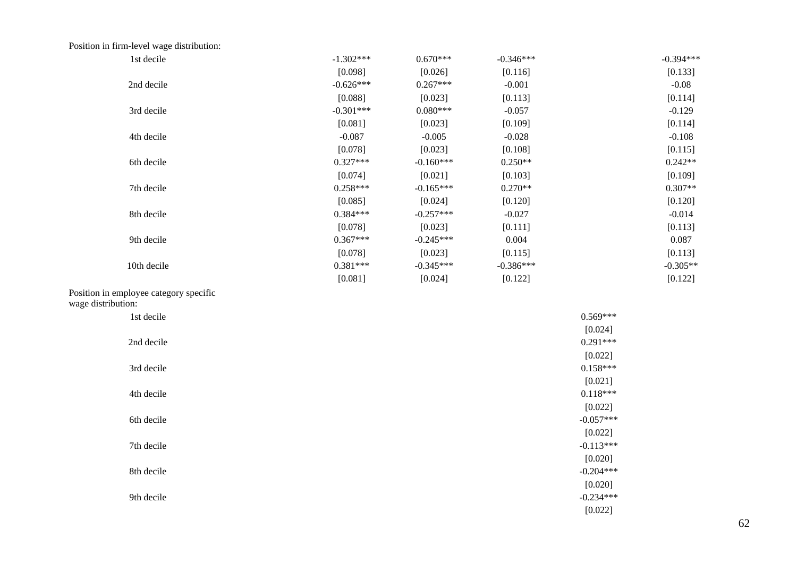Position in firm-level wage distribution:

| 1st decile                             | $-1.302***$ | $0.670***$  | $-0.346***$ |             | $-0.394***$ |
|----------------------------------------|-------------|-------------|-------------|-------------|-------------|
|                                        | [0.098]     | [0.026]     | [0.116]     |             | [0.133]     |
| 2nd decile                             | $-0.626***$ | $0.267***$  | $-0.001$    |             | $-0.08$     |
|                                        | [0.088]     | [0.023]     | [0.113]     |             | [0.114]     |
| 3rd decile                             | $-0.301***$ | $0.080***$  | $-0.057$    |             | $-0.129$    |
|                                        | [0.081]     | [0.023]     | [0.109]     |             | [0.114]     |
| 4th decile                             | $-0.087$    | $-0.005$    | $-0.028$    |             | $-0.108$    |
|                                        | [0.078]     | [0.023]     | [0.108]     |             | [0.115]     |
| 6th decile                             | $0.327***$  | $-0.160***$ | $0.250**$   |             | $0.242**$   |
|                                        | [0.074]     | [0.021]     | [0.103]     |             | [0.109]     |
| 7th decile                             | $0.258***$  | $-0.165***$ | $0.270**$   |             | $0.307**$   |
|                                        | [0.085]     | [0.024]     | [0.120]     |             | [0.120]     |
| 8th decile                             | $0.384***$  | $-0.257***$ | $-0.027$    |             | $-0.014$    |
|                                        | [0.078]     | [0.023]     | [0.111]     |             | [0.113]     |
| 9th decile                             | $0.367***$  | $-0.245***$ | 0.004       |             | 0.087       |
|                                        | [0.078]     | [0.023]     | [0.115]     |             | [0.113]     |
| 10th decile                            | $0.381***$  | $-0.345***$ | $-0.386***$ |             | $-0.305**$  |
|                                        | [0.081]     | [0.024]     | [0.122]     |             | [0.122]     |
| Position in employee category specific |             |             |             |             |             |
| wage distribution:                     |             |             |             |             |             |
| 1st decile                             |             |             |             | $0.569***$  |             |
|                                        |             |             |             | [0.024]     |             |
| 2nd decile                             |             |             |             | $0.291***$  |             |
|                                        |             |             |             | [0.022]     |             |
| 3rd decile                             |             |             |             | $0.158***$  |             |
|                                        |             |             |             | [0.021]     |             |
| 4th decile                             |             |             |             | $0.118***$  |             |
|                                        |             |             |             | [0.022]     |             |
| 6th decile                             |             |             |             | $-0.057***$ |             |
|                                        |             |             |             | [0.022]     |             |
| 7th decile                             |             |             |             | $-0.113***$ |             |
|                                        |             |             |             | [0.020]     |             |
| 8th decile                             |             |             |             | $-0.204***$ |             |
|                                        |             |             |             | [0.020]     |             |
| 9th decile                             |             |             |             | $-0.234***$ |             |
|                                        |             |             |             | [0.022]     |             |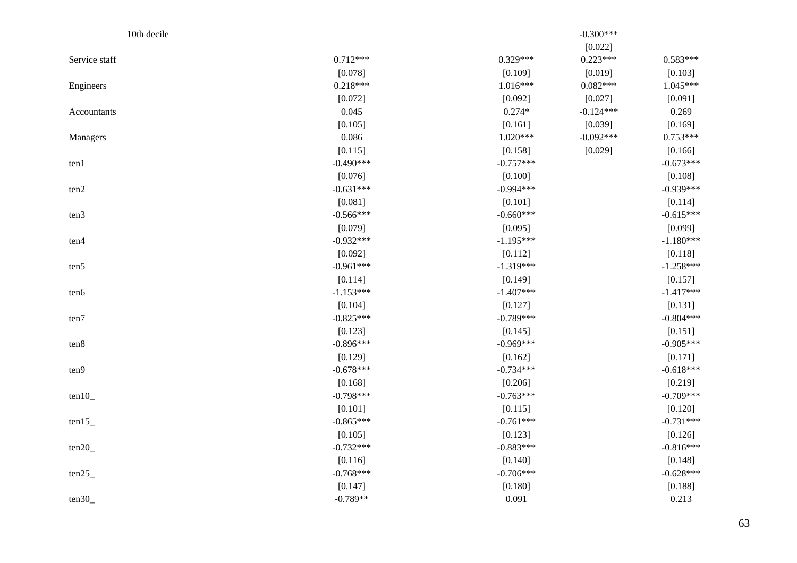| 10th decile   |             |             | $-0.300***$ |             |
|---------------|-------------|-------------|-------------|-------------|
|               |             |             | [0.022]     |             |
| Service staff | $0.712***$  | $0.329***$  | $0.223***$  | $0.583***$  |
|               | [0.078]     | [0.109]     | [0.019]     | [0.103]     |
| Engineers     | $0.218***$  | $1.016***$  | $0.082***$  | $1.045***$  |
|               | [0.072]     | [0.092]     | [0.027]     | [0.091]     |
| Accountants   | 0.045       | $0.274*$    | $-0.124***$ | 0.269       |
|               | [0.105]     | [0.161]     | [0.039]     | [0.169]     |
| Managers      | 0.086       | $1.020***$  | $-0.092***$ | $0.753***$  |
|               | [0.115]     | [0.158]     | [0.029]     | [0.166]     |
| ten1          | $-0.490***$ | $-0.757***$ |             | $-0.673***$ |
|               | [0.076]     | [0.100]     |             | [0.108]     |
| ten2          | $-0.631***$ | $-0.994***$ |             | $-0.939***$ |
|               | [0.081]     | [0.101]     |             | [0.114]     |
| ten3          | $-0.566***$ | $-0.660***$ |             | $-0.615***$ |
|               | [0.079]     | [0.095]     |             | [0.099]     |
| ten4          | $-0.932***$ | $-1.195***$ |             | $-1.180***$ |
|               | [0.092]     | [0.112]     |             | [0.118]     |
| ten5          | $-0.961***$ | $-1.319***$ |             | $-1.258***$ |
|               | [0.114]     | [0.149]     |             | [0.157]     |
| ten6          | $-1.153***$ | $-1.407***$ |             | $-1.417***$ |
|               | [0.104]     | [0.127]     |             | [0.131]     |
| ten7          | $-0.825***$ | $-0.789***$ |             | $-0.804***$ |
|               | [0.123]     | [0.145]     |             | [0.151]     |
| ten8          | $-0.896***$ | $-0.969***$ |             | $-0.905***$ |
|               | [0.129]     | [0.162]     |             | [0.171]     |
| ten9          | $-0.678***$ | $-0.734***$ |             | $-0.618***$ |
|               | [0.168]     | [0.206]     |             | [0.219]     |
| ten10         | $-0.798***$ | $-0.763***$ |             | $-0.709***$ |
|               | [0.101]     | [0.115]     |             | [0.120]     |
| ten15         | $-0.865***$ | $-0.761***$ |             | $-0.731***$ |
|               | [0.105]     | [0.123]     |             | [0.126]     |
| ten20         | $-0.732***$ | $-0.883***$ |             | $-0.816***$ |
|               | [0.116]     | [0.140]     |             | [0.148]     |
| ten25         | $-0.768***$ | $-0.706***$ |             | $-0.628***$ |
|               | [0.147]     | [0.180]     |             | [0.188]     |
| ten30         | $-0.789**$  | 0.091       |             | 0.213       |